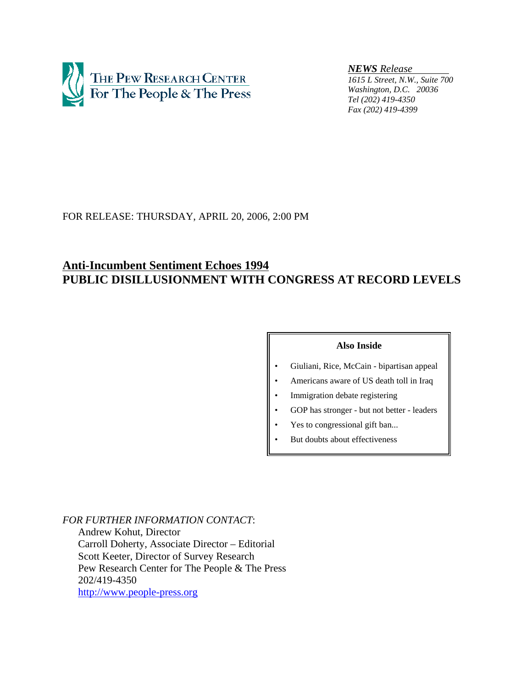

*NEWS Release* 

*1615 L Street, N.W., Suite 700 Washington, D.C. 20036 Tel (202) 419-4350 Fax (202) 419-4399*

# FOR RELEASE: THURSDAY, APRIL 20, 2006, 2:00 PM

# **Anti-Incumbent Sentiment Echoes 1994 PUBLIC DISILLUSIONMENT WITH CONGRESS AT RECORD LEVELS**

## **Also Inside**

- Giuliani, Rice, McCain bipartisan appeal
- Americans aware of US death toll in Iraq
- Immigration debate registering
- GOP has stronger but not better leaders
- Yes to congressional gift ban...
- But doubts about effectiveness

*FOR FURTHER INFORMATION CONTACT*: Andrew Kohut, Director Carroll Doherty, Associate Director – Editorial Scott Keeter, Director of Survey Research Pew Research Center for The People & The Press 202/419-4350 http://www.people-press.org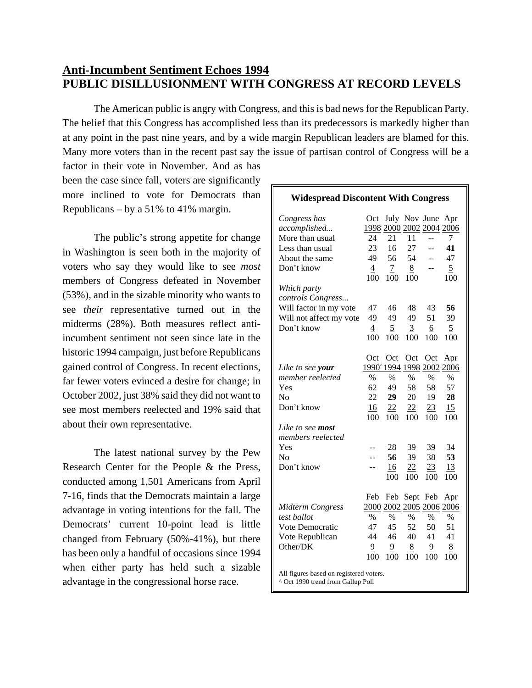# **Anti-Incumbent Sentiment Echoes 1994 PUBLIC DISILLUSIONMENT WITH CONGRESS AT RECORD LEVELS**

The American public is angry with Congress, and this is bad news for the Republican Party. The belief that this Congress has accomplished less than its predecessors is markedly higher than at any point in the past nine years, and by a wide margin Republican leaders are blamed for this. Many more voters than in the recent past say the issue of partisan control of Congress will be a

factor in their vote in November. And as has been the case since fall, voters are significantly more inclined to vote for Democrats than Republicans – by a 51% to 41% margin.

The public's strong appetite for change in Washington is seen both in the majority of voters who say they would like to see *most* members of Congress defeated in November (53%), and in the sizable minority who wants to see *their* representative turned out in the midterms (28%). Both measures reflect antiincumbent sentiment not seen since late in the historic 1994 campaign, just before Republicans gained control of Congress. In recent elections, far fewer voters evinced a desire for change; in October 2002, just 38% said they did not want to see most members reelected and 19% said that about their own representative.

The latest national survey by the Pew Research Center for the People & the Press, conducted among 1,501 Americans from April 7-16, finds that the Democrats maintain a large advantage in voting intentions for the fall. The Democrats' current 10-point lead is little changed from February (50%-41%), but there has been only a handful of occasions since 1994 when either party has held such a sizable advantage in the congressional horse race.

## *Congress has* Oct July Nov June Apr *accomplished...* 1998 2000 2002 2004 2006 More than usual 24 21 11 -- 7 Less than usual 23 16 27 -- **41** About the same  $49$  56 54 -- 47 Don't know  $\frac{4}{7}$   $\frac{7}{7}$   $\frac{8}{7}$  --  $\frac{5}{7}$ 100 100 100 100 *Which party controls Congress...* Will factor in my vote 47 46 48 43 **56** Will not affect my vote 49 49 49 51 39 Don't know  $\frac{4}{5}$   $\frac{5}{5}$   $\frac{3}{5}$   $\frac{6}{5}$ 100 100 100 100 100 Oct Oct Oct Oct Apr *Like to see your* 1990<sup>^</sup>1994 1994 1998 2002 2006 *member reelected* %%%%% Yes 62 49 58 58 57 No 22 **29** 20 19 **28** Don't know  $\frac{16}{100}$   $\frac{22}{100}$   $\frac{22}{100}$   $\frac{23}{100}$   $\frac{15}{100}$ 100 100 100 100 100 *Like to see most members reelected* Yes -- 28 39 39 34 No -- **56** 39 38 **53** Don't know -- 16 22 23 13 100 100 100 100 Feb Feb Sept Feb Apr *Midterm Congress* 2000 2002 2005 2006 2006 *test ballot* %%%%% Vote Democratic 47 45 52 50 51 Vote Republican 44 46 40 41 41 Other/DK 9 9 8 9 8 100 100 100 100 100 All figures based on registered voters. ^ Oct 1990 trend from Gallup Poll

**Widespread Discontent With Congress**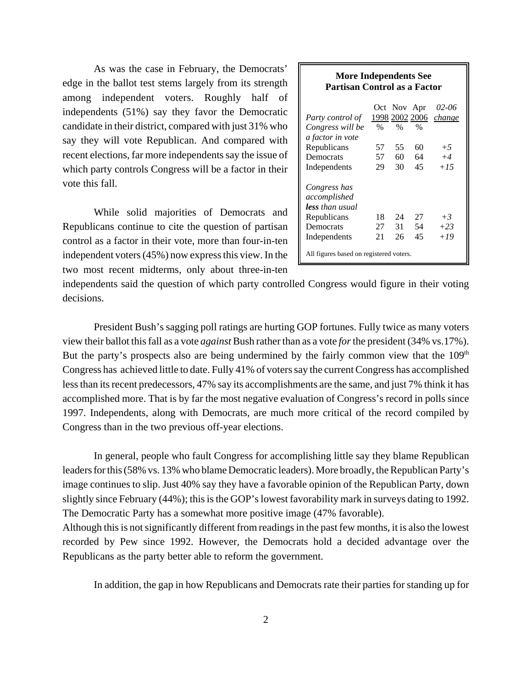As was the case in February, the Democrats' edge in the ballot test stems largely from its strength among independent voters. Roughly half of independents (51%) say they favor the Democratic candidate in their district, compared with just 31% who say they will vote Republican. And compared with recent elections, far more independents say the issue of which party controls Congress will be a factor in their vote this fall.

While solid majorities of Democrats and Republicans continue to cite the question of partisan control as a factor in their vote, more than four-in-ten independent voters (45%) now express this view. In the two most recent midterms, only about three-in-ten

## **More Independents See Partisan Control as a Factor**

| Party control of<br>Congress will be            | %  | Oct Nov Apr<br>% | 1998 2002 2006<br>% | 02-06<br>change |
|-------------------------------------------------|----|------------------|---------------------|-----------------|
| a factor in vote                                |    |                  |                     |                 |
| Republicans                                     | 57 | 55               | 60                  | $+5$            |
| Democrats                                       | 57 | 60               | 64                  | $+4$            |
| Independents                                    | 29 | 30               | 45                  | $+1.5$          |
| Congress has<br>accomplished<br>less than usual |    |                  |                     |                 |
| Republicans                                     | 18 | 24               | 27                  | $+3$            |
| Democrats                                       | 27 | 31               | 54                  | $+23$           |
| Independents                                    | 21 | 26               | 45                  | $+19$           |
| All figures based on registered voters.         |    |                  |                     |                 |

independents said the question of which party controlled Congress would figure in their voting decisions.

President Bush's sagging poll ratings are hurting GOP fortunes. Fully twice as many voters view their ballot this fall as a vote *against* Bush rather than as a vote *for* the president (34% vs.17%). But the party's prospects also are being undermined by the fairly common view that the  $109<sup>th</sup>$ Congress has achieved little to date. Fully 41% of voters say the current Congress has accomplished less than its recent predecessors, 47% say its accomplishments are the same, and just 7% think it has accomplished more. That is by far the most negative evaluation of Congress's record in polls since 1997. Independents, along with Democrats, are much more critical of the record compiled by Congress than in the two previous off-year elections.

In general, people who fault Congress for accomplishing little say they blame Republican leaders for this (58% vs. 13% who blame Democratic leaders). More broadly, the Republican Party's image continues to slip. Just 40% say they have a favorable opinion of the Republican Party, down slightly since February (44%); this is the GOP's lowest favorability mark in surveys dating to 1992. The Democratic Party has a somewhat more positive image (47% favorable).

Although this is not significantly different from readings in the past few months, it is also the lowest recorded by Pew since 1992. However, the Democrats hold a decided advantage over the Republicans as the party better able to reform the government.

In addition, the gap in how Republicans and Democrats rate their parties for standing up for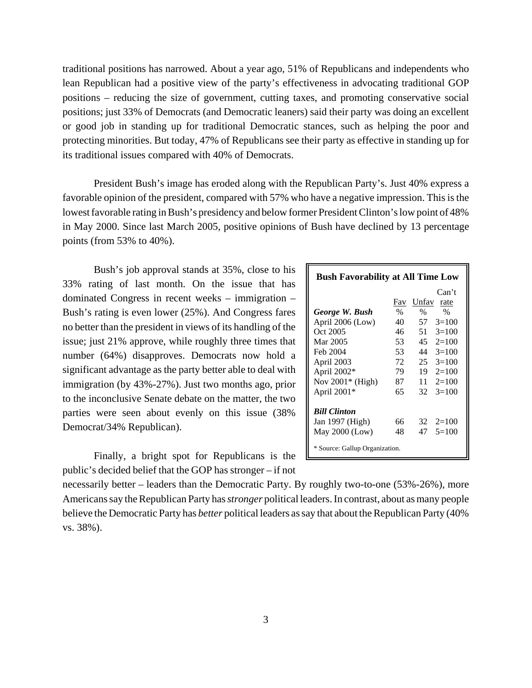traditional positions has narrowed. About a year ago, 51% of Republicans and independents who lean Republican had a positive view of the party's effectiveness in advocating traditional GOP positions – reducing the size of government, cutting taxes, and promoting conservative social positions; just 33% of Democrats (and Democratic leaners) said their party was doing an excellent or good job in standing up for traditional Democratic stances, such as helping the poor and protecting minorities. But today, 47% of Republicans see their party as effective in standing up for its traditional issues compared with 40% of Democrats.

President Bush's image has eroded along with the Republican Party's. Just 40% express a favorable opinion of the president, compared with 57% who have a negative impression. This is the lowest favorable rating in Bush's presidency and below former President Clinton's low point of 48% in May 2000. Since last March 2005, positive opinions of Bush have declined by 13 percentage points (from 53% to 40%).

Bush's job approval stands at 35%, close to his 33% rating of last month. On the issue that has dominated Congress in recent weeks – immigration – Bush's rating is even lower (25%). And Congress fares no better than the president in views of its handling of the issue; just 21% approve, while roughly three times that number (64%) disapproves. Democrats now hold a significant advantage as the party better able to deal with immigration (by 43%-27%). Just two months ago, prior to the inconclusive Senate debate on the matter, the two parties were seen about evenly on this issue (38% Democrat/34% Republican).

Finally, a bright spot for Republicans is the public's decided belief that the GOP has stronger – if not

| <b>Bush Favorability at All Time Low</b> |      |       |         |  |  |
|------------------------------------------|------|-------|---------|--|--|
|                                          |      |       | Can't   |  |  |
|                                          | Fav  | Unfav | rate    |  |  |
| George W. Bush                           | $\%$ | $\%$  | $\%$    |  |  |
| April 2006 (Low)                         | 40   | 57    | $3=100$ |  |  |
| Oct 2005                                 | 46   | 51    | $3=100$ |  |  |
| Mar 2005                                 | 53   | 45    | $2=100$ |  |  |
| Feb 2004                                 | 53   | 44    | $3=100$ |  |  |
| April 2003                               | 72   | 25    | $3=100$ |  |  |
| April 2002*                              | 79   | 19    | $2=100$ |  |  |
| Nov 2001* (High)                         | 87   | 11    | $2=100$ |  |  |
| April $2001*$                            | 65   | 32    | $3=100$ |  |  |
| <b>Bill Clinton</b>                      |      |       |         |  |  |
| Jan 1997 (High)                          | 66   | 32    | $2=100$ |  |  |
| May $2000$ (Low)                         | 48   | 47    | $5=100$ |  |  |
| * Source: Gallup Organization.           |      |       |         |  |  |

necessarily better – leaders than the Democratic Party. By roughly two-to-one (53%-26%), more Americans say the Republican Party has *stronger* political leaders. In contrast, about as many people believe the Democratic Party has *better* political leaders as say that about the Republican Party (40% vs. 38%).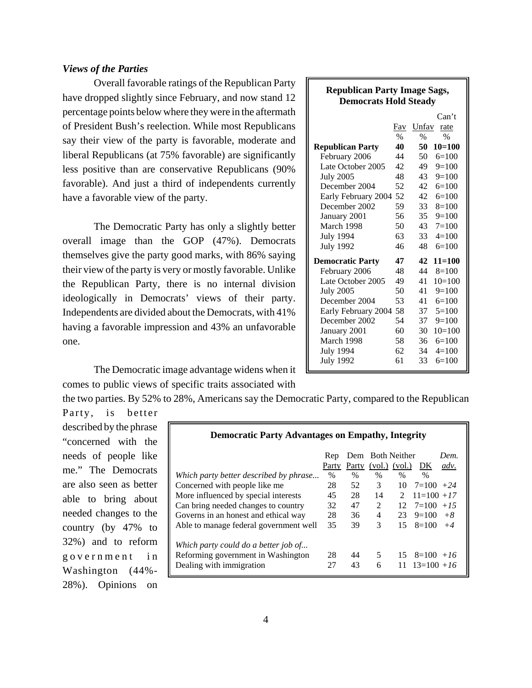## *Views of the Parties*

Overall favorable ratings of the Republican Party have dropped slightly since February, and now stand 12 percentage points below where they were in the aftermath of President Bush's reelection. While most Republicans say their view of the party is favorable, moderate and liberal Republicans (at 75% favorable) are significantly less positive than are conservative Republicans (90% favorable). And just a third of independents currently have a favorable view of the party.

The Democratic Party has only a slightly better overall image than the GOP (47%). Democrats themselves give the party good marks, with 86% saying their view of the party is very or mostly favorable. Unlike the Republican Party, there is no internal division ideologically in Democrats' views of their party. Independents are divided about the Democrats, with 41% having a favorable impression and 43% an unfavorable one.

The Democratic image advantage widens when it comes to public views of specific traits associated with

the two parties. By 52% to 28%, Americans say the Democratic Party, compared to the Republican Party, is better

described by the phrase "concerned with the needs of people like me." The Democrats are also seen as better able to bring about needed changes to the country (by 47% to 32%) and to reform government in Washington (44%- 28%). Opinions on

| <b>Democratic Party Advantages on Empathy, Integrity</b> |              |       |                                       |               |                     |              |
|----------------------------------------------------------|--------------|-------|---------------------------------------|---------------|---------------------|--------------|
|                                                          | Rep<br>Party | Party | Dem Both Neither<br>$(vol.)$ $(vol.)$ |               | DK                  | Dem.<br>adv. |
| Which party better described by phrase                   | $\%$         | $\%$  | $\%$                                  | $\frac{0}{0}$ | $\%$                |              |
| Concerned with people like me                            | 28           | 52    | 3                                     | 10            | $7=100 + 24$        |              |
| More influenced by special interests                     | 45           | 28    | 14                                    | $\mathcal{L}$ | $11\equiv 100 + 17$ |              |
| Can bring needed changes to country                      | 32           | 47    | 2                                     | 12            | $7=100 + 15$        |              |
| Governs in an honest and ethical way                     | 28           | 36    | 4                                     | 23            | $9=100$             | $+8$         |
| Able to manage federal government well                   | 35           | 39    | 3                                     | 15            | $8=100$             | $+4$         |
| Which party could do a better job of                     |              |       |                                       |               |                     |              |
| Reforming government in Washington                       | 28           | 44    | 5                                     | 15            | $8=100 + 16$        |              |
| Dealing with immigration                                 | 27           | 43    | 6                                     | 11            | $13=100+16$         |              |

| <b>Republican Party Image Sags,</b> |               |       |               |  |  |  |
|-------------------------------------|---------------|-------|---------------|--|--|--|
| <b>Democrats Hold Steady</b>        |               |       |               |  |  |  |
|                                     |               |       | Can't         |  |  |  |
|                                     | Fav           | Unfav | rate          |  |  |  |
|                                     | $\frac{0}{0}$ | $\%$  | $\frac{0}{6}$ |  |  |  |
| <b>Republican Party</b>             | 40            | 50    | $10=100$      |  |  |  |
| February 2006                       | 44            | 50    | $6=100$       |  |  |  |
| Late October 2005                   | 42            | 49    | $9=100$       |  |  |  |
| <b>July 2005</b>                    | 48            | 43    | $9=100$       |  |  |  |
| December 2004                       | 52            | 42    | $6=100$       |  |  |  |
| Early February 2004                 | 52            | 42    | $6=100$       |  |  |  |
| December 2002                       | 59            | 33    | $8=100$       |  |  |  |
| January 2001                        | 56            | 35    | $9=100$       |  |  |  |
| March 1998                          | 50            | 43    | $7 = 100$     |  |  |  |
| <b>July 1994</b>                    | 63            | 33    | $4=100$       |  |  |  |
| <b>July 1992</b>                    | 46            | 48    | $6=100$       |  |  |  |
| <b>Democratic Party</b>             | 47            | 42    | $11 = 100$    |  |  |  |
| February 2006                       | 48            | 44    | $8=100$       |  |  |  |
| Late October 2005                   | 49            | 41    | $10=100$      |  |  |  |
| <b>July 2005</b>                    | 50            | 41    | $9=100$       |  |  |  |
| December 2004                       | 53            | 41    | $6=100$       |  |  |  |
| Early February 2004 58              |               | 37    | $5=100$       |  |  |  |
| December 2002                       | 54            | 37    | $9=100$       |  |  |  |
| January 2001                        | 60            | 30    | $10=100$      |  |  |  |
| March 1998                          | 58            | 36    | $6=100$       |  |  |  |
| <b>July 1994</b>                    | 62            | 34    | $4 = 100$     |  |  |  |
| <b>July 1992</b>                    | 61            | 33    | $6=100$       |  |  |  |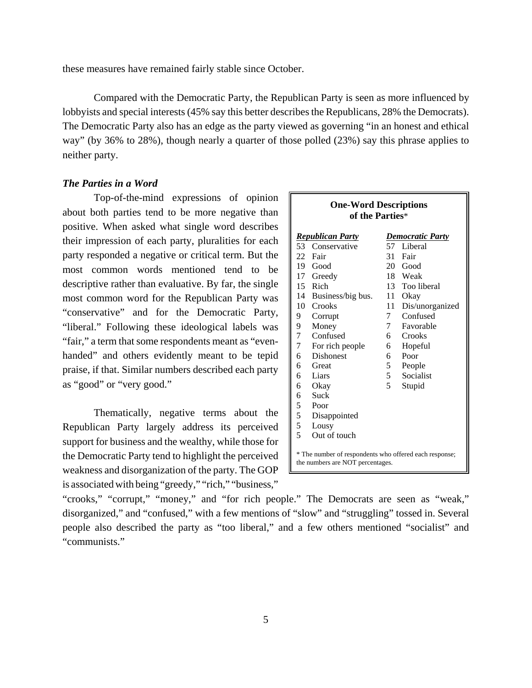these measures have remained fairly stable since October.

Compared with the Democratic Party, the Republican Party is seen as more influenced by lobbyists and special interests (45% say this better describes the Republicans, 28% the Democrats). The Democratic Party also has an edge as the party viewed as governing "in an honest and ethical way" (by 36% to 28%), though nearly a quarter of those polled (23%) say this phrase applies to neither party.

## *The Parties in a Word*

Top-of-the-mind expressions of opinion about both parties tend to be more negative than positive. When asked what single word describes their impression of each party, pluralities for each party responded a negative or critical term. But the most common words mentioned tend to be descriptive rather than evaluative. By far, the single most common word for the Republican Party was "conservative" and for the Democratic Party, "liberal." Following these ideological labels was "fair," a term that some respondents meant as "evenhanded" and others evidently meant to be tepid praise, if that. Similar numbers described each party as "good" or "very good."

Thematically, negative terms about the Republican Party largely address its perceived support for business and the wealthy, while those for the Democratic Party tend to highlight the perceived weakness and disorganization of the party. The GOP is associated with being "greedy," "rich," "business,"

| <b>One-Word Descriptions</b><br>of the Parties* |                                                    |            |                                                                                            |  |  |  |  |  |
|-------------------------------------------------|----------------------------------------------------|------------|--------------------------------------------------------------------------------------------|--|--|--|--|--|
|                                                 | <b>Republican Party</b><br><b>Democratic Party</b> |            |                                                                                            |  |  |  |  |  |
|                                                 | 53 Conservative                                    |            | 57 Liberal                                                                                 |  |  |  |  |  |
|                                                 | 22 Fair                                            | 31         | Fair                                                                                       |  |  |  |  |  |
|                                                 | 19 Good                                            |            | 20 Good                                                                                    |  |  |  |  |  |
|                                                 | 17 Greedy                                          |            | 18 Weak                                                                                    |  |  |  |  |  |
|                                                 | 15 Rich                                            |            | 13 Too liberal                                                                             |  |  |  |  |  |
|                                                 | 14 Business/big bus.                               |            | 11 Okay                                                                                    |  |  |  |  |  |
| 10                                              | Crooks                                             | 11         | Dis/unorganized                                                                            |  |  |  |  |  |
| 9                                               | Corrupt                                            | 7          | Confused                                                                                   |  |  |  |  |  |
| 9                                               | Money                                              | $7\degree$ | Favorable                                                                                  |  |  |  |  |  |
| $\overline{7}$                                  | Confused                                           | 6 —        | Crooks                                                                                     |  |  |  |  |  |
| $\overline{7}$                                  | For rich people                                    | 6          | Hopeful                                                                                    |  |  |  |  |  |
| 6                                               | <b>Dishonest</b>                                   | 6          | Poor                                                                                       |  |  |  |  |  |
| 6                                               | Great                                              | 5          | People                                                                                     |  |  |  |  |  |
| 6                                               | Liars                                              | 5          | Socialist                                                                                  |  |  |  |  |  |
| 6                                               | Okay                                               | 5          | Stupid                                                                                     |  |  |  |  |  |
| 6                                               | Suck                                               |            |                                                                                            |  |  |  |  |  |
| 5                                               | Poor                                               |            |                                                                                            |  |  |  |  |  |
| 5                                               | Disappointed                                       |            |                                                                                            |  |  |  |  |  |
| 5                                               | Lousy                                              |            |                                                                                            |  |  |  |  |  |
| 5                                               | Out of touch                                       |            |                                                                                            |  |  |  |  |  |
|                                                 |                                                    |            | * The number of respondents who offered each response;<br>the numbers are NOT percentages. |  |  |  |  |  |

"crooks," "corrupt," "money," and "for rich people." The Democrats are seen as "weak," disorganized," and "confused," with a few mentions of "slow" and "struggling" tossed in. Several people also described the party as "too liberal," and a few others mentioned "socialist" and "communists."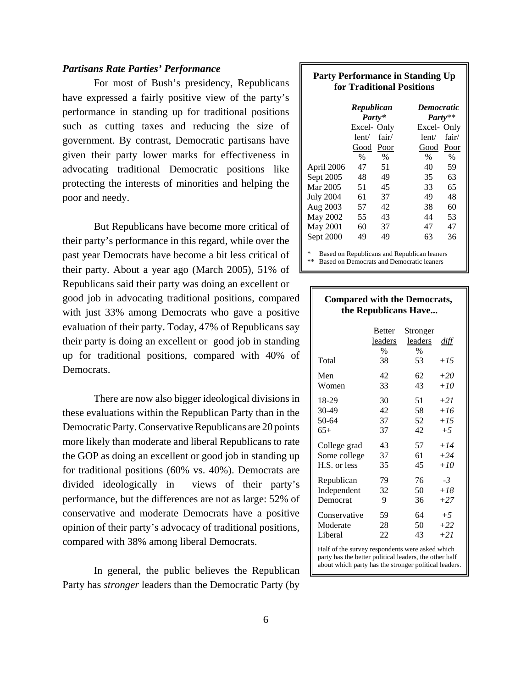## *Partisans Rate Parties' Performance*

For most of Bush's presidency, Republicans have expressed a fairly positive view of the party's performance in standing up for traditional positions such as cutting taxes and reducing the size of government. By contrast, Democratic partisans have given their party lower marks for effectiveness in advocating traditional Democratic positions like protecting the interests of minorities and helping the poor and needy.

But Republicans have become more critical of their party's performance in this regard, while over the past year Democrats have become a bit less critical of their party. About a year ago (March 2005), 51% of Republicans said their party was doing an excellent or good job in advocating traditional positions, compared with just 33% among Democrats who gave a positive evaluation of their party. Today, 47% of Republicans say their party is doing an excellent or good job in standing up for traditional positions, compared with 40% of Democrats.

There are now also bigger ideological divisions in these evaluations within the Republican Party than in the Democratic Party. Conservative Republicans are 20 points more likely than moderate and liberal Republicans to rate the GOP as doing an excellent or good job in standing up for traditional positions (60% vs. 40%). Democrats are divided ideologically in views of their party's performance, but the differences are not as large: 52% of conservative and moderate Democrats have a positive opinion of their party's advocacy of traditional positions, compared with 38% among liberal Democrats.

In general, the public believes the Republican Party has *stronger* leaders than the Democratic Party (by

#### **Party Performance in Standing Up for Traditional Positions**

|                                                                                                     | Republican<br>Party* |       | <b>Democratic</b><br>${\it Party^{**}}$ |       |
|-----------------------------------------------------------------------------------------------------|----------------------|-------|-----------------------------------------|-------|
|                                                                                                     | Excel-Only           |       | Excel-Only                              |       |
|                                                                                                     | lent/                | fair/ | lent/                                   | fair/ |
|                                                                                                     | Good                 | Poor  | Good                                    | Poor  |
|                                                                                                     | $\%$                 | $\%$  | $\%$                                    | $\%$  |
| April 2006                                                                                          | 47                   | 51    | 40                                      | 59    |
| Sept 2005                                                                                           | 48                   | 49    | 35                                      | 63    |
| Mar 2005                                                                                            | 51                   | 45    | 33                                      | 65    |
| <b>July 2004</b>                                                                                    | 61                   | 37    | 49                                      | 48    |
| Aug 2003                                                                                            | 57                   | 42    | 38                                      | 60    |
| May 2002                                                                                            | 55                   | 43    | 44                                      | 53    |
| May 2001                                                                                            | 60                   | 37    | 47                                      | 47    |
| Sept 2000                                                                                           | 49                   | 49    | 63                                      | 36    |
| 冰<br>Based on Republicans and Republican leaners<br>**<br>Based on Democrats and Democratic leaners |                      |       |                                         |       |

#### **Compared with the Democrats, the Republicans Have...**

|              | <b>Better</b><br>leaders<br>$\%$ | Stronger<br>leaders<br>$\%$ | diff  |
|--------------|----------------------------------|-----------------------------|-------|
| Total        | 38                               | 53                          | $+15$ |
| Men          | 42                               | 62                          | $+20$ |
| Women        | 33                               | 43                          | $+10$ |
| 18-29        | 30                               | 51                          | $+21$ |
| 30-49        | 42                               | 58                          | $+16$ |
| 50-64        | 37                               | 52                          | $+15$ |
| $65+$        | 37                               | 42                          | $+5$  |
| College grad | 43                               | 57                          | $+14$ |
| Some college | 37                               | 61                          | $+24$ |
| H.S. or less | 35                               | 45                          | $+10$ |
| Republican   | 79                               | 76                          | $-3$  |
| Independent  | 32                               | 50                          | $+18$ |
| Democrat     | 9                                | 36                          | $+27$ |
| Conservative | 59                               | 64                          | $+5$  |
| Moderate     | 28                               | 50                          | $+22$ |
| Liberal      | 22                               | 43                          | $+21$ |

Half of the survey respondents were asked which party has the better political leaders, the other half about which party has the stronger political leaders.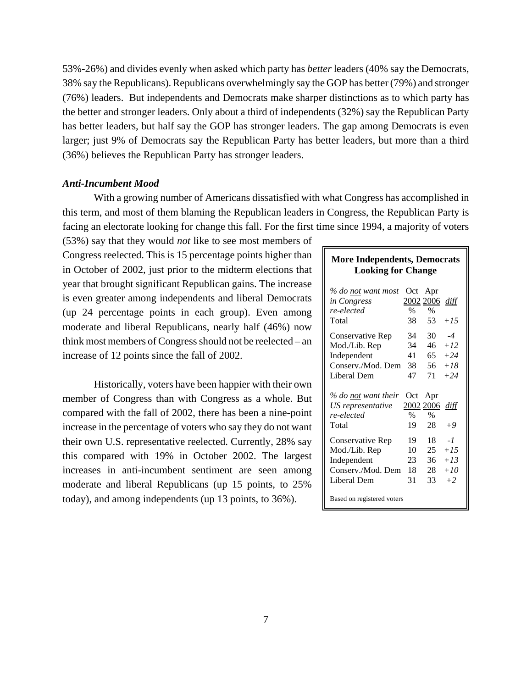53%-26%) and divides evenly when asked which party has *better* leaders (40% say the Democrats, 38% say the Republicans). Republicans overwhelmingly say the GOP has better (79%) and stronger (76%) leaders. But independents and Democrats make sharper distinctions as to which party has the better and stronger leaders. Only about a third of independents (32%) say the Republican Party has better leaders, but half say the GOP has stronger leaders. The gap among Democrats is even larger; just 9% of Democrats say the Republican Party has better leaders, but more than a third (36%) believes the Republican Party has stronger leaders.

#### *Anti-Incumbent Mood*

With a growing number of Americans dissatisfied with what Congress has accomplished in this term, and most of them blaming the Republican leaders in Congress, the Republican Party is facing an electorate looking for change this fall. For the first time since 1994, a majority of voters

(53%) say that they would *not* like to see most members of Congress reelected. This is 15 percentage points higher than in October of 2002, just prior to the midterm elections that year that brought significant Republican gains. The increase is even greater among independents and liberal Democrats (up 24 percentage points in each group). Even among moderate and liberal Republicans, nearly half (46%) now think most members of Congress should not be reelected – an increase of 12 points since the fall of 2002.

Historically, voters have been happier with their own member of Congress than with Congress as a whole. But compared with the fall of 2002, there has been a nine-point increase in the percentage of voters who say they do not want their own U.S. representative reelected. Currently, 28% say this compared with 19% in October 2002. The largest increases in anti-incumbent sentiment are seen among moderate and liberal Republicans (up 15 points, to 25% today), and among independents (up 13 points, to 36%).

## **More Independents, Democrats Looking for Change**

| % do not want most<br>in Congress<br>re-elected<br>Total        | Oct<br>2002 2006<br>%<br>38      | Apr<br>$\%$<br>53 | diff<br>$+1.5$ |
|-----------------------------------------------------------------|----------------------------------|-------------------|----------------|
| Conservative Rep                                                | 34                               | 30                | $-4$           |
| Mod./Lib. Rep                                                   | 34                               | 46                | $+12$          |
| Independent                                                     | 41                               | 65                | $+24$          |
| Conserv./Mod. Dem                                               | 38                               | 56                | $+18$          |
| Liberal Dem                                                     | 47                               | 71                | $+24$          |
| % do not want their<br>US representative<br>re-elected<br>Total | Oct<br>2002 2006 diff<br>%<br>19 | Apr<br>$\%$<br>28 | $+9$           |
| Conservative Rep                                                | 19                               | 18                | - 1            |
| Mod./Lib. Rep                                                   | 10                               | 25                | $+1.5$         |
| Independent                                                     | 23                               | 36                | $+13$          |
| Conserv./Mod. Dem                                               | 18                               | 28                | $+10$          |
| Liberal Dem                                                     | 31                               | 33                | $+2$           |
| Based on registered voters                                      |                                  |                   |                |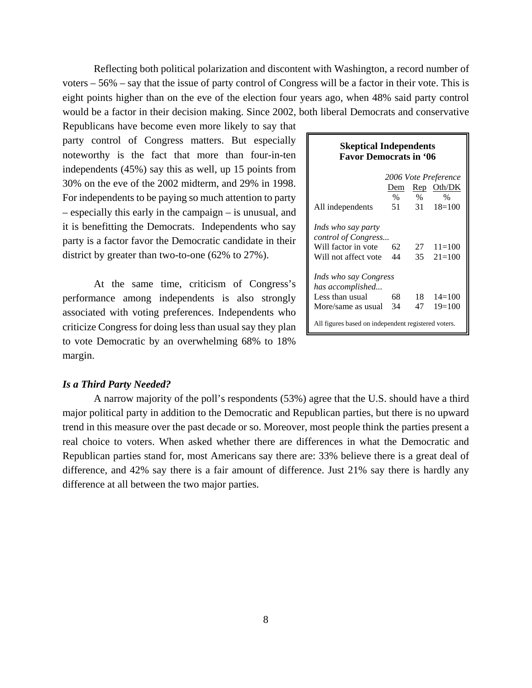Reflecting both political polarization and discontent with Washington, a record number of voters – 56% – say that the issue of party control of Congress will be a factor in their vote. This is eight points higher than on the eve of the election four years ago, when 48% said party control would be a factor in their decision making. Since 2002, both liberal Democrats and conservative

Republicans have become even more likely to say that party control of Congress matters. But especially noteworthy is the fact that more than four-in-ten independents (45%) say this as well, up 15 points from 30% on the eve of the 2002 midterm, and 29% in 1998. For independents to be paying so much attention to party – especially this early in the campaign – is unusual, and it is benefitting the Democrats. Independents who say party is a factor favor the Democratic candidate in their district by greater than two-to-one (62% to 27%).

At the same time, criticism of Congress's performance among independents is also strongly associated with voting preferences. Independents who criticize Congress for doing less than usual say they plan to vote Democratic by an overwhelming 68% to 18% margin.

| <b>Skeptical Independents</b><br><b>Favor Democrats in '06</b> |            |            |                         |  |  |  |
|----------------------------------------------------------------|------------|------------|-------------------------|--|--|--|
|                                                                |            |            | 2006 Vote Preference    |  |  |  |
|                                                                | Dem        |            | Rep Oth/DK              |  |  |  |
| All independents                                               | $\%$<br>51 | $\%$<br>31 | $\%$<br>$18=100$        |  |  |  |
| Inds who say party                                             |            |            |                         |  |  |  |
| control of Congress<br>Will factor in vote                     | 62         |            | $27 \quad 11\equiv 100$ |  |  |  |
| Will not affect vote                                           | 44         | 35         | $21 = 100$              |  |  |  |
|                                                                |            |            |                         |  |  |  |
| Inds who say Congress                                          |            |            |                         |  |  |  |
| has accomplished                                               |            |            |                         |  |  |  |
| Less than usual                                                | 68         | 18         | $14 = 100$              |  |  |  |
| More/same as usual                                             | 34         | 47         | $19=100$                |  |  |  |
| All figures based on independent registered voters.            |            |            |                         |  |  |  |

## *Is a Third Party Needed?*

A narrow majority of the poll's respondents (53%) agree that the U.S. should have a third major political party in addition to the Democratic and Republican parties, but there is no upward trend in this measure over the past decade or so. Moreover, most people think the parties present a real choice to voters. When asked whether there are differences in what the Democratic and Republican parties stand for, most Americans say there are: 33% believe there is a great deal of difference, and 42% say there is a fair amount of difference. Just 21% say there is hardly any difference at all between the two major parties.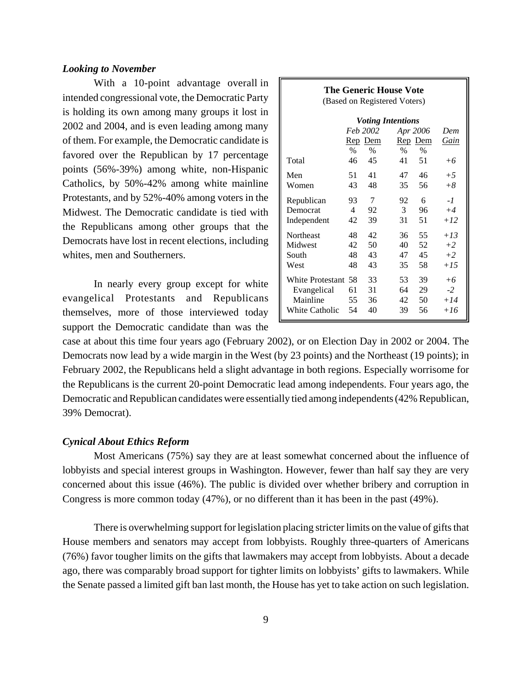## *Looking to November*

With a 10-point advantage overall in intended congressional vote, the Democratic Party is holding its own among many groups it lost in 2002 and 2004, and is even leading among many of them. For example, the Democratic candidate is favored over the Republican by 17 percentage points (56%-39%) among white, non-Hispanic Catholics, by 50%-42% among white mainline Protestants, and by 52%-40% among voters in the Midwest. The Democratic candidate is tied with the Republicans among other groups that the Democrats have lost in recent elections, including whites, men and Southerners.

In nearly every group except for white evangelical Protestants and Republicans themselves, more of those interviewed today support the Democratic candidate than was the

| <b>The Generic House Vote</b><br>(Based on Registered Voters) |                |                                          |                                                               |            |                     |
|---------------------------------------------------------------|----------------|------------------------------------------|---------------------------------------------------------------|------------|---------------------|
| Total                                                         | $\%$<br>46     | Feb 2002<br><u>Rep</u> Dem<br>$\%$<br>45 | <b>Voting Intentions</b><br>Apr 2006<br>Rep Dem<br>$\%$<br>41 | $\%$<br>51 | Dem<br>Gain<br>$+6$ |
| Men                                                           | 51             | 41                                       | 47                                                            | 46         | $+5$                |
| Women                                                         | 43             | 48                                       | 35                                                            | 56         | $+8$                |
| Republican                                                    | 93             | 7                                        | 92                                                            | 6          | $-l$                |
| Democrat                                                      | $\overline{4}$ | 92                                       | 3                                                             | 96         | $+4$                |
| Independent                                                   | 42             | 39                                       | 31                                                            | 51         | $+12$               |
| Northeast                                                     | 48             | 42                                       | 36                                                            | 55         | $+13$               |
| Midwest                                                       | 42             | 50                                       | 40                                                            | 52         | $+2$                |
| South                                                         | 48             | 43                                       | 47                                                            | 45         | $+2$                |
| West                                                          | 48             | 43                                       | 35                                                            | 58         | $+15$               |
| <b>White Protestant</b>                                       | 58             | 33                                       | 53                                                            | 39         | $+6$                |
| Evangelical                                                   | 61             | 31                                       | 64                                                            | 29         | $-2$                |
| Mainline                                                      | 55             | 36                                       | 42                                                            | 50         | $+14$               |
| <b>White Catholic</b>                                         | 54             | 40                                       | 39                                                            | 56         | $+16$               |

case at about this time four years ago (February 2002), or on Election Day in 2002 or 2004. The Democrats now lead by a wide margin in the West (by 23 points) and the Northeast (19 points); in February 2002, the Republicans held a slight advantage in both regions. Especially worrisome for the Republicans is the current 20-point Democratic lead among independents. Four years ago, the Democratic and Republican candidates were essentially tied among independents (42% Republican, 39% Democrat).

## *Cynical About Ethics Reform*

Most Americans (75%) say they are at least somewhat concerned about the influence of lobbyists and special interest groups in Washington. However, fewer than half say they are very concerned about this issue (46%). The public is divided over whether bribery and corruption in Congress is more common today (47%), or no different than it has been in the past (49%).

There is overwhelming support for legislation placing stricter limits on the value of gifts that House members and senators may accept from lobbyists. Roughly three-quarters of Americans (76%) favor tougher limits on the gifts that lawmakers may accept from lobbyists. About a decade ago, there was comparably broad support for tighter limits on lobbyists' gifts to lawmakers. While the Senate passed a limited gift ban last month, the House has yet to take action on such legislation.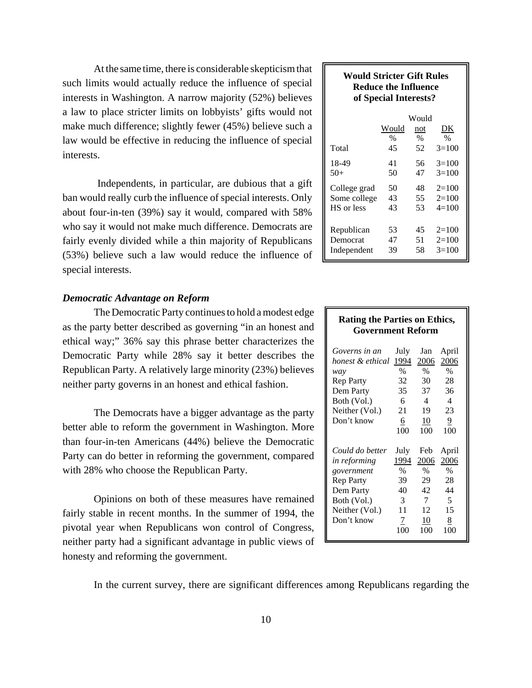At the same time, there is considerable skepticism that such limits would actually reduce the influence of special interests in Washington. A narrow majority (52%) believes a law to place stricter limits on lobbyists' gifts would not make much difference; slightly fewer (45%) believe such a law would be effective in reducing the influence of special interests.

 Independents, in particular, are dubious that a gift ban would really curb the influence of special interests. Only about four-in-ten (39%) say it would, compared with 58% who say it would not make much difference. Democrats are fairly evenly divided while a thin majority of Republicans (53%) believe such a law would reduce the influence of special interests.

## *Democratic Advantage on Reform*

The Democratic Party continues to hold a modest edge as the party better described as governing "in an honest and ethical way;" 36% say this phrase better characterizes the Democratic Party while 28% say it better describes the Republican Party. A relatively large minority (23%) believes neither party governs in an honest and ethical fashion.

The Democrats have a bigger advantage as the party better able to reform the government in Washington. More than four-in-ten Americans (44%) believe the Democratic Party can do better in reforming the government, compared with 28% who choose the Republican Party.

Opinions on both of these measures have remained fairly stable in recent months. In the summer of 1994, the pivotal year when Republicans won control of Congress, neither party had a significant advantage in public views of honesty and reforming the government.

# In the current survey, there are significant differences among Republicans regarding the

| <b>Would Stricter Gift Rules</b><br>Reduce the Influence<br>of Special Interests? |       |               |         |  |  |
|-----------------------------------------------------------------------------------|-------|---------------|---------|--|--|
|                                                                                   |       | Would         |         |  |  |
|                                                                                   | Would | not           | DK      |  |  |
|                                                                                   | $\%$  | $\frac{0}{0}$ | $\%$    |  |  |
| Total                                                                             | 45    | 52            | $3=100$ |  |  |
| 18-49                                                                             | 41    | 56            | $3=100$ |  |  |
| $50+$                                                                             | 50    | 47            | $3=100$ |  |  |
| College grad                                                                      | 50    | 48            | $2=100$ |  |  |
| Some college                                                                      | 43    | 55            | $2=100$ |  |  |

 $HS \text{ or } less \t\t 43 \t\t 53 \t\t 4=100$ 

Republican  $53 \t 45 \t 2=100$ Democrat 47 51 2=100 Independent  $39$   $58$   $3=100$ 

| <b>Rating the Parties on Ethics,</b> |          |                  |                |  |
|--------------------------------------|----------|------------------|----------------|--|
| <b>Government Reform</b>             |          |                  |                |  |
|                                      |          |                  |                |  |
| Governs in an                        | July     | Jan              | April          |  |
| honest & ethical 1994                |          | 2006             | 2006           |  |
| way                                  | $\%$     | $\%$             | $\%$           |  |
| <b>Rep Party</b>                     | 32       | 30               | 28             |  |
| Dem Party                            | 35       | 37               | 36             |  |
| Both (Vol.)                          | 6        | $\overline{4}$   | 4              |  |
| Neither (Vol.)                       | 21       | 19               | 23             |  |
| Don't know                           | <u>6</u> | $\underline{10}$ | $\overline{9}$ |  |
|                                      | 100      | 100              | 100            |  |
|                                      |          |                  |                |  |
| Could do better                      | July     | Feb              | April          |  |
| in reforming                         | 1994     | 2006             | 2006           |  |
| government                           | $\%$     | $\%$             | $\%$           |  |
| <b>Rep Party</b>                     | 39       | 29               | 28             |  |
| Dem Party                            | 40       | 42               | 44             |  |
| Both (Vol.)                          | 3        | 7                | 5              |  |
| Neither (Vol.)                       | 11       | 12               | 15             |  |
| Don't know                           | 7        | 10               | 8              |  |
|                                      | 100      | 100              | 100            |  |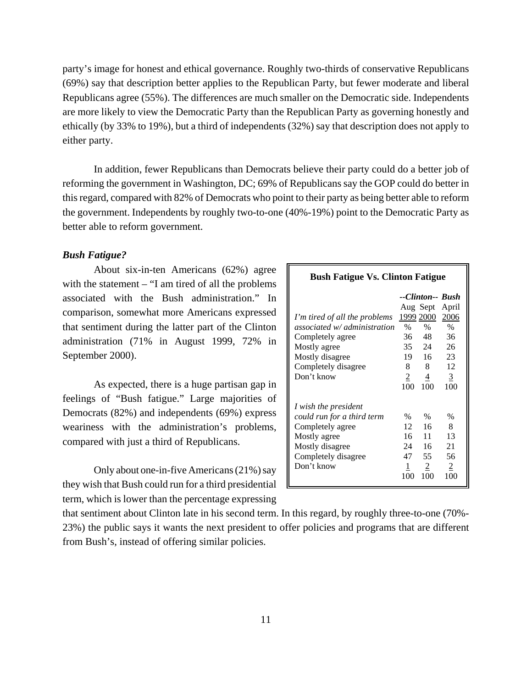party's image for honest and ethical governance. Roughly two-thirds of conservative Republicans (69%) say that description better applies to the Republican Party, but fewer moderate and liberal Republicans agree (55%). The differences are much smaller on the Democratic side. Independents are more likely to view the Democratic Party than the Republican Party as governing honestly and ethically (by 33% to 19%), but a third of independents (32%) say that description does not apply to either party.

In addition, fewer Republicans than Democrats believe their party could do a better job of reforming the government in Washington, DC; 69% of Republicans say the GOP could do better in this regard, compared with 82% of Democrats who point to their party as being better able to reform the government. Independents by roughly two-to-one (40%-19%) point to the Democratic Party as better able to reform government.

## *Bush Fatigue?*

About six-in-ten Americans (62%) agree with the statement  $-$  "I am tired of all the problems associated with the Bush administration." In comparison, somewhat more Americans expressed that sentiment during the latter part of the Clinton administration (71% in August 1999, 72% in September 2000).

As expected, there is a huge partisan gap in feelings of "Bush fatigue." Large majorities of Democrats (82%) and independents (69%) express weariness with the administration's problems, compared with just a third of Republicans.

Only about one-in-five Americans (21%) say they wish that Bush could run for a third presidential term, which is lower than the percentage expressing

| <b>Bush Fatigue Vs. Clinton Fatigue</b> |  |  |  |
|-----------------------------------------|--|--|--|
|-----------------------------------------|--|--|--|

|                               |           |                | --Clinton-- Bush |
|-------------------------------|-----------|----------------|------------------|
|                               |           | Aug Sept       | April            |
| I'm tired of all the problems | 1999 2000 |                | 2006             |
| associated w/ administration  | $\%$      | $\frac{0}{0}$  | $\frac{0}{0}$    |
| Completely agree              | 36        | 48             | 36               |
| Mostly agree                  |           | 35 24          | 26               |
| Mostly disagree               | 19        | 16             | 23               |
| Completely disagree           | 8         | 8              | 12               |
| Don't know                    | 2         | 4              | $\overline{3}$   |
|                               | 100       | 100            | 100              |
| I wish the president          |           |                |                  |
| could run for a third term    | $\%$      | $\%$           | $\%$             |
| Completely agree              | 12        | 16             | 8                |
| Mostly agree                  | 16        | 11             | 13               |
| Mostly disagree               | 24        | 16             | 21               |
| Completely disagree           | 47        | 55             | 56               |
| Don't know                    | 1         | $\overline{2}$ | $\overline{2}$   |
|                               | 100       | 100            | 100              |

that sentiment about Clinton late in his second term. In this regard, by roughly three-to-one (70%- 23%) the public says it wants the next president to offer policies and programs that are different from Bush's, instead of offering similar policies.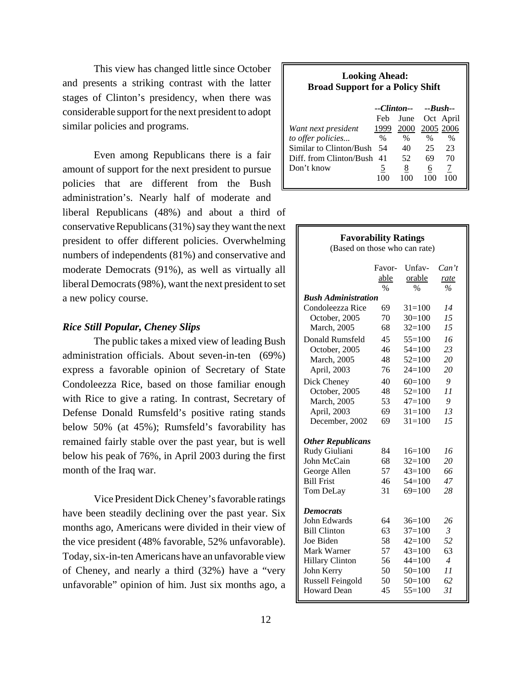This view has changed little since October and presents a striking contrast with the latter stages of Clinton's presidency, when there was considerable support for the next president to adopt similar policies and programs.

Even among Republicans there is a fair amount of support for the next president to pursue policies that are different from the Bush administration's. Nearly half of moderate and liberal Republicans (48%) and about a third of conservative Republicans (31%) say they want the next president to offer different policies. Overwhelming numbers of independents (81%) and conservative and moderate Democrats (91%), as well as virtually all liberal Democrats (98%), want the next president to set a new policy course.

## *Rice Still Popular, Cheney Slips*

The public takes a mixed view of leading Bush administration officials. About seven-in-ten (69%) express a favorable opinion of Secretary of State Condoleezza Rice, based on those familiar enough with Rice to give a rating. In contrast, Secretary of Defense Donald Rumsfeld's positive rating stands below 50% (at 45%); Rumsfeld's favorability has remained fairly stable over the past year, but is well below his peak of 76%, in April 2003 during the first month of the Iraq war.

Vice President Dick Cheney's favorable ratings have been steadily declining over the past year. Six months ago, Americans were divided in their view of the vice president (48% favorable, 52% unfavorable). Today, six-in-ten Americans have an unfavorable view of Cheney, and nearly a third (32%) have a "very unfavorable" opinion of him. Just six months ago, a

#### **Looking Ahead: Broad Support for a Policy Shift**

|                            | $-Clinton--Bush-.$ |      |           |           |
|----------------------------|--------------------|------|-----------|-----------|
|                            | Feb                | June | Oct April |           |
| Want next president        | 1999               |      |           | 2005 2006 |
| to offer policies          | $\%$               | $\%$ | $\%$      | $\%$      |
| Similar to Clinton/Bush    | 54                 | 40   | 25        | 23        |
| Diff. from Clinton/Bush 41 |                    | 52   | 69        | 70        |
| Don't know                 | 5                  | 8    | 6         |           |
|                            |                    |      |           |           |

| <b>Favorability Ratings</b><br>(Based on those who can rate) |                                 |                                   |                       |
|--------------------------------------------------------------|---------------------------------|-----------------------------------|-----------------------|
|                                                              | Favor-<br>able<br>$\frac{0}{0}$ | Unfav-<br>orable<br>$\frac{0}{0}$ | Can't<br>rate<br>$\%$ |
| <b>Bush Administration</b>                                   |                                 |                                   |                       |
| Condoleezza Rice                                             | 69                              | $31 = 100$                        | 14                    |
| October, 2005                                                | 70                              | $30=100$                          | 15                    |
| March, 2005                                                  | 68                              | $32=100$                          | 15                    |
| Donald Rumsfeld                                              | 45                              | $55=100$                          | 16                    |
| October, 2005                                                | 46                              | $54=100$                          | 23                    |
| March, 2005                                                  | 48                              | $52=100$                          | 20                    |
| April, 2003                                                  | 76                              | $24=100$                          | 20                    |
| Dick Cheney                                                  | 40                              | $60=100$                          | 9                     |
| October, 2005                                                | 48                              | $52=100$                          | 11                    |
| March, 2005                                                  | 53                              | $47=100$                          | 9                     |
| April, 2003                                                  | 69                              | $31 = 100$                        | 13                    |
| December, 2002                                               | 69                              | $31 = 100$                        | 15                    |
| <b>Other Republicans</b>                                     |                                 |                                   |                       |
| Rudy Giuliani                                                | 84                              | $16=100$                          | 16                    |
| John McCain                                                  | 68                              | $32=100$                          | 20                    |
| George Allen                                                 | 57                              | $43=100$                          | 66                    |
| <b>Bill Frist</b>                                            | 46                              | $54=100$                          | 47                    |
| Tom DeLay                                                    | 31                              | $69=100$                          | 28                    |
| <b>Democrats</b>                                             |                                 |                                   |                       |
| John Edwards                                                 | 64                              | $36=100$                          | 26                    |
| <b>Bill Clinton</b>                                          | 63                              | $37=100$                          | 3                     |
| Joe Biden                                                    | 58                              | $42=100$                          | 52                    |
| Mark Warner                                                  | 57                              | $43=100$                          | 63                    |
| <b>Hillary Clinton</b>                                       | 56                              | $44 = 100$                        | $\overline{4}$        |
| John Kerry                                                   | 50                              | $50=100$                          | 11                    |
| Russell Feingold                                             | 50                              | $50=100$                          | 62                    |
| <b>Howard Dean</b>                                           | 45                              | $55=100$                          | 31                    |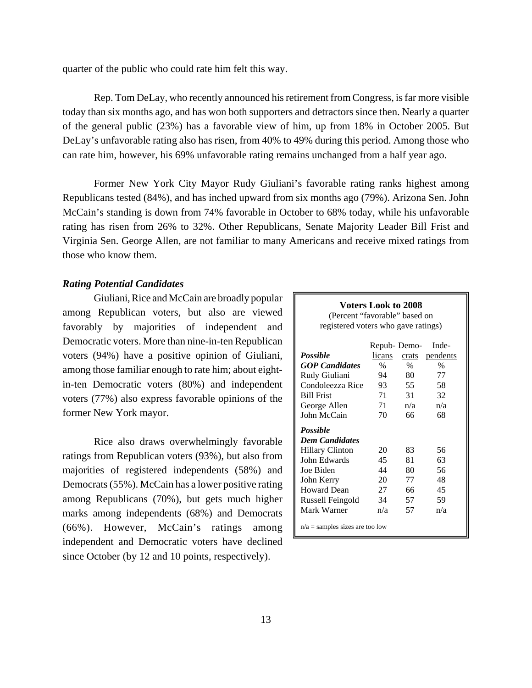quarter of the public who could rate him felt this way.

Rep. Tom DeLay, who recently announced his retirement from Congress, is far more visible today than six months ago, and has won both supporters and detractors since then. Nearly a quarter of the general public (23%) has a favorable view of him, up from 18% in October 2005. But DeLay's unfavorable rating also has risen, from 40% to 49% during this period. Among those who can rate him, however, his 69% unfavorable rating remains unchanged from a half year ago.

Former New York City Mayor Rudy Giuliani's favorable rating ranks highest among Republicans tested (84%), and has inched upward from six months ago (79%). Arizona Sen. John McCain's standing is down from 74% favorable in October to 68% today, while his unfavorable rating has risen from 26% to 32%. Other Republicans, Senate Majority Leader Bill Frist and Virginia Sen. George Allen, are not familiar to many Americans and receive mixed ratings from those who know them.

## *Rating Potential Candidates*

Giuliani, Rice and McCain are broadly popular among Republican voters, but also are viewed favorably by majorities of independent and Democratic voters. More than nine-in-ten Republican voters (94%) have a positive opinion of Giuliani, among those familiar enough to rate him; about eightin-ten Democratic voters (80%) and independent voters (77%) also express favorable opinions of the former New York mayor.

Rice also draws overwhelmingly favorable ratings from Republican voters (93%), but also from majorities of registered independents (58%) and Democrats (55%). McCain has a lower positive rating among Republicans (70%), but gets much higher marks among independents (68%) and Democrats (66%). However, McCain's ratings among independent and Democratic voters have declined since October (by 12 and 10 points, respectively).

# **Voters Look to 2008** (Percent "favorable" based on registered voters who gave ratings) Repub- Demo- Inde-

| Possible                          | licans | crats | pendents |  |  |
|-----------------------------------|--------|-------|----------|--|--|
| <b>GOP</b> Candidates             | %      | %     | $\%$     |  |  |
| Rudy Giuliani                     | 94     | 80    | 77       |  |  |
| Condoleezza Rice                  | 93     | 55    | 58       |  |  |
| <b>Bill Frist</b>                 | 71     | 31    | 32       |  |  |
| George Allen                      | 71     | n/a   | n/a      |  |  |
| John McCain                       | 70     | 66    | 68       |  |  |
| Possible                          |        |       |          |  |  |
| <b>Dem Candidates</b>             |        |       |          |  |  |
| <b>Hillary Clinton</b>            | 20     | 83    | 56       |  |  |
| John Edwards                      | 45     | 81    | 63       |  |  |
| Joe Biden                         | 44     | 80    | 56       |  |  |
| John Kerry                        | 20     | 77    | 48       |  |  |
| Howard Dean                       | 27     | 66    | 45       |  |  |
| Russell Feingold                  | 34     | 57    | 59       |  |  |
| Mark Warner                       | n/a    | 57    | n/a      |  |  |
| $n/a$ = samples sizes are too low |        |       |          |  |  |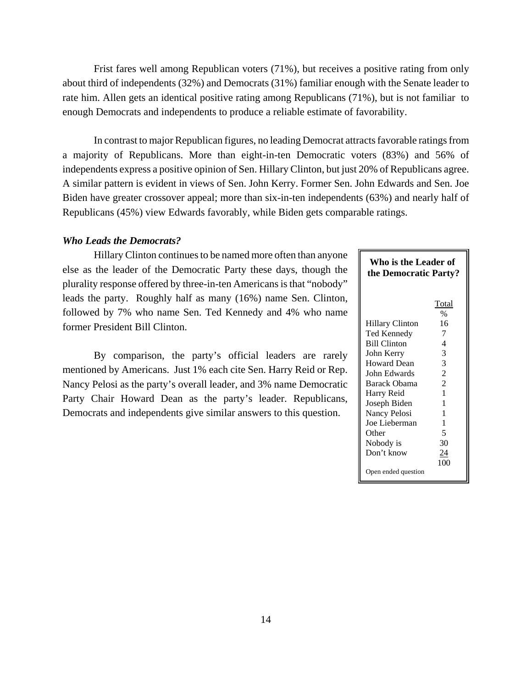Frist fares well among Republican voters (71%), but receives a positive rating from only about third of independents (32%) and Democrats (31%) familiar enough with the Senate leader to rate him. Allen gets an identical positive rating among Republicans (71%), but is not familiar to enough Democrats and independents to produce a reliable estimate of favorability.

In contrast to major Republican figures, no leading Democrat attracts favorable ratings from a majority of Republicans. More than eight-in-ten Democratic voters (83%) and 56% of independents express a positive opinion of Sen. Hillary Clinton, but just 20% of Republicans agree. A similar pattern is evident in views of Sen. John Kerry. Former Sen. John Edwards and Sen. Joe Biden have greater crossover appeal; more than six-in-ten independents (63%) and nearly half of Republicans (45%) view Edwards favorably, while Biden gets comparable ratings.

## *Who Leads the Democrats?*

Hillary Clinton continues to be named more often than anyone else as the leader of the Democratic Party these days, though the plurality response offered by three-in-ten Americans is that "nobody" leads the party. Roughly half as many (16%) name Sen. Clinton, followed by 7% who name Sen. Ted Kennedy and 4% who name former President Bill Clinton.

By comparison, the party's official leaders are rarely mentioned by Americans. Just 1% each cite Sen. Harry Reid or Rep. Nancy Pelosi as the party's overall leader, and 3% name Democratic Party Chair Howard Dean as the party's leader. Republicans, Democrats and independents give similar answers to this question.

| Who is the Leader of<br>the Democratic Party? |                |  |  |  |  |
|-----------------------------------------------|----------------|--|--|--|--|
|                                               | Total<br>$\%$  |  |  |  |  |
| Hillary Clinton                               | 16             |  |  |  |  |
| Ted Kennedy                                   | 7              |  |  |  |  |
| <b>Bill Clinton</b>                           | 4              |  |  |  |  |
| John Kerry                                    | 3              |  |  |  |  |
| <b>Howard Dean</b>                            | 3              |  |  |  |  |
| John Edwards                                  | $\overline{2}$ |  |  |  |  |
| Barack Obama                                  | $\overline{2}$ |  |  |  |  |
| Harry Reid                                    | 1              |  |  |  |  |
| Joseph Biden                                  | 1              |  |  |  |  |
| Nancy Pelosi                                  | 1              |  |  |  |  |
| Joe Lieberman                                 | 1              |  |  |  |  |
| Other                                         | 5              |  |  |  |  |
| Nobody is                                     | 30             |  |  |  |  |
| Don't know                                    | 24             |  |  |  |  |
|                                               | 100            |  |  |  |  |
| Open ended question                           |                |  |  |  |  |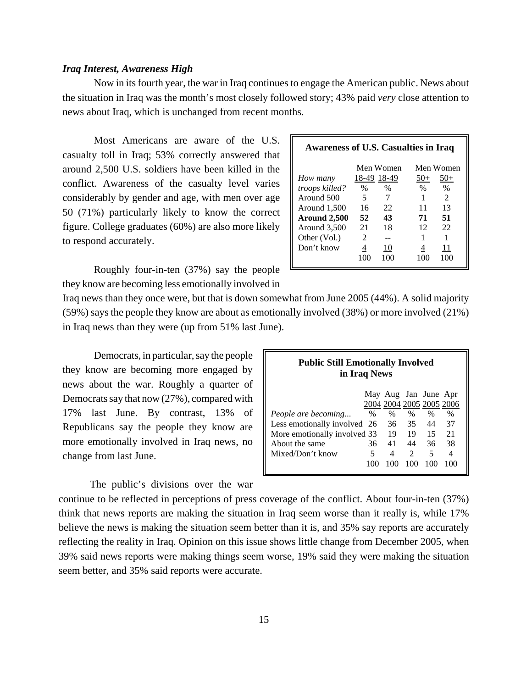#### *Iraq Interest, Awareness High*

Now in its fourth year, the war in Iraq continues to engage the American public. News about the situation in Iraq was the month's most closely followed story; 43% paid *very* close attention to news about Iraq, which is unchanged from recent months.

Most Americans are aware of the U.S. casualty toll in Iraq; 53% correctly answered that around 2,500 U.S. soldiers have been killed in the conflict. Awareness of the casualty level varies considerably by gender and age, with men over age 50 (71%) particularly likely to know the correct figure. College graduates (60%) are also more likely to respond accurately.

Roughly four-in-ten (37%) say the people they know are becoming less emotionally involved in

| <b>Awareness of U.S. Casualties in Iraq</b> |                |           |           |                |
|---------------------------------------------|----------------|-----------|-----------|----------------|
|                                             |                | Men Women |           | Men Women      |
| How many                                    | 18-49 18-49    |           | 50+       | $50+$          |
| troops killed?                              | %              | $\%$      | $\%$      | $\%$           |
| Around 500                                  | 5              |           |           | $\mathfrak{D}$ |
| Around 1,500                                | 16             | 22        | 11        | 13             |
| Around 2,500                                | 52             | 43        | 71        | 51             |
| Around 3,500                                | 21             | 18        | 12        | 22             |
| Other (Vol.)                                | $\mathfrak{D}$ |           |           |                |
| Don't know                                  | 4              | 10        |           | 11             |
|                                             | 100            | 100       | 1 ( ) ( ) |                |
|                                             |                |           |           |                |

Iraq news than they once were, but that is down somewhat from June 2005 (44%). A solid majority (59%) says the people they know are about as emotionally involved (38%) or more involved (21%) in Iraq news than they were (up from 51% last June).

Democrats, in particular, say the people they know are becoming more engaged by news about the war. Roughly a quarter of Democrats say that now (27%), compared with 17% last June. By contrast, 13% of Republicans say the people they know are more emotionally involved in Iraq news, no change from last June.

The public's divisions over the war

| <b>Public Still Emotionally Involved</b><br>in Iraq News |          |               |       |                          |      |
|----------------------------------------------------------|----------|---------------|-------|--------------------------|------|
|                                                          |          |               |       | May Aug Jan June Apr     |      |
|                                                          |          |               |       | 2004 2004 2005 2005 2006 |      |
| <i>People are becoming</i>                               | $\%$     | $\frac{0}{0}$ | $\%$  | $\%$                     | $\%$ |
| Less emotionally involved 26                             |          |               | 36 35 | 44                       | 37   |
| More emotionally involved 33                             |          | -19           | - 19  | 15                       | 21   |
| About the same                                           | 36       | 41            | 44    | 36                       | 38   |
| Mixed/Don't know                                         | <u>5</u> | 4             | 2     | <u>5</u>                 | 4    |
|                                                          | 100      | 100           | 100   | 100                      |      |

continue to be reflected in perceptions of press coverage of the conflict. About four-in-ten (37%) think that news reports are making the situation in Iraq seem worse than it really is, while 17% believe the news is making the situation seem better than it is, and 35% say reports are accurately reflecting the reality in Iraq. Opinion on this issue shows little change from December 2005, when 39% said news reports were making things seem worse, 19% said they were making the situation seem better, and 35% said reports were accurate.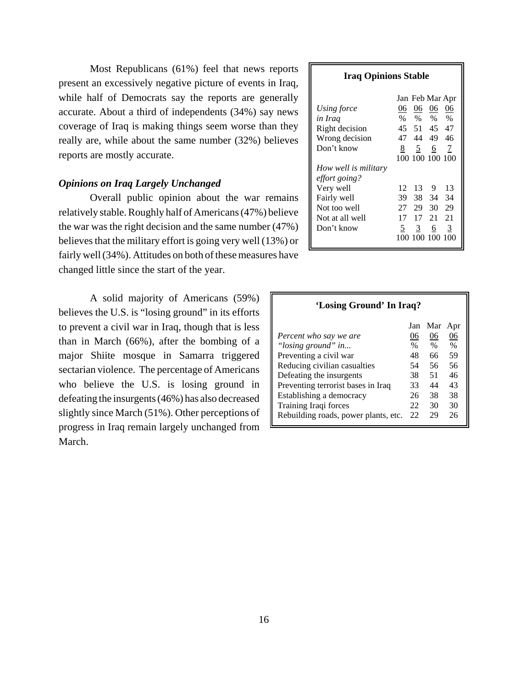Most Republicans (61%) feel that news reports present an excessively negative picture of events in Iraq, while half of Democrats say the reports are generally accurate. About a third of independents (34%) say news coverage of Iraq is making things seem worse than they really are, while about the same number (32%) believes reports are mostly accurate.

## *Opinions on Iraq Largely Unchanged*

Overall public opinion about the war remains relatively stable. Roughly half of Americans (47%) believe the war was the right decision and the same number (47%) believes that the military effort is going very well (13%) or fairly well (34%). Attitudes on both of these measures have changed little since the start of the year.

A solid majority of Americans (59%) believes the U.S. is "losing ground" in its efforts to prevent a civil war in Iraq, though that is less than in March (66%), after the bombing of a major Shiite mosque in Samarra triggered sectarian violence. The percentage of Americans who believe the U.S. is losing ground in defeating the insurgents (46%) has also decreased slightly since March (51%). Other perceptions of progress in Iraq remain largely unchanged from March.

#### **Iraq Opinions Stable**

|                      |      |                | Jan Feb Mar Apr |      |
|----------------------|------|----------------|-----------------|------|
| Using force          | 06   | 06             | 06              | 06   |
| in Iraq              | $\%$ | $\%$           | $\%$            | $\%$ |
| Right decision       | 45   |                | 51 45           | 47   |
| Wrong decision       | 47   |                | 44 49           | 46   |
| Don't know           | 8    | $\overline{2}$ | $6\overline{6}$ | 7    |
|                      |      |                | 100 100 100 100 |      |
| How well is military |      |                |                 |      |
| effort going?        |      |                |                 |      |
| Very well            | 12   | 13             | - 9             | 13   |
| Fairly well          | 39   |                | 38 34           | 34   |
| Not too well         | 27   |                | 29 30           | 29   |
| Not at all well      | 17   | 17             | 21              | 21   |
| Don't know           | 5    | 3              | 6               | 3    |
|                      |      |                | 100 100 100 100 |      |

| 'Losing Ground' In Iraq?             |               |               |      |  |  |
|--------------------------------------|---------------|---------------|------|--|--|
|                                      | Jan           | Mar           | Apr  |  |  |
| Percent who say we are               | 06            | 06            | 06   |  |  |
| "losing ground" in                   | $\frac{0}{0}$ | $\frac{0}{0}$ | $\%$ |  |  |
| Preventing a civil war               | 48            | 66            | 59   |  |  |
| Reducing civilian casualties         | 54            | 56            | 56   |  |  |
| Defeating the insurgents             | 38            | 51            | 46   |  |  |
| Preventing terrorist bases in Iraq   | 33            | 44            | 43   |  |  |
| Establishing a democracy             | 26            | 38            | 38   |  |  |
| Training Iraqi forces                | 22            | 30            | 30   |  |  |
| Rebuilding roads, power plants, etc. | 22            | 29            | 26   |  |  |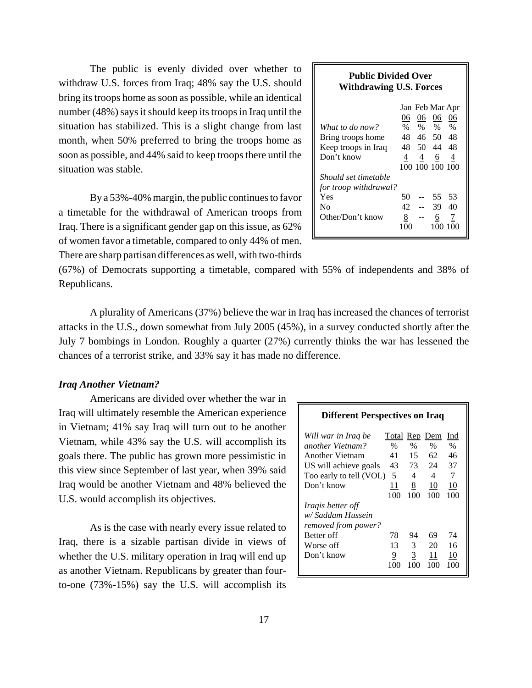The public is evenly divided over whether to withdraw U.S. forces from Iraq; 48% say the U.S. should bring its troops home as soon as possible, while an identical number (48%) says it should keep its troops in Iraq until the situation has stabilized. This is a slight change from last month, when 50% preferred to bring the troops home as soon as possible, and 44% said to keep troops there until the situation was stable.

By a 53%-40% margin, the public continues to favor a timetable for the withdrawal of American troops from Iraq. There is a significant gender gap on this issue, as 62% of women favor a timetable, compared to only 44% of men. There are sharp partisan differences as well, with two-thirds

## **Public Divided Over Withdrawing U.S. Forces**

|                       |      |      | Jan Feb Mar Apr |      |
|-----------------------|------|------|-----------------|------|
|                       | 06   | 06   | 06              | 06   |
| What to do now?       | $\%$ | $\%$ | $\%$            | $\%$ |
| Bring troops home     | 48   | 46   | 50              | 48   |
| Keep troops in Iraq   | 48   | 50   | 44              | 48   |
| Don't know            | 4    | 4    | 6               | 4    |
|                       |      |      | 100 100 100 100 |      |
| Should set timetable  |      |      |                 |      |
| for troop withdrawal? |      |      |                 |      |
| Yes                   | 50   |      | 55              | .53  |
| Nο                    | 42   |      | 39              | 40   |
| Other/Don't know      | 8    |      | 6               | 7    |
|                       | 100  |      | 100             |      |

(67%) of Democrats supporting a timetable, compared with 55% of independents and 38% of Republicans.

A plurality of Americans (37%) believe the war in Iraq has increased the chances of terrorist attacks in the U.S., down somewhat from July 2005 (45%), in a survey conducted shortly after the July 7 bombings in London. Roughly a quarter (27%) currently thinks the war has lessened the chances of a terrorist strike, and 33% say it has made no difference.

## *Iraq Another Vietnam?*

Americans are divided over whether the war in Iraq will ultimately resemble the American experience in Vietnam; 41% say Iraq will turn out to be another Vietnam, while 43% say the U.S. will accomplish its goals there. The public has grown more pessimistic in this view since September of last year, when 39% said Iraq would be another Vietnam and 48% believed the U.S. would accomplish its objectives.

As is the case with nearly every issue related to Iraq, there is a sizable partisan divide in views of whether the U.S. military operation in Iraq will end up as another Vietnam. Republicans by greater than fourto-one (73%-15%) say the U.S. will accomplish its

| Will war in Iraq be      | Total Rep Dem |      |      | Ind  |
|--------------------------|---------------|------|------|------|
| another Vietnam?         | $\%$          | $\%$ | $\%$ | $\%$ |
| Another Vietnam          | 41            | 15   | 62   | 46   |
| US will achieve goals    | 43            | 73   | 24   | 37   |
| Too early to tell (VOL)  | .5            | 4    | 4    | 7    |
| Don't know               | 11            | 8    | 10   | 10   |
|                          | 100           | 100  | 100  | 100  |
| <i>Iragis better off</i> |               |      |      |      |
| w/Saddam Hussein         |               |      |      |      |
| removed from power?      |               |      |      |      |
| Better off               | 78            | 94   | 69   | 74   |
| Worse off                | 13            | 3    | 20   | 16   |
| Don't know               | 9             | 3    | 11   | 10   |
|                          | 100           | 100  | 100  | 100  |
|                          |               |      |      |      |

**Different Perspectives on Iraq**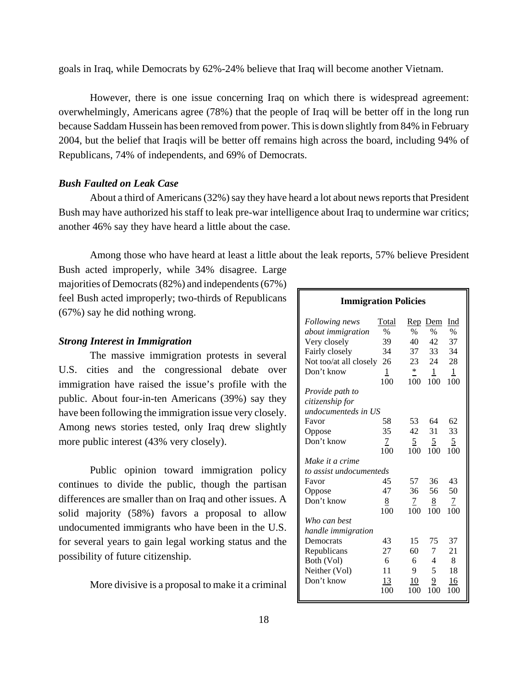goals in Iraq, while Democrats by 62%-24% believe that Iraq will become another Vietnam.

However, there is one issue concerning Iraq on which there is widespread agreement: overwhelmingly, Americans agree (78%) that the people of Iraq will be better off in the long run because Saddam Hussein has been removed from power. This is down slightly from 84% in February 2004, but the belief that Iraqis will be better off remains high across the board, including 94% of Republicans, 74% of independents, and 69% of Democrats.

## *Bush Faulted on Leak Case*

About a third of Americans (32%) say they have heard a lot about news reports that President Bush may have authorized his staff to leak pre-war intelligence about Iraq to undermine war critics; another 46% say they have heard a little about the case.

Among those who have heard at least a little about the leak reports, 57% believe President

Bush acted improperly, while 34% disagree. Large majorities of Democrats (82%) and independents (67%) feel Bush acted improperly; two-thirds of Republicans (67%) say he did nothing wrong.

#### *Strong Interest in Immigration*

The massive immigration protests in several U.S. cities and the congressional debate over immigration have raised the issue's profile with the public. About four-in-ten Americans (39%) say they have been following the immigration issue very closely. Among news stories tested, only Iraq drew slightly more public interest (43% very closely).

Public opinion toward immigration policy continues to divide the public, though the partisan differences are smaller than on Iraq and other issues. A solid majority (58%) favors a proposal to allow undocumented immigrants who have been in the U.S. for several years to gain legal working status and the possibility of future citizenship.

More divisive is a proposal to make it a criminal

## **Immigration Policies**

| Following news<br><i>about immigration</i><br>Very closely<br>Fairly closely<br>Not too/at all closely<br>Don't know | Total<br>$\frac{0}{0}$<br>39<br>34<br>26<br>$\mathbf{1}$ | <u>Rep</u><br>$\%$<br>40<br>37<br>23<br>$\ast$ | Dem<br>$\frac{0}{0}$<br>42<br>33<br>24<br>$\mathbf{1}$ | Ind<br>$\%$<br>37<br>34<br>28<br>$\mathbf{1}$ |
|----------------------------------------------------------------------------------------------------------------------|----------------------------------------------------------|------------------------------------------------|--------------------------------------------------------|-----------------------------------------------|
|                                                                                                                      | 100                                                      | 100                                            | 100                                                    | 100                                           |
| Provide path to<br>citizenship for<br>undocumenteds in US                                                            |                                                          |                                                |                                                        |                                               |
| Favor                                                                                                                | 58                                                       | 53                                             | 64                                                     | 62                                            |
| Oppose                                                                                                               | 35                                                       | 42                                             | 31                                                     | 33                                            |
| Don't know                                                                                                           | 7                                                        | 5                                              | <u>5</u>                                               | $\overline{2}$                                |
|                                                                                                                      | 100                                                      | 100                                            | 100                                                    | 100                                           |
| Make it a crime                                                                                                      |                                                          |                                                |                                                        |                                               |
| to assist undocumenteds                                                                                              | 45                                                       | 57                                             | 36                                                     | 43                                            |
| Favor                                                                                                                | 47                                                       | 36                                             | 56                                                     | 50                                            |
| Oppose<br>Don't know                                                                                                 | 8                                                        | 7                                              |                                                        | 7                                             |
|                                                                                                                      | 100                                                      | 100                                            | <u>8</u><br>100                                        | 100                                           |
| Who can best                                                                                                         |                                                          |                                                |                                                        |                                               |
| handle immigration                                                                                                   |                                                          |                                                |                                                        |                                               |
| Democrats                                                                                                            | 43                                                       | 15                                             | 75                                                     | 37                                            |
| Republicans                                                                                                          | 27                                                       | 60                                             | 7                                                      | 21                                            |
| Both (Vol)                                                                                                           | 6                                                        | 6                                              | $\overline{\mathcal{A}}$                               | 8                                             |
| Neither (Vol)                                                                                                        | 11                                                       | 9                                              | 5                                                      | 18                                            |
| Don't know                                                                                                           | 13                                                       | 10                                             | 9                                                      | 16                                            |
|                                                                                                                      | 100                                                      | 100                                            | 100                                                    | 100                                           |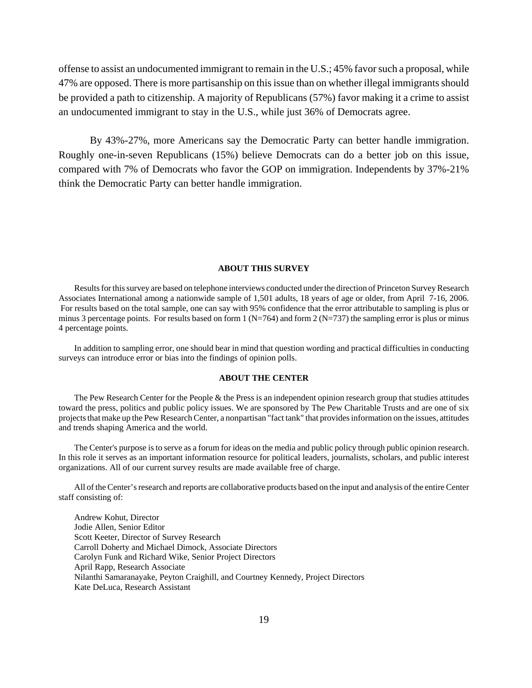offense to assist an undocumented immigrant to remain in the U.S.; 45% favor such a proposal, while 47% are opposed. There is more partisanship on this issue than on whether illegal immigrants should be provided a path to citizenship. A majority of Republicans (57%) favor making it a crime to assist an undocumented immigrant to stay in the U.S., while just 36% of Democrats agree.

By 43%-27%, more Americans say the Democratic Party can better handle immigration. Roughly one-in-seven Republicans (15%) believe Democrats can do a better job on this issue, compared with 7% of Democrats who favor the GOP on immigration. Independents by 37%-21% think the Democratic Party can better handle immigration.

#### **ABOUT THIS SURVEY**

Results for this survey are based on telephone interviews conducted under the direction of Princeton Survey Research Associates International among a nationwide sample of 1,501 adults, 18 years of age or older, from April 7-16, 2006. For results based on the total sample, one can say with 95% confidence that the error attributable to sampling is plus or minus 3 percentage points. For results based on form  $1 (N=764)$  and form  $2 (N=737)$  the sampling error is plus or minus 4 percentage points.

In addition to sampling error, one should bear in mind that question wording and practical difficulties in conducting surveys can introduce error or bias into the findings of opinion polls.

#### **ABOUT THE CENTER**

The Pew Research Center for the People & the Press is an independent opinion research group that studies attitudes toward the press, politics and public policy issues. We are sponsored by The Pew Charitable Trusts and are one of six projects that make up the Pew Research Center, a nonpartisan "fact tank" that provides information on the issues, attitudes and trends shaping America and the world.

The Center's purpose is to serve as a forum for ideas on the media and public policy through public opinion research. In this role it serves as an important information resource for political leaders, journalists, scholars, and public interest organizations. All of our current survey results are made available free of charge.

All of the Center's research and reports are collaborative products based on the input and analysis of the entire Center staff consisting of:

Andrew Kohut, Director Jodie Allen, Senior Editor Scott Keeter, Director of Survey Research Carroll Doherty and Michael Dimock, Associate Directors Carolyn Funk and Richard Wike, Senior Project Directors April Rapp, Research Associate Nilanthi Samaranayake, Peyton Craighill, and Courtney Kennedy, Project Directors Kate DeLuca, Research Assistant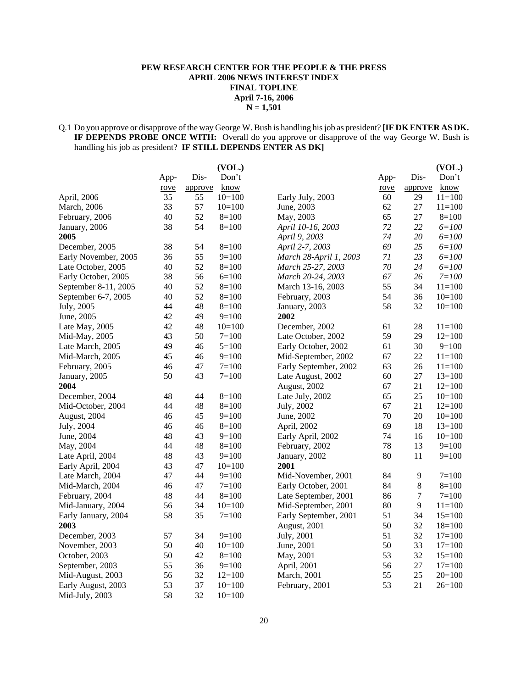#### **PEW RESEARCH CENTER FOR THE PEOPLE & THE PRESS APRIL 2006 NEWS INTEREST INDEX FINAL TOPLINE April 7-16, 2006 N = 1,501**

#### Q.1 Do you approve or disapprove of the way George W. Bush is handling his job as president? **[IF DK ENTER AS DK. IF DEPENDS PROBE ONCE WITH:** Overall do you approve or disapprove of the way George W. Bush is handling his job as president? **IF STILL DEPENDS ENTER AS DK]**

| Dis-<br>Don't<br>Dis-<br>App-<br>App-                                                   | Don't      |
|-----------------------------------------------------------------------------------------|------------|
| know<br>rove<br>approve<br>rove<br>approve                                              | know       |
| 35<br>$10=100$<br>60<br>29<br>April, 2006<br>55<br>Early July, 2003                     | $11 = 100$ |
| 33<br>57<br>27<br>March, 2006<br>$10=100$<br>June, 2003<br>62                           | $11 = 100$ |
| 40<br>52<br>$8=100$<br>65<br>27<br>February, 2006<br>May, 2003                          | $8=100$    |
| 38<br>54<br>72<br>22<br>$8=100$<br>April 10-16, 2003<br>January, 2006                   | $6 = 100$  |
| 2005<br>74<br>20<br>April 9, 2003                                                       | $6 = 100$  |
| 25<br>38<br>54<br>$8=100$<br>April 2-7, 2003<br>69<br>December, 2005                    | $6 = 100$  |
| 36<br>55<br>71<br>23<br>$9=100$<br>March 28-April 1, 2003<br>Early November, 2005       | $6 = 100$  |
| $70\,$<br>40<br>52<br>24<br>Late October, 2005<br>$8=100$<br>March 25-27, 2003          | $6 = 100$  |
| 38<br>56<br>$6=100$<br>67<br>26<br>Early October, 2005<br>March 20-24, 2003             | $7 = 100$  |
| 52<br>55<br>34<br>40<br>$8=100$<br>September 8-11, 2005<br>March 13-16, 2003            | $11 = 100$ |
| 52<br>40<br>$8=100$<br>54<br>36<br>September 6-7, 2005<br>February, 2003                | $10=100$   |
| 48<br>32<br>44<br>$8=100$<br>58<br>July, 2005<br>January, 2003                          | $10=100$   |
| 49<br>$9=100$<br>June, 2005<br>42<br>2002                                               |            |
| 42<br>48<br>61<br>28<br>Late May, 2005<br>$10=100$<br>December, 2002                    | $11 = 100$ |
| 59<br>50<br>29<br>43<br>$7 = 100$<br>Mid-May, 2005<br>Late October, 2002                | $12=100$   |
| 30<br>49<br>46<br>$5=100$<br>Early October, 2002<br>61<br>Late March, 2005              | $9=100$    |
| 45<br>46<br>$9=100$<br>67<br>22<br>Mid-March, 2005<br>Mid-September, 2002               | $11=100$   |
| 47<br>$7 = 100$<br>63<br>26<br>46<br>Early September, 2002<br>February, 2005            | $11 = 100$ |
| 50<br>43<br>$7 = 100$<br>$27\,$<br>Late August, 2002<br>60<br>January, 2005             | $13=100$   |
| 21<br>2004<br>67<br>August, 2002                                                        | $12=100$   |
| 25<br>December, 2004<br>48<br>44<br>$8=100$<br>Late July, 2002<br>65                    | $10=100$   |
| 48<br>$8=100$<br>67<br>21<br>Mid-October, 2004<br>44<br>July, 2002                      | $12=100$   |
| $20\,$<br>46<br>45<br>$9=100$<br>70<br>August, 2004<br>June, 2002                       | $10=100$   |
| 46<br>69<br>18<br>July, 2004<br>46<br>$8=100$<br>April, 2002                            | $13=100$   |
| June, 2004<br>48<br>43<br>$9=100$<br>74<br>16<br>Early April, 2002                      | $10=100$   |
| 78<br>44<br>48<br>$8=100$<br>13<br>May, 2004<br>February, 2002                          | $9=100$    |
| 80<br>48<br>43<br>$9=100$<br>11<br>Late April, 2004<br>January, 2002                    | $9=100$    |
| 47<br>2001<br>43<br>$10=100$<br>Early April, 2004                                       |            |
| 47<br>44<br>84<br>$9=100$<br>Mid-November, 2001<br>9<br>Late March, 2004                | $7 = 100$  |
| $\,8\,$<br>47<br>$7 = 100$<br>Early October, 2001<br>84<br>Mid-March, 2004<br>46        | $8=100$    |
| $\boldsymbol{7}$<br>86<br>February, 2004<br>48<br>44<br>$8=100$<br>Late September, 2001 | $7 = 100$  |
| 9<br>56<br>34<br>$10=100$<br>80<br>Mid-September, 2001<br>Mid-January, 2004             | $11 = 100$ |
| 58<br>35<br>$7 = 100$<br>51<br>34<br>Early January, 2004<br>Early September, 2001       | $15=100$   |
| 50<br>32<br>2003<br>August, 2001                                                        | $18=100$   |
| 57<br>34<br>$9=100$<br>51<br>32<br>December, 2003<br>July, 2001                         | $17=100$   |
| 50<br>40<br>$10=100$<br>June, 2001<br>50<br>33<br>November, 2003                        | $17 = 100$ |
| 50<br>42<br>53<br>32<br>October, 2003<br>$8=100$<br>May, 2001                           | $15=100$   |
| 55<br>27<br>36<br>$9=100$<br>56<br>September, 2003<br>April, 2001                       | $17=100$   |
| 56<br>32<br>$12=100$<br>March, 2001<br>55<br>25<br>Mid-August, 2003                     | $20=100$   |
| 53<br>37<br>53<br>$10=100$<br>21<br>Early August, 2003<br>February, 2001                | $26=100$   |
| 58<br>32<br>Mid-July, 2003<br>$10=100$                                                  |            |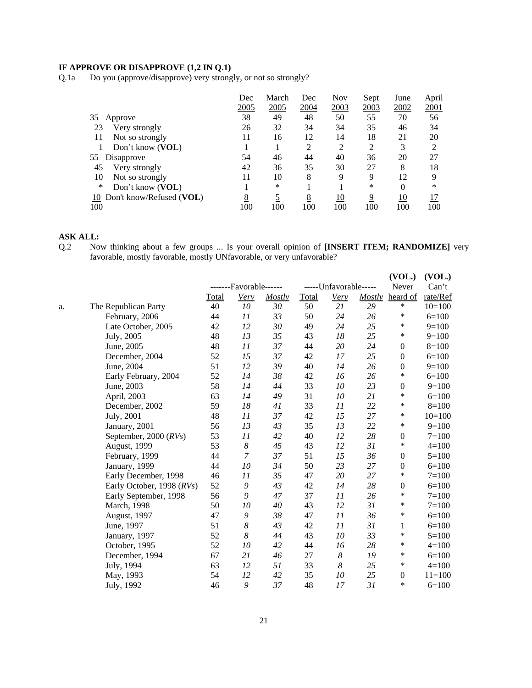## **IF APPROVE OR DISAPPROVE (1,2 IN Q.1)**

Q.1a Do you (approve/disapprove) very strongly, or not so strongly?

|                             | Dec  | March | Dec  | Nov  | Sept | June     | April |
|-----------------------------|------|-------|------|------|------|----------|-------|
|                             | 2005 | 2005  | 2004 | 2003 | 2003 | 2002     | 2001  |
| 35<br>Approve               | 38   | 49    | 48   | 50   | 55   | 70       | 56    |
| 23<br>Very strongly         | 26   | 32    | 34   | 34   | 35   | 46       | 34    |
| Not so strongly<br>11       | 11   | 16    | 12   | 14   | 18   | 21       | 20    |
| Don't know (VOL)            |      |       | 2    | 2    | 2    | 3        | ∍     |
| 55<br>Disapprove            | 54   | 46    | 44   | 40   | 36   | 20       | 27    |
| 45<br>Very strongly         | 42   | 36    | 35   | 30   | 27   | 8        | 18    |
| 10<br>Not so strongly       | 11   | 10    | 8    | 9    | 9    | 12       | 9     |
| ∗<br>Don't know (VOL)       |      | *     |      |      | *    | $\theta$ | *     |
| 10 Don't know/Refused (VOL) | 8    |       | 8    | 10   | 9    | 10       | 17    |
| 100                         | 100  | 100   | 100  | 100  | 100  | 100      | 100   |

#### **ASK ALL:**

Q.2 Now thinking about a few groups ... Is your overall opinion of **[INSERT ITEM; RANDOMIZE]** very favorable, mostly favorable, mostly UNfavorable, or very unfavorable?

|    |                           |              | -------Favorable------ |        |              | -----Unfavorable----- |               | (VOL.)<br>Never  | (VOL.)<br>Can't |
|----|---------------------------|--------------|------------------------|--------|--------------|-----------------------|---------------|------------------|-----------------|
|    |                           | <b>Total</b> | Very                   | Mostly | <b>Total</b> | Very                  | <b>Mostly</b> | heard of         | rate/Ref        |
| a. | The Republican Party      | 40           | $10\,$                 | 30     | 50           | 21                    | 29            | $\ast$           | $10=100$        |
|    | February, 2006            | 44           | 11                     | 33     | 50           | 24                    | 26            | ∗                | $6=100$         |
|    | Late October, 2005        | 42           | 12                     | 30     | 49           | 24                    | 25            | $\ast$           | $9=100$         |
|    | July, 2005                | 48           | 13                     | 35     | 43           | 18                    | 25            | $\ast$           | $9=100$         |
|    | June, 2005                | 48           | 11                     | 37     | 44           | 20                    | 24            | $\boldsymbol{0}$ | $8=100$         |
|    | December, 2004            | 52           | 15                     | 37     | 42           | 17                    | 25            | $\mathbf{0}$     | $6=100$         |
|    | June, 2004                | 51           | 12                     | 39     | 40           | 14                    | 26            | $\boldsymbol{0}$ | $9=100$         |
|    | Early February, 2004      | 52           | 14                     | 38     | 42           | 16                    | 26            | $\ast$           | $6=100$         |
|    | June, 2003                | 58           | 14                     | 44     | 33           | 10                    | 23            | $\boldsymbol{0}$ | $9=100$         |
|    | April, 2003               | 63           | 14                     | 49     | 31           | 10                    | 21            | $\ast$           | $6=100$         |
|    | December, 2002            | 59           | 18                     | 41     | 33           | 11                    | 22            | $\ast$           | $8=100$         |
|    | July, 2001                | 48           | 11                     | 37     | 42           | 15                    | 27            | $\ast$           | $10=100$        |
|    | January, 2001             | 56           | 13                     | 43     | 35           | 13                    | 22            | $\ast$           | $9=100$         |
|    | September, 2000 (RVs)     | 53           | 11                     | 42     | 40           | 12                    | 28            | $\boldsymbol{0}$ | $7 = 100$       |
|    | August, 1999              | 53           | $\boldsymbol{8}$       | 45     | 43           | 12                    | 31            | ∗                | $4=100$         |
|    | February, 1999            | 44           | 7                      | 37     | 51           | 15                    | 36            | $\theta$         | $5 = 100$       |
|    | January, 1999             | 44           | 10                     | 34     | 50           | 23                    | 27            | $\boldsymbol{0}$ | $6=100$         |
|    | Early December, 1998      | 46           | 11                     | 35     | 47           | 20                    | 27            | $\ast$           | $7 = 100$       |
|    | Early October, 1998 (RVs) | 52           | 9                      | 43     | 42           | 14                    | 28            | $\boldsymbol{0}$ | $6=100$         |
|    | Early September, 1998     | 56           | 9                      | 47     | 37           | 11                    | 26            | $\ast$           | $7 = 100$       |
|    | March, 1998               | 50           | 10                     | 40     | 43           | 12                    | 31            | ∗                | $7 = 100$       |
|    | August, 1997              | 47           | 9                      | 38     | 47           | 11                    | 36            | $\ast$           | $6=100$         |
|    | June, 1997                | 51           | 8                      | 43     | 42           | 11                    | 31            | 1                | $6=100$         |
|    | January, 1997             | 52           | 8                      | 44     | 43           | 10                    | 33            | ∗                | $5 = 100$       |
|    | October, 1995             | 52           | 10                     | 42     | 44           | 16                    | 28            | $\ast$           | $4 = 100$       |
|    | December, 1994            | 67           | 21                     | 46     | 27           | $\boldsymbol{8}$      | 19            | ∗                | $6=100$         |
|    | July, 1994                | 63           | 12                     | 51     | 33           | 8                     | 25            | ∗                | $4 = 100$       |
|    | May, 1993                 | 54           | 12                     | 42     | 35           | 10                    | 25            | $\theta$         | $11 = 100$      |
|    | July, 1992                | 46           | 9                      | 37     | 48           | 17                    | 31            | $\ast$           | $6=100$         |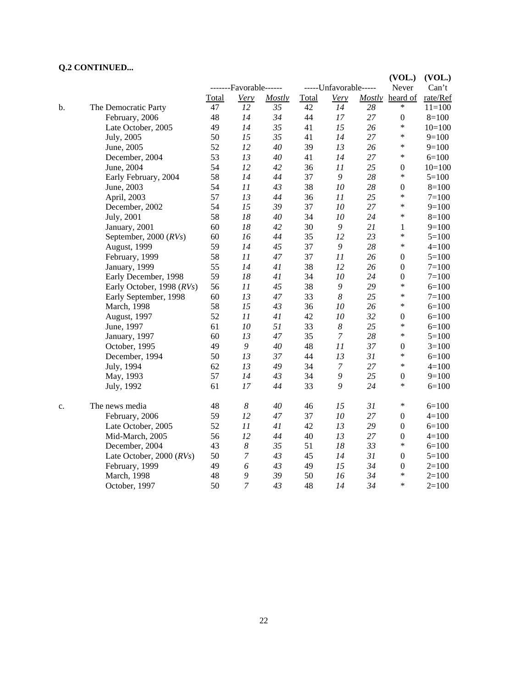## **Q.2 CONTINUED...**

|    |                                |       |                        |        |       |                       |        | (VOL.)           | (VOL.)    |
|----|--------------------------------|-------|------------------------|--------|-------|-----------------------|--------|------------------|-----------|
|    |                                |       | -------Favorable------ |        |       | -----Unfavorable----- |        | Never            | Can't     |
|    |                                | Total | <b>Very</b>            | Mostly | Total | Very                  |        | Mostly heard of  | rate/Ref  |
| b. | The Democratic Party           | 47    | 12                     | 35     | 42    | 14                    | 28     | *                | $11=100$  |
|    | February, 2006                 | 48    | 14                     | 34     | 44    | 17                    | 27     | $\boldsymbol{0}$ | $8=100$   |
|    | Late October, 2005             | 49    | 14                     | 35     | 41    | 15                    | 26     | $\ast$           | $10=100$  |
|    | July, 2005                     | 50    | 15                     | 35     | 41    | 14                    | 27     | $\ast$           | $9=100$   |
|    | June, 2005                     | 52    | 12                     | 40     | 39    | 13                    | 26     | *                | $9=100$   |
|    | December, 2004                 | 53    | 13                     | 40     | 41    | 14                    | 27     | $\ast$           | $6=100$   |
|    | June, 2004                     | 54    | 12                     | 42     | 36    | 11                    | 25     | $\boldsymbol{0}$ | $10=100$  |
|    | Early February, 2004           | 58    | 14                     | 44     | 37    | 9                     | $28\,$ | $\ast$           | $5=100$   |
|    | June, 2003                     | 54    | 11                     | 43     | 38    | 10                    | 28     | $\boldsymbol{0}$ | $8=100$   |
|    | April, 2003                    | 57    | 13                     | 44     | 36    | 11                    | 25     | *                | $7 = 100$ |
|    | December, 2002                 | 54    | 15                     | 39     | 37    | 10                    | 27     | *                | $9=100$   |
|    | July, 2001                     | 58    | 18                     | 40     | 34    | $10\,$                | 24     | $\ast$           | $8=100$   |
|    | January, 2001                  | 60    | 18                     | 42     | 30    | 9                     | 21     | 1                | $9=100$   |
|    | September, 2000 (RVs)          | 60    | 16                     | 44     | 35    | 12                    | 23     | *                | $5=100$   |
|    | August, 1999                   | 59    | 14                     | 45     | 37    | 9                     | 28     | $\ast$           | $4=100$   |
|    | February, 1999                 | 58    | 11                     | 47     | 37    | 11                    | 26     | $\boldsymbol{0}$ | $5 = 100$ |
|    | January, 1999                  | 55    | 14                     | 41     | 38    | 12                    | 26     | $\boldsymbol{0}$ | $7 = 100$ |
|    | Early December, 1998           | 59    | 18                     | 41     | 34    | 10                    | 24     | $\boldsymbol{0}$ | $7 = 100$ |
|    | Early October, 1998 (RVs)      | 56    | 11                     | 45     | 38    | 9                     | 29     | *                | $6=100$   |
|    | Early September, 1998          | 60    | 13                     | 47     | 33    | $\boldsymbol{8}$      | 25     | *                | $7=100$   |
|    | March, 1998                    | 58    | 15                     | 43     | 36    | 10                    | 26     | $\ast$           | $6=100$   |
|    | August, 1997                   | 52    | 11                     | 41     | 42    | 10                    | 32     | $\boldsymbol{0}$ | $6=100$   |
|    | June, 1997                     | 61    | 10                     | 51     | 33    | $\boldsymbol{8}$      | 25     | *                | $6=100$   |
|    | January, 1997                  | 60    | 13                     | 47     | 35    | $\boldsymbol{7}$      | 28     | $\ast$           | $5=100$   |
|    | October, 1995                  | 49    | $\boldsymbol{9}$       | 40     | 48    | 11                    | 37     | $\boldsymbol{0}$ | $3=100$   |
|    | December, 1994                 | 50    | 13                     | 37     | 44    | 13                    | 31     | $\ast$           | $6=100$   |
|    | July, 1994                     | 62    | 13                     | 49     | 34    | $\boldsymbol{7}$      | 27     | $\ast$           | $4 = 100$ |
|    | May, 1993                      | 57    | 14                     | 43     | 34    | 9                     | 25     | $\boldsymbol{0}$ | $9=100$   |
|    | July, 1992                     | 61    | 17                     | 44     | 33    | 9                     | 24     | *                | $6=100$   |
| c. | The news media                 | 48    | 8                      | 40     | 46    | 15                    | 31     | $\ast$           | $6=100$   |
|    | February, 2006                 | 59    | 12                     | 47     | 37    | $10\,$                | 27     | $\boldsymbol{0}$ | $4 = 100$ |
|    | Late October, 2005             | 52    | 11                     | 41     | 42    | 13                    | 29     | $\boldsymbol{0}$ | $6=100$   |
|    | Mid-March, 2005                | 56    | 12                     | 44     | 40    | 13                    | 27     | $\boldsymbol{0}$ | $4 = 100$ |
|    | December, 2004                 | 43    | $\boldsymbol{8}$       | 35     | 51    | 18                    | 33     | $\ast$           | $6=100$   |
|    | Late October, $2000$ ( $RVs$ ) | 50    | $\boldsymbol{7}$       | 43     | 45    | 14                    | 31     | $\boldsymbol{0}$ | $5=100$   |
|    | February, 1999                 | 49    | 6                      | 43     | 49    | 15                    | 34     | $\boldsymbol{0}$ | $2=100$   |
|    | March, 1998                    | 48    | 9                      | 39     | 50    | 16                    | 34     | $\ast$           | $2=100$   |
|    | October, 1997                  | 50    | 7                      | 43     | 48    | 14                    | 34     | $\ast$           | $2=100$   |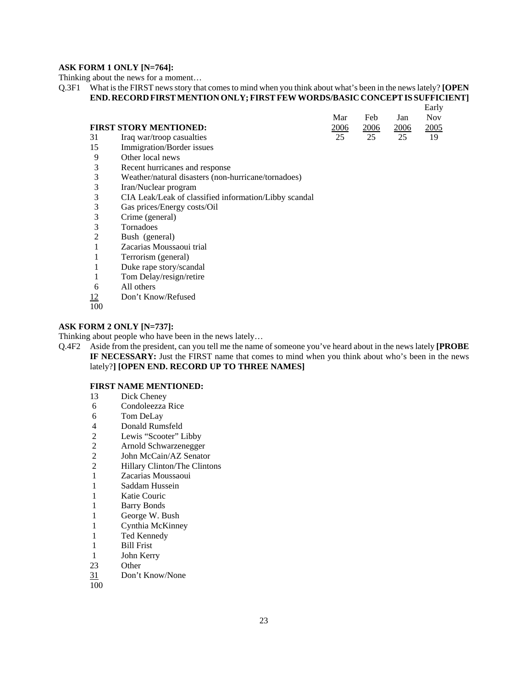#### **ASK FORM 1 ONLY [N=764]:**

Thinking about the news for a moment…

Q.3F1 What is the FIRST news story that comes to mind when you think about what's been in the news lately? **[OPEN END. RECORD FIRST MENTION ONLY; FIRST FEW WORDS/BASIC CONCEPT IS SUFFICIENT]**

|     |                              |      |      |      | Early |  |
|-----|------------------------------|------|------|------|-------|--|
|     |                              | Mar  | Feb  | Jan  | Nov.  |  |
|     | FIRST STORY MENTIONED:       | 2006 | 2006 | 2006 | 2005  |  |
|     | 31 Iraq war/troop casualties |      | 25   | 25   | 19    |  |
| - - |                              |      |      |      |       |  |

- 15 Immigration/Border issues
- 9 Other local news<br>3 Recent hurricanes
- Recent hurricanes and response
- 3 Weather/natural disasters (non-hurricane/tornadoes)<br>3 Iran/Nuclear program
- 3 Iran/Nuclear program<br>3 CIA Leak/Leak of clas
- 3 CIA Leak/Leak of classified information/Libby scandal
- 3 Gas prices/Energy costs/Oil
- 3 Crime (general)
- 3 Tornadoes
- 2 Bush (general)
- 1 Zacarias Moussaoui trial
- 1 Terrorism (general)
- 1 Duke rape story/scandal
- 1 Tom Delay/resign/retire
- 6 All others
- 12 Don't Know/Refused
- 100

#### **ASK FORM 2 ONLY [N=737]:**

Thinking about people who have been in the news lately…

Q.4F2 Aside from the president, can you tell me the name of someone you've heard about in the news lately **[PROBE IF NECESSARY:** Just the FIRST name that comes to mind when you think about who's been in the news lately?**] [OPEN END. RECORD UP TO THREE NAMES]**

#### **FIRST NAME MENTIONED:**

- 13 Dick Cheney
- 6 Condoleezza Rice
- 6 Tom DeLay
- 4 Donald Rumsfeld
- 2 Lewis "Scooter" Libby
- 2 Arnold Schwarzenegger
- 2 John McCain/AZ Senator
- 2 Hillary Clinton/The Clintons
- 1 Zacarias Moussaoui
- 1 Saddam Hussein
- 1 Katie Couric
- 1 Barry Bonds
- 1 George W. Bush
- 1 Cynthia McKinney
- 1 Ted Kennedy
- 1 Bill Frist
- 1 John Kerry
- 23 Other
- 31 Don't Know/None
- 100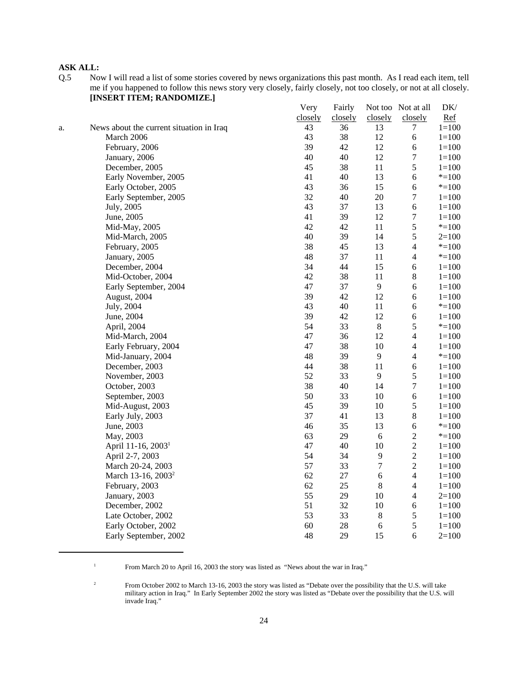## **ASK ALL:**

Q.5 Now I will read a list of some stories covered by news organizations this past month. As I read each item, tell me if you happened to follow this news story very closely, fairly closely, not too closely, or not at all closely. **[INSERT ITEM; RANDOMIZE.]**

|    |                                          | Very    | Fairly  |                  | Not too Not at all | DK/       |
|----|------------------------------------------|---------|---------|------------------|--------------------|-----------|
|    |                                          | closely | closely | closely          | closely            | Ref       |
| a. | News about the current situation in Iraq | 43      | 36      | 13               | 7                  | $1 = 100$ |
|    | March 2006                               | 43      | 38      | 12               | 6                  | $1 = 100$ |
|    | February, 2006                           | 39      | 42      | 12               | 6                  | $1 = 100$ |
|    | January, 2006                            | 40      | $40\,$  | 12               | $\boldsymbol{7}$   | $1 = 100$ |
|    | December, 2005                           | 45      | 38      | 11               | 5                  | $1 = 100$ |
|    | Early November, 2005                     | 41      | 40      | 13               | $\epsilon$         | $* = 100$ |
|    | Early October, 2005                      | 43      | 36      | 15               | $\epsilon$         | $* = 100$ |
|    | Early September, 2005                    | 32      | $40\,$  | $20\,$           | $\boldsymbol{7}$   | $1 = 100$ |
|    | July, 2005                               | 43      | 37      | 13               | $\epsilon$         | $1 = 100$ |
|    | June, 2005                               | 41      | 39      | 12               | $\boldsymbol{7}$   | $1 = 100$ |
|    | Mid-May, 2005                            | 42      | 42      | 11               | 5                  | $* = 100$ |
|    | Mid-March, 2005                          | 40      | 39      | 14               | 5                  | $2=100$   |
|    | February, 2005                           | 38      | 45      | 13               | $\overline{4}$     | $* = 100$ |
|    | January, 2005                            | 48      | 37      | 11               | $\overline{4}$     | $* = 100$ |
|    | December, 2004                           | 34      | 44      | 15               | $\epsilon$         | $1 = 100$ |
|    | Mid-October, 2004                        | 42      | 38      | 11               | $8\,$              | $1 = 100$ |
|    | Early September, 2004                    | 47      | 37      | $\overline{9}$   | $\sqrt{6}$         | $1 = 100$ |
|    | August, 2004                             | 39      | 42      | 12               | $\epsilon$         | $1 = 100$ |
|    | July, 2004                               | 43      | 40      | 11               | 6                  | $* = 100$ |
|    | June, 2004                               | 39      | 42      | 12               | $\epsilon$         | $1 = 100$ |
|    | April, 2004                              | 54      | 33      | $8\,$            | $\sqrt{5}$         | $* = 100$ |
|    | Mid-March, 2004                          | 47      | 36      | 12               | $\overline{4}$     | $1 = 100$ |
|    | Early February, 2004                     | 47      | 38      | $10\,$           | $\overline{4}$     | $1 = 100$ |
|    | Mid-January, 2004                        | 48      | 39      | 9                | $\overline{4}$     | $* = 100$ |
|    | December, 2003                           | 44      | 38      | 11               | $\epsilon$         | $1 = 100$ |
|    | November, 2003                           | 52      | 33      | 9                | 5                  | $1 = 100$ |
|    | October, 2003                            | 38      | 40      | 14               | $\boldsymbol{7}$   | $1 = 100$ |
|    | September, 2003                          | 50      | 33      | 10               | $\epsilon$         | $1 = 100$ |
|    | Mid-August, 2003                         | 45      | 39      | 10               | 5                  | $1 = 100$ |
|    | Early July, 2003                         | 37      | 41      | 13               | $8\,$              | $1 = 100$ |
|    | June, 2003                               | 46      | 35      | 13               | $\epsilon$         | $* = 100$ |
|    | May, 2003                                | 63      | 29      | 6                | $\sqrt{2}$         | $* = 100$ |
|    | April 11-16, 2003 <sup>1</sup>           | 47      | 40      | 10               | $\sqrt{2}$         | $1 = 100$ |
|    | April 2-7, 2003                          | 54      | 34      | $\overline{9}$   | $\sqrt{2}$         | $1 = 100$ |
|    | March 20-24, 2003                        | 57      | 33      | $\boldsymbol{7}$ | $\sqrt{2}$         | $1 = 100$ |
|    | March 13-16, 2003 <sup>2</sup>           | 62      | $27\,$  | $\sqrt{6}$       | $\overline{4}$     | $1 = 100$ |
|    | February, 2003                           | 62      | 25      | $8\,$            | $\overline{4}$     | $1 = 100$ |
|    | January, 2003                            | 55      | 29      | 10               | $\overline{4}$     | $2=100$   |
|    | December, 2002                           | 51      | 32      | 10               | $\epsilon$         | $1 = 100$ |
|    | Late October, 2002                       | 53      | 33      | $\,8\,$          | $\mathfrak s$      | $1 = 100$ |
|    | Early October, 2002                      | 60      | 28      | $\sqrt{6}$       | 5                  | $1 = 100$ |
|    | Early September, 2002                    | 48      | 29      | 15               | 6                  | $2=100$   |
|    |                                          |         |         |                  |                    |           |

<sup>&</sup>lt;sup>1</sup> From March 20 to April 16, 2003 the story was listed as "News about the war in Iraq."

<sup>&</sup>lt;sup>2</sup> From October 2002 to March 13-16, 2003 the story was listed as "Debate over the possibility that the U.S. will take military action in Iraq." In Early September 2002 the story was listed as "Debate over the possibility that the U.S. will invade Iraq."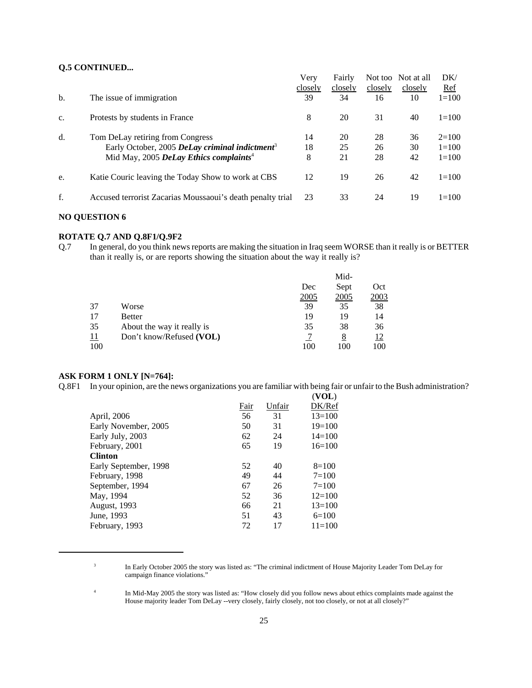## **Q.5 CONTINUED...**

|    |                                                            | Verv    | Fairly  |         | Not too Not at all | DK/        |
|----|------------------------------------------------------------|---------|---------|---------|--------------------|------------|
|    |                                                            | closely | closely | closely | closely            | <u>Ref</u> |
| b. | The issue of immigration                                   | 39      | 34      | 16      | 10                 | $1 = 100$  |
| c. | Protests by students in France                             | 8       | 20      | 31      | 40                 | $1=100$    |
| d. | Tom DeLay retiring from Congress                           | 14      | 20      | 28      | 36                 | $2=100$    |
|    | Early October, 2005 DeLay criminal indictment <sup>3</sup> | 18      | 25      | 26      | 30                 | $1 = 100$  |
|    | Mid May, 2005 DeLay Ethics complaints <sup>4</sup>         | 8       | 21      | 28      | 42                 | $1 = 100$  |
| e. | Katie Couric leaving the Today Show to work at CBS         | 12      | 19      | 26      | 42                 | $1 = 100$  |
| f. | Accused terrorist Zacarias Moussaoui's death penalty trial | 23      | 33      | 24      | 19                 | $1=100$    |

#### **NO QUESTION 6**

## **ROTATE Q.7 AND Q.8F1/Q.9F2**

Q.7 In general, do you think news reports are making the situation in Iraq seem WORSE than it really is or BETTER than it really is, or are reports showing the situation about the way it really is?

|            |                            |      | Mid- |      |
|------------|----------------------------|------|------|------|
|            |                            | Dec  | Sept | Oct  |
|            |                            | 2005 | 2005 | 2003 |
| 37         | Worse                      | 39   | 35   | 38   |
| 17         | <b>Better</b>              | 19   | 19   | 14   |
| 35         | About the way it really is | 35   | 38   | 36   |
| <u> 11</u> | Don't know/Refused (VOL)   |      | 8    | 12   |
| 100        |                            | 100  | 100  | 100  |

#### **ASK FORM 1 ONLY [N=764]:**

Q.8F1 In your opinion, are the news organizations you are familiar with being fair or unfair to the Bush administration?

|                       |      |        | (VOL)      |
|-----------------------|------|--------|------------|
|                       | Fair | Unfair | DK/Ref     |
| April, 2006           | 56   | 31     | $13=100$   |
| Early November, 2005  | 50   | 31     | $19=100$   |
| Early July, 2003      | 62   | 24     | $14 = 100$ |
| February, 2001        | 65   | 19     | $16=100$   |
| <b>Clinton</b>        |      |        |            |
| Early September, 1998 | 52   | 40     | $8=100$    |
| February, 1998        | 49   | 44     | $7 = 100$  |
| September, 1994       | 67   | 26     | $7 = 100$  |
| May, 1994             | 52   | 36     | $12 = 100$ |
| <b>August, 1993</b>   | 66   | 21     | $13 = 100$ |
| June, 1993            | 51   | 43     | $6=100$    |
| February, 1993        | 72   | 17     | $11 = 100$ |
|                       |      |        |            |

<sup>3</sup> In Early October 2005 the story was listed as: "The criminal indictment of House Majority Leader Tom DeLay for campaign finance violations."

<sup>4</sup> In Mid-May 2005 the story was listed as: "How closely did you follow news about ethics complaints made against the House majority leader Tom DeLay --very closely, fairly closely, not too closely, or not at all closely?"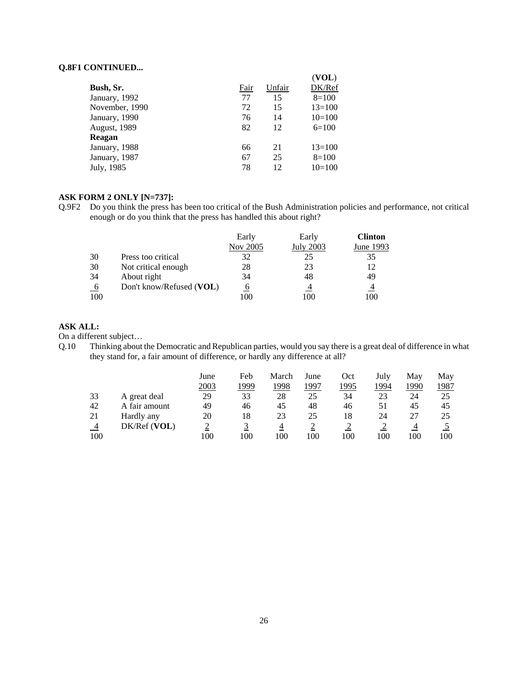#### **Q.8F1 CONTINUED...**

|                     |      |        | (VOL)    |
|---------------------|------|--------|----------|
| Bush, Sr.           | Fair | Unfair | DK/Ref   |
| January, 1992       | 77   | 15     | $8=100$  |
| November, 1990      | 72   | 15     | $13=100$ |
| January, 1990       | 76   | 14     | $10=100$ |
| <b>August, 1989</b> | 82   | 12     | $6=100$  |
| Reagan              |      |        |          |
| January, 1988       | 66   | 21     | $13=100$ |
| January, 1987       | 67   | 25     | $8=100$  |
| July, 1985          | 78   | 12     | $10=100$ |

#### **ASK FORM 2 ONLY [N=737]:**

Q.9F2 Do you think the press has been too critical of the Bush Administration policies and performance, not critical enough or do you think that the press has handled this about right?

|           |                          | Early    | Early     | <b>Clinton</b> |
|-----------|--------------------------|----------|-----------|----------------|
|           |                          | Nov 2005 | July 2003 | June 1993      |
| 30        | Press too critical       | 32       | 25        | 35             |
| 30        | Not critical enough      | 28       | 23        | 12             |
| 34        | About right              | 34       | 48        | 49             |
| <u>_6</u> | Don't know/Refused (VOL) |          |           | $\overline{4}$ |
| 100       |                          |          | 100       | .00            |

## **ASK ALL:**

On a different subject…

Q.10 Thinking about the Democratic and Republican parties, would you say there is a great deal of difference in what they stand for, a fair amount of difference, or hardly any difference at all?

|     |               | June | Feb | March | June | Oct  | July | Mav  | May  |
|-----|---------------|------|-----|-------|------|------|------|------|------|
|     |               | 2003 | 999 | 1998  | .997 | 1995 | 1994 | 1990 | 1987 |
| 33  | A great deal  | 29   | 33  | 28    | 25   | 34   | 23   | 24   | 25   |
| 42  | A fair amount | 49   | 46  | 45    | 48   | 46   | 51   | 45   | 45   |
| 21  | Hardly any    | 20   | 18  | 23    | 25   | 18   | 24   | 27   | 25   |
|     | DK/Ref (VOL)  | ∠    |     | 4     |      | ∼    |      |      |      |
| 100 |               | 100  | 100 | 100   | 100  | 100  | 100  | 100  | 100  |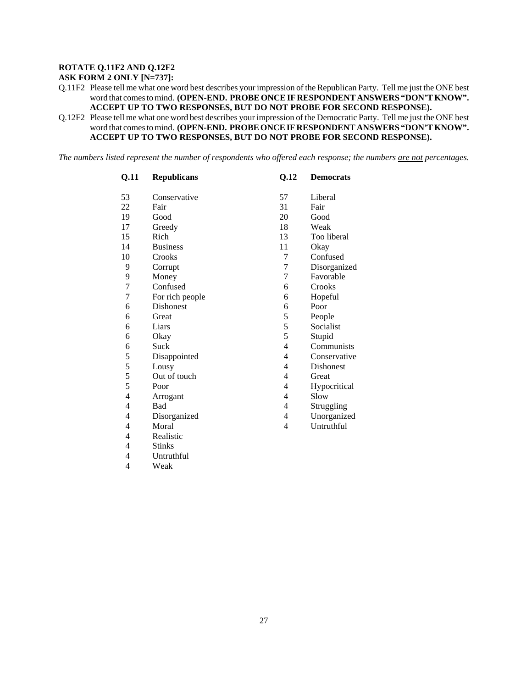#### **ROTATE Q.11F2 AND Q.12F2**

**ASK FORM 2 ONLY [N=737]:**

Q.11F2 Please tell me what one word best describes your impression of the Republican Party. Tell me just the ONE best word that comes to mind. **(OPEN-END. PROBE ONCE IF RESPONDENT ANSWERS "DON'T KNOW". ACCEPT UP TO TWO RESPONSES, BUT DO NOT PROBE FOR SECOND RESPONSE).**

Q.12F2 Please tell me what one word best describes your impression of the Democratic Party. Tell me just the ONE best word that comes to mind. **(OPEN-END. PROBE ONCE IF RESPONDENT ANSWERS "DON'T KNOW". ACCEPT UP TO TWO RESPONSES, BUT DO NOT PROBE FOR SECOND RESPONSE).**

*The numbers listed represent the number of respondents who offered each response; the numbers are not percentages.*

| Q.11 | <b>Republicans</b> | Q.12           | <b>Democrats</b> |
|------|--------------------|----------------|------------------|
| 53   | Conservative       | 57             | Liberal          |
| 22   | Fair               | 31             | Fair             |
| 19   | Good               | 20             | Good             |
| 17   | Greedy             | 18             | Weak             |
| 15   | Rich               | 13             | Too liberal      |
| 14   | <b>Business</b>    | 11             | Okay             |
| 10   | Crooks             | 7              | Confused         |
| 9    | Corrupt            | 7              | Disorganized     |
| 9    | Money              | 7              | Favorable        |
| 7    | Confused           | 6              | Crooks           |
| 7    | For rich people    | 6              | Hopeful          |
| 6    | <b>Dishonest</b>   | 6              | Poor             |
| 6    | Great              | 5              | People           |
| 6    | Liars              | 5              | Socialist        |
| 6    | Okay               | 5              | Stupid           |
| 6    | Suck               | $\overline{4}$ | Communists       |
| 5    | Disappointed       | $\overline{4}$ | Conservative     |
| 5    | Lousy              | $\overline{4}$ | <b>Dishonest</b> |
| 5    | Out of touch       | $\overline{4}$ | Great            |
| 5    | Poor               | $\overline{4}$ | Hypocritical     |
| 4    | Arrogant           | $\overline{4}$ | Slow             |
| 4    | <b>Bad</b>         | 4              | Struggling       |
| 4    | Disorganized       | 4              | Unorganized      |
| 4    | Moral              | $\overline{4}$ | Untruthful       |
| 4    | Realistic          |                |                  |
| 4    | <b>Stinks</b>      |                |                  |
| 4    | Untruthful         |                |                  |

4 Weak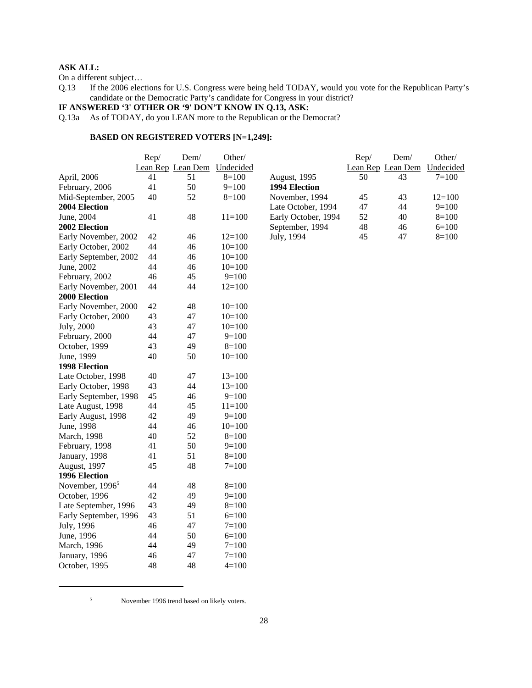## **ASK ALL:**

On a different subject...<br>Q.13 If the 2006 elec-If the 2006 elections for U.S. Congress were being held TODAY, would you vote for the Republican Party's candidate or the Democratic Party's candidate for Congress in your district?

#### **IF ANSWERED '3' OTHER OR '9' DON'T KNOW IN Q.13, ASK:**

Q.13a As of TODAY, do you LEAN more to the Republican or the Democrat?

#### **BASED ON REGISTERED VOTERS [N=1,249]:**

|                             | Rep/ | Dem/                        | Other/     |                     | Rep/ | Dem/              | Other/    |
|-----------------------------|------|-----------------------------|------------|---------------------|------|-------------------|-----------|
|                             |      | Lean Rep Lean Dem Undecided |            |                     |      | Lean Rep Lean Dem | Undecided |
| April, 2006                 | 41   | 51                          | $8=100$    | August, 1995        | 50   | 43                | $7=100$   |
| February, 2006              | 41   | 50                          | $9=100$    | 1994 Election       |      |                   |           |
| Mid-September, 2005         | 40   | 52                          | $8=100$    | November, 1994      | 45   | 43                | $12=100$  |
| 2004 Election               |      |                             |            | Late October, 1994  | 47   | 44                | $9=100$   |
| June, 2004                  | 41   | 48                          | $11 = 100$ | Early October, 1994 | 52   | 40                | $8=100$   |
| 2002 Election               |      |                             |            | September, 1994     | 48   | 46                | $6=100$   |
| Early November, 2002        | 42   | 46                          | $12=100$   | July, 1994          | 45   | 47                | $8=100$   |
| Early October, 2002         | 44   | 46                          | $10=100$   |                     |      |                   |           |
| Early September, 2002       | 44   | 46                          | $10=100$   |                     |      |                   |           |
| June, 2002                  | 44   | 46                          | $10=100$   |                     |      |                   |           |
| February, 2002              | 46   | 45                          | $9=100$    |                     |      |                   |           |
| Early November, 2001        | 44   | 44                          | $12=100$   |                     |      |                   |           |
| 2000 Election               |      |                             |            |                     |      |                   |           |
| Early November, 2000        | 42   | 48                          | $10=100$   |                     |      |                   |           |
| Early October, 2000         | 43   | 47                          | $10=100$   |                     |      |                   |           |
| July, 2000                  | 43   | 47                          | $10=100$   |                     |      |                   |           |
| February, 2000              | 44   | 47                          | $9=100$    |                     |      |                   |           |
| October, 1999               | 43   | 49                          | $8=100$    |                     |      |                   |           |
| June, 1999                  | 40   | 50                          | $10=100$   |                     |      |                   |           |
| 1998 Election               |      |                             |            |                     |      |                   |           |
| Late October, 1998          | 40   | 47                          | $13=100$   |                     |      |                   |           |
| Early October, 1998         | 43   | 44                          | $13=100$   |                     |      |                   |           |
| Early September, 1998       | 45   | 46                          | $9=100$    |                     |      |                   |           |
| Late August, 1998           | 44   | 45                          | $11 = 100$ |                     |      |                   |           |
| Early August, 1998          | 42   | 49                          | $9=100$    |                     |      |                   |           |
| June, 1998                  | 44   | 46                          | $10=100$   |                     |      |                   |           |
| March, 1998                 | 40   | 52                          | $8=100$    |                     |      |                   |           |
| February, 1998              | 41   | 50                          | $9=100$    |                     |      |                   |           |
| January, 1998               | 41   | 51                          | $8=100$    |                     |      |                   |           |
| August, 1997                | 45   | 48                          | $7=100$    |                     |      |                   |           |
| 1996 Election               |      |                             |            |                     |      |                   |           |
| November, 1996 <sup>5</sup> | 44   | 48                          | $8=100$    |                     |      |                   |           |
| October, 1996               | 42   | 49                          | $9=100$    |                     |      |                   |           |
| Late September, 1996        | 43   | 49                          | $8=100$    |                     |      |                   |           |
| Early September, 1996       | 43   | 51                          | $6=100$    |                     |      |                   |           |
| July, 1996                  | 46   | 47                          | $7=100$    |                     |      |                   |           |
| June, 1996                  | 44   | 50                          | $6=100$    |                     |      |                   |           |
| March, 1996                 | 44   | 49                          | $7 = 100$  |                     |      |                   |           |
| January, 1996               | 46   | 47                          | $7=100$    |                     |      |                   |           |
| October, 1995               | 48   | 48                          | $4 = 100$  |                     |      |                   |           |

<sup>5</sup> November 1996 trend based on likely voters.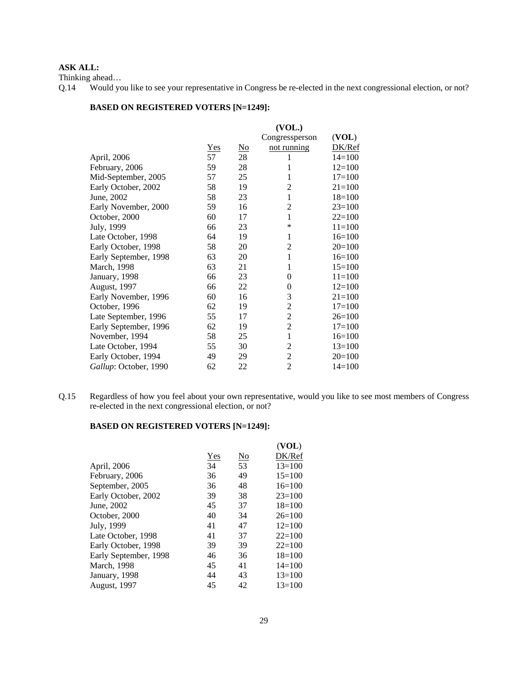#### **ASK ALL:**

Thinking ahead…

Q.14 Would you like to see your representative in Congress be re-elected in the next congressional election, or not?

#### **BASED ON REGISTERED VOTERS [N=1249]:**

|                       |     | (VOL.)                    |                |            |  |  |  |  |
|-----------------------|-----|---------------------------|----------------|------------|--|--|--|--|
|                       |     |                           | Congressperson | (VOL)      |  |  |  |  |
|                       | Yes | $\underline{\mathrm{No}}$ | not running    | DK/Ref     |  |  |  |  |
| April, 2006           | 57  | 28                        | 1              | $14=100$   |  |  |  |  |
| February, 2006        | 59  | 28                        | 1              | $12=100$   |  |  |  |  |
| Mid-September, 2005   | 57  | 25                        | 1              | $17=100$   |  |  |  |  |
| Early October, 2002   | 58  | 19                        | 2              | $21 = 100$ |  |  |  |  |
| June, 2002            | 58  | 23                        | 1              | $18=100$   |  |  |  |  |
| Early November, 2000  | 59  | 16                        | 2              | $23=100$   |  |  |  |  |
| October, 2000         | 60  | 17                        | 1              | $22=100$   |  |  |  |  |
| July, 1999            | 66  | 23                        | ∗              | $11 = 100$ |  |  |  |  |
| Late October, 1998    | 64  | 19                        | 1              | $16=100$   |  |  |  |  |
| Early October, 1998   | 58  | 20                        | 2              | $20=100$   |  |  |  |  |
| Early September, 1998 | 63  | 20                        | 1              | $16=100$   |  |  |  |  |
| March, 1998           | 63  | 21                        | 1              | $15=100$   |  |  |  |  |
| January, 1998         | 66  | 23                        | 0              | $11 = 100$ |  |  |  |  |
| August, 1997          | 66  | 22                        | $\theta$       | $12=100$   |  |  |  |  |
| Early November, 1996  | 60  | 16                        | 3              | $21 = 100$ |  |  |  |  |
| October, 1996         | 62  | 19                        | 2              | $17=100$   |  |  |  |  |
| Late September, 1996  | 55  | 17                        | 2              | $26=100$   |  |  |  |  |
| Early September, 1996 | 62  | 19                        | $\overline{2}$ | $17=100$   |  |  |  |  |
| November, 1994        | 58  | 25                        | 1              | $16=100$   |  |  |  |  |
| Late October, 1994    | 55  | 30                        | 2              | $13=100$   |  |  |  |  |
| Early October, 1994   | 49  | 29                        | 2              | $20=100$   |  |  |  |  |
| Gallup: October, 1990 | 62  | 22                        | 2              | $14=100$   |  |  |  |  |
|                       |     |                           |                |            |  |  |  |  |

Q.15 Regardless of how you feel about your own representative, would you like to see most members of Congress re-elected in the next congressional election, or not?

#### **BASED ON REGISTERED VOTERS [N=1249]:**

|                       |            |                        | (VOL)      |
|-----------------------|------------|------------------------|------------|
|                       | <b>Yes</b> | $\overline{\text{No}}$ | DK/Ref     |
| April, 2006           | 34         | 53                     | $13=100$   |
| February, 2006        | 36         | 49                     | $15=100$   |
| September, 2005       | 36         | 48                     | $16=100$   |
| Early October, 2002   | 39         | 38                     | $23=100$   |
| June, 2002            | 45         | 37                     | $18=100$   |
| October, 2000         | 40         | 34                     | $26=100$   |
| July, 1999            | 41         | 47                     | $12=100$   |
| Late October, 1998    | 41         | 37                     | $22 = 100$ |
| Early October, 1998   | 39         | 39                     | $22=100$   |
| Early September, 1998 | 46         | 36                     | $18=100$   |
| March, 1998           | 45         | 41                     | $14 = 100$ |
| January, 1998         | 44         | 43                     | $13=100$   |
| August, 1997          | 45         | 42                     | $13=100$   |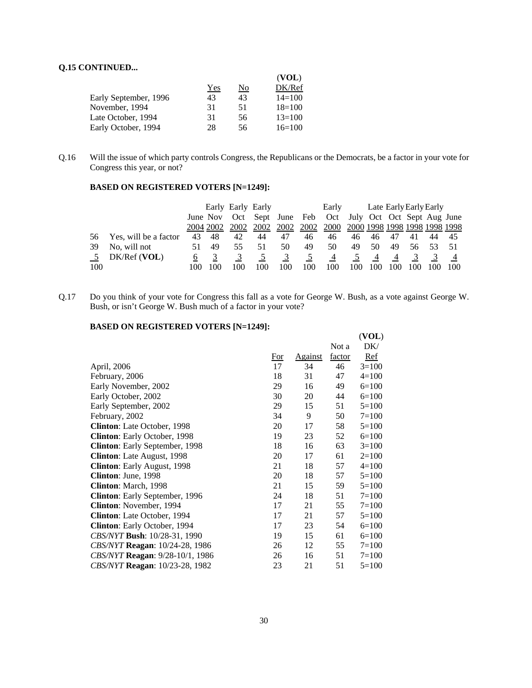#### **Q.15 CONTINUED...**

|                       |     |    | (VOL)      |
|-----------------------|-----|----|------------|
|                       | Yes | No | DK/Ref     |
| Early September, 1996 | 43  | 43 | $14 = 100$ |
| November, 1994        | 31  | 51 | $18=100$   |
| Late October, 1994    | 31  | 56 | $13=100$   |
| Early October, 1994   | 28  | 56 | $16=100$   |

Q.16 Will the issue of which party controls Congress, the Republicans or the Democrats, be a factor in your vote for Congress this year, or not?

#### **BASED ON REGISTERED VOTERS [N=1249]:**

|                |                       |    |          | Early Early Early |     |                   |     | Early                          |     |     |                |     | Late Early Early Early |     |
|----------------|-----------------------|----|----------|-------------------|-----|-------------------|-----|--------------------------------|-----|-----|----------------|-----|------------------------|-----|
|                |                       |    | June Nov |                   |     | Oct Sept June Feb |     | Oct July Oct Oct Sept Aug June |     |     |                |     |                        |     |
|                |                       |    |          |                   |     |                   |     |                                |     |     |                |     |                        |     |
| 56             | Yes, will be a factor | 43 | 48       | 42                | 44  | 47                | 46  | 46                             | 46  | 46. | 47             | 41  | 44                     | -45 |
| 39             | No, will not          |    | 49       | 55.               | -51 | 50.               | 49  | 50                             | 49  | 50  | 49             | 56. |                        |     |
| 5 <sup>5</sup> | $DK/Ref$ (VOL)        |    |          |                   |     | $\mathfrak{I}$    |     | $\overline{4}$                 |     | 4   | $\overline{4}$ | 3   |                        |     |
| 100            |                       |    |          | 100               |     | 100               | 100 | 100                            | .00 |     |                |     |                        | 100 |

Q.17 Do you think of your vote for Congress this fall as a vote for George W. Bush, as a vote against George W. Bush, or isn't George W. Bush much of a factor in your vote?

#### **BASED ON REGISTERED VOTERS [N=1249]:**

|                                        |       |         |        | (VOL)     |
|----------------------------------------|-------|---------|--------|-----------|
|                                        |       |         | Not a  | DK/       |
|                                        | $For$ | Against | factor | Ref       |
| April, 2006                            | 17    | 34      | 46     | $3=100$   |
| February, 2006                         | 18    | 31      | 47     | $4=100$   |
| Early November, 2002                   | 29    | 16      | 49     | $6=100$   |
| Early October, 2002                    | 30    | 20      | 44     | $6=100$   |
| Early September, 2002                  | 29    | 15      | 51     | $5=100$   |
| February, 2002                         | 34    | 9       | 50     | $7 = 100$ |
| Clinton: Late October, 1998            | 20    | 17      | 58     | $5=100$   |
| Clinton: Early October, 1998           | 19    | 23      | 52     | $6=100$   |
| Clinton: Early September, 1998         | 18    | 16      | 63     | $3=100$   |
| Clinton: Late August, 1998             | 20    | 17      | 61     | $2=100$   |
| Clinton: Early August, 1998            | 21    | 18      | 57     | $4=100$   |
| Clinton: June, 1998                    | 20    | 18      | 57     | $5=100$   |
| Clinton: March, 1998                   | 21    | 15      | 59     | $5=100$   |
| <b>Clinton:</b> Early September, 1996  | 24    | 18      | 51     | $7=100$   |
| <b>Clinton:</b> November, 1994         | 17    | 21      | 55     | $7 = 100$ |
| <b>Clinton:</b> Late October, 1994     | 17    | 21      | 57     | $5=100$   |
| Clinton: Early October, 1994           | 17    | 23      | 54     | $6=100$   |
| CBS/NYT Bush: 10/28-31, 1990           | 19    | 15      | 61     | $6=100$   |
| <i>CBS/NYT</i> Reagan: 10/24-28, 1986  | 26    | 12      | 55     | $7 = 100$ |
| <i>CBS/NYT</i> Reagan: 9/28-10/1, 1986 | 26    | 16      | 51     | $7=100$   |
| <i>CBS/NYT</i> Reagan: 10/23-28, 1982  | 23    | 21      | 51     | $5=100$   |
|                                        |       |         |        |           |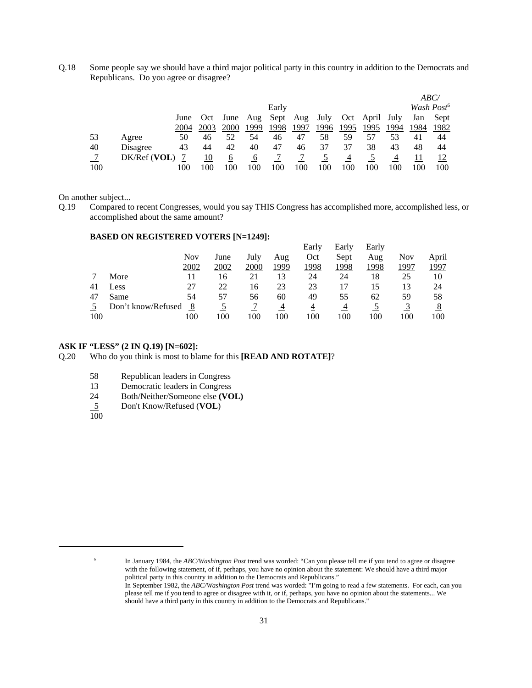Q.18 Some people say we should have a third major political party in this country in addition to the Democrats and Republicans. Do you agree or disagree?

|     |              |      |      |                        |      |       |      |      |      |                |      |      | ABC/                   |
|-----|--------------|------|------|------------------------|------|-------|------|------|------|----------------|------|------|------------------------|
|     |              |      |      |                        |      | Early |      |      |      |                |      |      | Wash Post <sup>6</sup> |
|     |              | June | Oct  | June Aug Sept Aug July |      |       |      |      |      | Oct April July |      | Jan  | Sept                   |
|     |              | 2004 | 2003 | 2000                   | 1999 | 1998  | 1997 | 1996 | 1995 | 1995           | 1994 | 1984 | 1982                   |
| 53  | Agree        | 50   | 46   | 52                     | 54   | 46    | 47   | 58   | 59   | 57             | 53   | 41   | 44                     |
| 40  | Disagree     | 43   | 44   | 42                     | 40   | 47    | 46   | 37   | 37   | 38             | 43   | 48   | 44                     |
| - 7 | DK/Ref (VOL) |      | 10   | 6                      | 6    |       |      |      | 4    |                | 4    |      |                        |
| 100 |              | 100  | .00  | 100                    | 100  |       | 100  | 100  | 100  | 100            | 100  | 100  | 100                    |

On another subject...

Q.19 Compared to recent Congresses, would you say THIS Congress has accomplished more, accomplished less, or accomplished about the same amount?

#### **BASED ON REGISTERED VOTERS [N=1249]:**

|     |                    |      |      |      |      | Early | Early | Early |      |       |
|-----|--------------------|------|------|------|------|-------|-------|-------|------|-------|
|     |                    | Nov  | June | July | Aug  | Oct   | Sept  | Aug   | Nov  | April |
|     |                    | 2002 | 2002 | 2000 | 1999 | 1998  | 1998  | 1998  | 1997 | 1997  |
|     | More               | 11   | 16   | 21   | 13   | 24    | 24    | 18    | 25   | 10    |
| 41  | Less               | 27   | 22   | 16   | 23   | 23    |       | 15    | 13   | 24    |
| 47  | Same               | 54   | 57   | 56   | 60   | 49    | 55    | 62    | 59   | 58    |
|     | Don't know/Refused | 8    |      |      |      | 4     | 4     |       |      | 8     |
| 100 |                    | 100  | 100  | 100  | 100  | 100   | 100   | 100   | 100  | 100   |

#### **ASK IF "LESS" (2 IN Q.19) [N=602]:**

Q.20 Who do you think is most to blame for this **[READ AND ROTATE]**?

- 58 Republican leaders in Congress
- 13 Democratic leaders in Congress
- 24 Both/Neither/Someone else **(VOL)**
- 5 Don't Know/Refused (**VOL**)
- 100

<sup>6</sup> In January 1984, the *ABC/Washington Post* trend was worded: "Can you please tell me if you tend to agree or disagree with the following statement, of if, perhaps, you have no opinion about the statement: We should have a third major political party in this country in addition to the Democrats and Republicans."

In September 1982, the *ABC/Washington Post* trend was worded: "I'm going to read a few statements. For each, can you please tell me if you tend to agree or disagree with it, or if, perhaps, you have no opinion about the statements... We should have a third party in this country in addition to the Democrats and Republicans."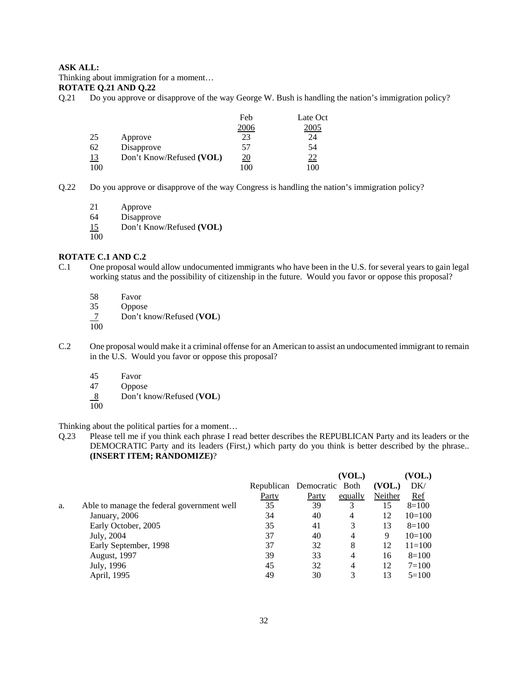#### **ASK ALL:**

Thinking about immigration for a moment…

## **ROTATE Q.21 AND Q.22**

Q.21 Do you approve or disapprove of the way George W. Bush is handling the nation's immigration policy?

|           |                          | Feb        | Late Oct  |
|-----------|--------------------------|------------|-----------|
|           |                          | 2006       | 2005      |
| 25        | Approve                  | 23         | 24        |
| 62        | Disapprove               | 57         | 54        |
| <u>13</u> | Don't Know/Refused (VOL) | <u> 20</u> | <u>22</u> |
| 100       |                          | 100        | 100       |

- Q.22 Do you approve or disapprove of the way Congress is handling the nation's immigration policy?
	- 21 Approve

64 Disapprove

- 15 Don't Know/Refused **(VOL)**
- 100

#### **ROTATE C.1 AND C.2**

- C.1 One proposal would allow undocumented immigrants who have been in the U.S. for several years to gain legal working status and the possibility of citizenship in the future. Would you favor or oppose this proposal?
	- 58 Favor<br>35 Oppos
	- **Oppose**
	- 7 Don't know/Refused (**VOL**)
	- 100
- C.2 One proposal would make it a criminal offense for an American to assist an undocumented immigrant to remain in the U.S. Would you favor or oppose this proposal?
	- 45 Favor
	- 47 Oppose
	- 8 Don't know/Refused (**VOL**)
	- $\overline{100}$

Thinking about the political parties for a moment…

Q.23 Please tell me if you think each phrase I read better describes the REPUBLICAN Party and its leaders or the DEMOCRATIC Party and its leaders (First,) which party do you think is better described by the phrase.. **(INSERT ITEM; RANDOMIZE)**?

|    |                                            |                            |       | (VOL.)         |         | (VOL.)     |
|----|--------------------------------------------|----------------------------|-------|----------------|---------|------------|
|    |                                            | Republican Democratic Both |       |                | (VOL.)  | DK/        |
|    |                                            | Party                      | Party | equally        | Neither | Ref        |
| a. | Able to manage the federal government well | 35                         | 39    | 3              | 15      | $8=100$    |
|    | January, 2006                              | 34                         | 40    | $\overline{4}$ | 12      | $10=100$   |
|    | Early October, 2005                        | 35                         | 41    | 3              | 13      | $8=100$    |
|    | July, 2004                                 | 37                         | 40    | $\overline{4}$ | 9       | $10=100$   |
|    | Early September, 1998                      | 37                         | 32    | 8              | 12      | $11 = 100$ |
|    | <b>August, 1997</b>                        | 39                         | 33    | $\overline{4}$ | 16      | $8=100$    |
|    | July, 1996                                 | 45                         | 32    | $\overline{4}$ | 12      | $7 = 100$  |
|    | April, 1995                                | 49                         | 30    | 3              | 13      | $5=100$    |
|    |                                            |                            |       |                |         |            |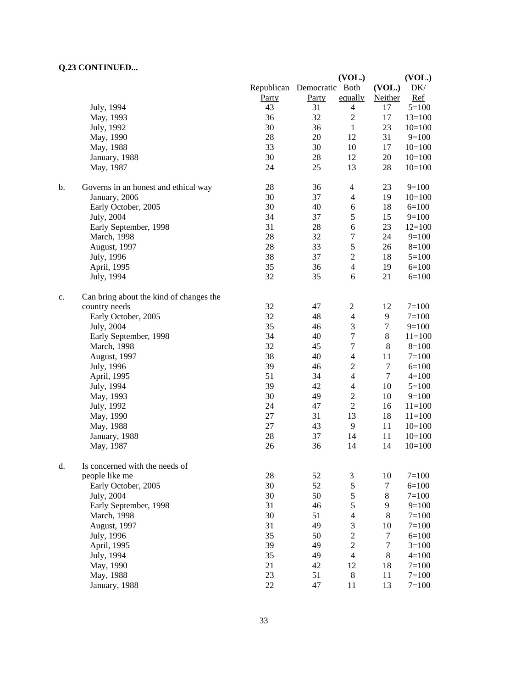## **Q.23 CONTINUED...**

|    |                                         |                            |       | (VOL.)           |         | (VOL.)     |
|----|-----------------------------------------|----------------------------|-------|------------------|---------|------------|
|    |                                         | Republican Democratic Both |       |                  | (VOL.)  | $DK/$      |
|    |                                         | Party                      | Party | equally          | Neither | Ref        |
|    | July, 1994                              | 43                         | 31    | $\overline{4}$   | 17      | $5 = 100$  |
|    | May, 1993                               | 36                         | 32    | $\overline{c}$   | 17      | $13=100$   |
|    | July, 1992                              | 30                         | 36    | 1                | 23      | $10=100$   |
|    | May, 1990                               | 28                         | 20    | 12               | 31      | $9=100$    |
|    | May, 1988                               | 33                         | 30    | 10               | 17      | $10=100$   |
|    | January, 1988                           | 30                         | 28    | 12               | 20      | $10=100$   |
|    |                                         | 24                         | 25    | 13               | 28      | $10=100$   |
|    | May, 1987                               |                            |       |                  |         |            |
| b. | Governs in an honest and ethical way    | 28                         | 36    | $\overline{4}$   | 23      | $9=100$    |
|    | January, 2006                           | 30                         | 37    | $\overline{4}$   | 19      | $10=100$   |
|    | Early October, 2005                     | 30                         | 40    | 6                | 18      | $6=100$    |
|    | July, 2004                              | 34                         | 37    | $\sqrt{5}$       | 15      | $9=100$    |
|    | Early September, 1998                   | 31                         | 28    | $\sqrt{6}$       | 23      | $12=100$   |
|    | March, 1998                             | 28                         | 32    | $\tau$           | 24      | $9=100$    |
|    | August, 1997                            | 28                         | 33    | 5                | 26      | $8=100$    |
|    | July, 1996                              | 38                         | 37    | $\overline{c}$   | 18      | $5=100$    |
|    | April, 1995                             | 35                         | 36    | $\overline{4}$   | 19      | $6=100$    |
|    | July, 1994                              | 32                         | 35    | 6                | 21      | $6=100$    |
| c. | Can bring about the kind of changes the |                            |       |                  |         |            |
|    | country needs                           | 32                         | 47    | $\boldsymbol{2}$ | 12      | $7=100$    |
|    |                                         | 32                         | 48    |                  |         |            |
|    | Early October, 2005                     |                            |       | $\overline{4}$   | 9       | $7 = 100$  |
|    | July, 2004                              | 35                         | 46    | $\mathfrak{Z}$   | 7       | $9=100$    |
|    | Early September, 1998                   | 34                         | 40    | $\boldsymbol{7}$ | $8\,$   | $11=100$   |
|    | March, 1998                             | 32                         | 45    | $\tau$           | 8       | $8=100$    |
|    | August, 1997                            | 38                         | 40    | $\overline{4}$   | 11      | $7 = 100$  |
|    | July, 1996                              | 39                         | 46    | $\mathfrak{2}$   | $\tau$  | $6=100$    |
|    | April, 1995                             | 51                         | 34    | $\overline{4}$   | $\tau$  | $4=100$    |
|    | July, 1994                              | 39                         | 42    | $\overline{4}$   | 10      | $5=100$    |
|    | May, 1993                               | 30                         | 49    | $\mathfrak{2}$   | 10      | $9=100$    |
|    | July, 1992                              | 24                         | 47    | $\sqrt{2}$       | 16      | $11=100$   |
|    | May, 1990                               | $27\,$                     | 31    | 13               | 18      | $11 = 100$ |
|    | May, 1988                               | 27                         | 43    | 9                | 11      | $10=100$   |
|    | January, 1988                           | 28                         | 37    | 14               | 11      | $10=100$   |
|    | May, 1987                               | 26                         | 36    | 14               | 14      | $10=100$   |
| d. | Is concerned with the needs of          |                            |       |                  |         |            |
|    | people like me                          | 28                         | 52    | $\mathfrak{Z}$   | 10      | $7 = 100$  |
|    | Early October, 2005                     | 30                         | 52    | $\mathfrak s$    | 7       | $6 = 100$  |
|    | July, 2004                              | 30                         | 50    | $\mathfrak s$    | $8\,$   | $7=100$    |
|    |                                         | 31                         |       | $\sqrt{5}$       | 9       |            |
|    | Early September, 1998                   |                            | 46    |                  |         | $9=100$    |
|    | March, 1998                             | 30                         | 51    | $\overline{4}$   | 8       | $7=100$    |
|    | August, 1997                            | 31                         | 49    | $\mathfrak{Z}$   | 10      | $7=100$    |
|    | July, 1996                              | 35                         | 50    | $\sqrt{2}$       | $\tau$  | $6=100$    |
|    | April, 1995                             | 39                         | 49    | $\sqrt{2}$       | $\tau$  | $3=100$    |
|    | July, 1994                              | 35                         | 49    | $\overline{4}$   | $\,8$   | $4 = 100$  |
|    | May, 1990                               | 21                         | 42    | 12               | 18      | $7 = 100$  |
|    | May, 1988                               | 23                         | 51    | $\,8\,$          | 11      | $7=100$    |
|    | January, 1988                           | 22                         | 47    | 11               | 13      | $7 = 100$  |
|    |                                         |                            |       |                  |         |            |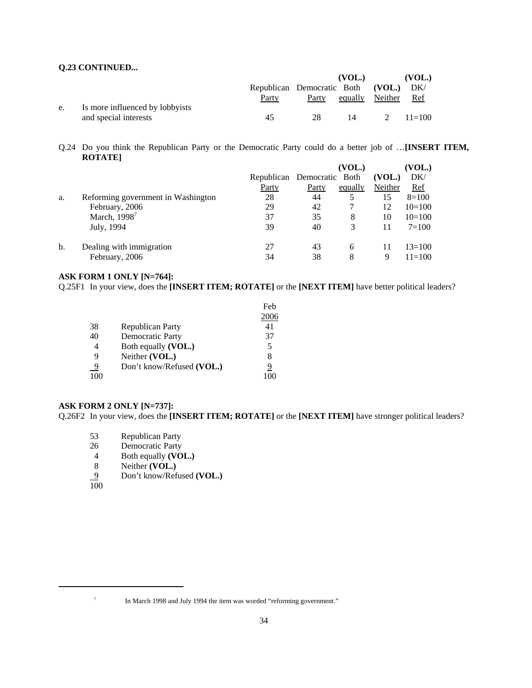### **Q.23 CONTINUED...**

|    |                                 |                                   |       | (VOL.)          | (VOL.)     |
|----|---------------------------------|-----------------------------------|-------|-----------------|------------|
|    |                                 | Republican Democratic Both (VOL.) |       |                 | DK/        |
|    |                                 | Party                             | Party | equally Neither | Ref        |
| e. | Is more influenced by lobbyists |                                   |       |                 |            |
|    | and special interests           | 45                                | 28    | 14              | 2 $11=100$ |

Q.24 Do you think the Republican Party or the Democratic Party could do a better job of …**[INSERT ITEM, ROTATE]**

|    |                                    |                            |       | (VOL.)  |         | (VOL.)     |
|----|------------------------------------|----------------------------|-------|---------|---------|------------|
|    |                                    | Republican Democratic Both |       |         | (VOL.)  | DK/        |
|    |                                    | Party                      | Party | equally | Neither | <u>Ref</u> |
| a. | Reforming government in Washington | 28                         | 44    |         | 15      | $8=100$    |
|    | February, 2006                     | 29                         | 42    |         | 12      | $10=100$   |
|    | March, 1998 <sup>7</sup>           | 37                         | 35    | 8       | 10      | $10=100$   |
|    | July, 1994                         | 39                         | 40    |         | 11      | $7=100$    |
| b. | Dealing with immigration           | 27                         | 43    | 6       | 11      | $13 = 100$ |
|    | February, 2006                     | 34                         | 38    | 8       | 9       | $11 = 100$ |

#### **ASK FORM 1 ONLY [N=764]:**

Q.25F1 In your view, does the **[INSERT ITEM; ROTATE]** or the **[NEXT ITEM]** have better political leaders?

|          |                           | Feb  |
|----------|---------------------------|------|
|          |                           | 2006 |
| 38       | Republican Party          | 41   |
| 40       | <b>Democratic Party</b>   | 37   |
|          | Both equally (VOL.)       | 5    |
| 9        | Neither (VOL.)            | 8    |
| <u>9</u> | Don't know/Refused (VOL.) | 9    |
| 100      |                           |      |

#### **ASK FORM 2 ONLY [N=737]:**

Q.26F2 In your view, does the **[INSERT ITEM; ROTATE]** or the **[NEXT ITEM]** have stronger political leaders?

- 53 Republican Party<br>26 Democratic Party
- Democratic Party
- 4 Both equally **(VOL.)**
- 8 Neither **(VOL.)**
- 9 Don't know/Refused **(VOL.)**

100

<sup>&</sup>lt;sup>7</sup> In March 1998 and July 1994 the item was worded "reforming government."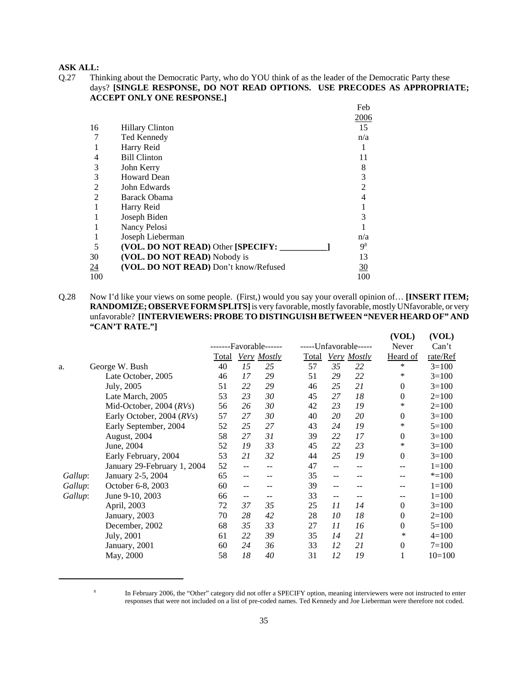#### **ASK ALL:**

Q.27 Thinking about the Democratic Party, who do YOU think of as the leader of the Democratic Party these days? **[SINGLE RESPONSE, DO NOT READ OPTIONS. USE PRECODES AS APPROPRIATE; ACCEPT ONLY ONE RESPONSE.]**

|                |                                       | Feb            |
|----------------|---------------------------------------|----------------|
|                |                                       | 2006           |
| 16             | <b>Hillary Clinton</b>                | 15             |
|                | Ted Kennedy                           | n/a            |
|                | Harry Reid                            |                |
| 4              | <b>Bill Clinton</b>                   | 11             |
| 3              | John Kerry                            | 8              |
| 3              | <b>Howard Dean</b>                    | 3              |
| $\overline{2}$ | John Edwards                          | 2              |
| $\overline{2}$ | <b>Barack Obama</b>                   | 4              |
|                | Harry Reid                            |                |
|                | Joseph Biden                          | 3              |
|                | Nancy Pelosi                          |                |
|                | Joseph Lieberman                      | n/a            |
| 5              | (VOL. DO NOT READ) Other [SPECIFY:    | 9 <sup>8</sup> |
| 30             | (VOL. DO NOT READ) Nobody is          | 13             |
| $\frac{24}{1}$ | (VOL. DO NOT READ) Don't know/Refused | 30             |
| 100            |                                       | 100            |

Q.28 Now I'd like your views on some people. (First,) would you say your overall opinion of… **[INSERT ITEM; RANDOMIZE; OBSERVE FORM SPLITS]** is very favorable, mostly favorable, mostly UNfavorable, or very unfavorable? **[INTERVIEWERS: PROBE TO DISTINGUISH BETWEEN "NEVER HEARD OF" AND "CAN'T RATE."]**

|         |                             |       |    |                   |              |    |                       | (VOL)            | (VOL)     |
|---------|-----------------------------|-------|----|-------------------|--------------|----|-----------------------|------------------|-----------|
|         |                             |       |    | --Favorable------ |              |    | -----Unfavorable----- | Never            | Can't     |
|         |                             | Total |    | Very Mostly       | <b>Total</b> |    | Very Mostly           | Heard of         | rate/Ref  |
| a.      | George W. Bush              | 40    | 15 | 25                | 57           | 35 | 22                    | *                | $3=100$   |
|         | Late October, 2005          | 46    | 17 | 29                | 51           | 29 | 22                    | ∗                | $3=100$   |
|         | July, 2005                  | 51    | 22 | 29                | 46           | 25 | 21                    | $\mathbf{0}$     | $3=100$   |
|         | Late March, 2005            | 53    | 23 | 30                | 45           | 27 | 18                    | $\boldsymbol{0}$ | $2=100$   |
|         | Mid-October, 2004 $(RVs)$   | 56    | 26 | 30                | 42           | 23 | 19                    | *                | $2=100$   |
|         | Early October, 2004 (RVs)   | 57    | 27 | 30                | 40           | 20 | 20                    | $\boldsymbol{0}$ | $3=100$   |
|         | Early September, 2004       | 52    | 25 | 27                | 43           | 24 | 19                    | ∗                | $5=100$   |
|         | August, 2004                | 58    | 27 | 31                | 39           | 22 | 17                    | $\boldsymbol{0}$ | $3=100$   |
|         | June, 2004                  | 52    | 19 | 33                | 45           | 22 | 23                    | ∗                | $3=100$   |
|         | Early February, 2004        | 53    | 21 | 32                | 44           | 25 | 19                    | $\mathbf{0}$     | $3=100$   |
|         | January 29-February 1, 2004 | 52    | -- | --                | 47           | -- | --                    | --               | $1 = 100$ |
| Gallup: | January 2-5, 2004           | 65    | -- |                   | 35           | -- | --                    | --               | $* = 100$ |
| Gallup: | October 6-8, 2003           | 60    | -- |                   | 39           | -- | --                    | --               | $1 = 100$ |
| Gallup: | June 9-10, 2003             | 66    | -- |                   | 33           | -- | --                    | --               | $1 = 100$ |
|         | April, 2003                 | 72    | 37 | 35                | 25           | 11 | 14                    | $\mathbf{0}$     | $3=100$   |
|         | January, 2003               | 70    | 28 | 42                | 28           | 10 | 18                    | $\boldsymbol{0}$ | $2=100$   |
|         | December, 2002              | 68    | 35 | 33                | 27           | 11 | 16                    | $\boldsymbol{0}$ | $5=100$   |
|         | July, 2001                  | 61    | 22 | 39                | 35           | 14 | 21                    | ∗                | $4=100$   |
|         | January, 2001               | 60    | 24 | 36                | 33           | 12 | 21                    | $\boldsymbol{0}$ | $7=100$   |
|         | May, 2000                   | 58    | 18 | 40                | 31           | 12 | 19                    | 1                | $10=100$  |

<sup>&</sup>lt;sup>8</sup> In February 2006, the "Other" category did not offer a SPECIFY option, meaning interviewers were not instructed to enter responses that were not included on a list of pre-coded names. Ted Kennedy and Joe Lieberman were therefore not coded.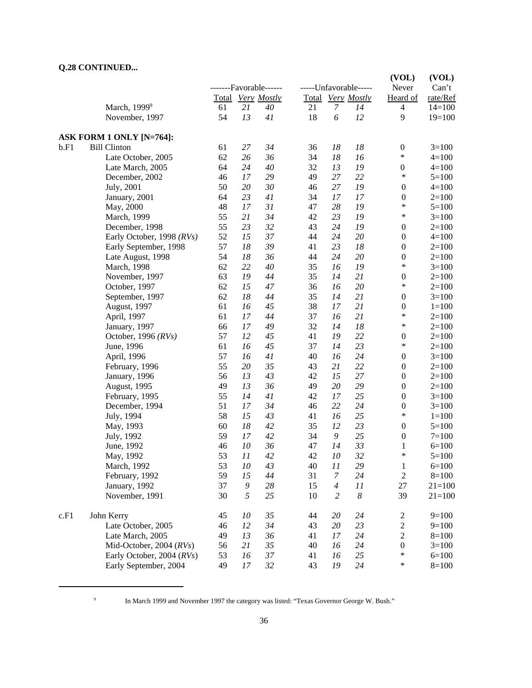## **Q.28 CONTINUED...**

|      |                           |    |        |                        |    |                       |                       | (VOL)                      | (VOL)      |
|------|---------------------------|----|--------|------------------------|----|-----------------------|-----------------------|----------------------------|------------|
|      |                           |    |        | -------Favorable------ |    |                       | -----Unfavorable----- | Never                      | Can't      |
|      |                           |    |        | Total Very Mostly      |    |                       | Total Very Mostly     | Heard of                   | rate/Ref   |
|      | March, 1999 <sup>9</sup>  | 61 | 21     | 40                     | 21 | $\overline{7}$        | 14                    | $\overline{\mathcal{A}}$   | $14=100$   |
|      | November, 1997            | 54 | 13     | 41                     | 18 | $\boldsymbol{\delta}$ | 12                    | 9                          | $19=100$   |
|      | ASK FORM 1 ONLY [N=764]:  |    |        |                        |    |                       |                       |                            |            |
| b.F1 | <b>Bill Clinton</b>       | 61 | 27     | 34                     | 36 | $18\,$                | 18                    | $\boldsymbol{0}$           | $3=100$    |
|      | Late October, 2005        | 62 | 26     | 36                     | 34 | 18                    | 16                    | $\ast$                     | $4 = 100$  |
|      | Late March, 2005          | 64 | 24     | 40                     | 32 | 13                    | 19                    | $\boldsymbol{0}$           | $4 = 100$  |
|      | December, 2002            | 46 | 17     | 29                     | 49 | 27                    | 22                    | $\ast$                     | $5=100$    |
|      | July, 2001                | 50 | 20     | 30                     | 46 | 27                    | 19                    | $\boldsymbol{0}$           | $4 = 100$  |
|      | January, 2001             | 64 | 23     | 41                     | 34 | $17\,$                | 17                    | $\boldsymbol{0}$           | $2=100$    |
|      | May, 2000                 | 48 | 17     | 31                     | 47 | 28                    | 19                    | *                          | $5=100$    |
|      | March, 1999               | 55 | 21     | 34                     | 42 | 23                    | 19                    | *                          | $3=100$    |
|      | December, 1998            | 55 | 23     | 32                     | 43 | 24                    | 19                    | $\boldsymbol{0}$           | $2=100$    |
|      | Early October, 1998 (RVs) | 52 | 15     | 37                     | 44 | 24                    | 20                    | $\boldsymbol{0}$           | $4=100$    |
|      | Early September, 1998     | 57 | 18     | 39                     | 41 | 23                    | 18                    | $\boldsymbol{0}$           | $2=100$    |
|      | Late August, 1998         | 54 | 18     | 36                     | 44 | 24                    | 20                    | $\boldsymbol{0}$           | $2=100$    |
|      | March, 1998               | 62 | 22     | 40                     | 35 | 16                    | 19                    | $\ast$                     | $3=100$    |
|      | November, 1997            | 63 | 19     | 44                     | 35 | 14                    | 21                    | $\boldsymbol{0}$           | $2=100$    |
|      | October, 1997             | 62 | 15     | $47\,$                 | 36 | 16                    | 20                    | $\ast$                     | $2=100$    |
|      | September, 1997           | 62 | 18     | 44                     | 35 | 14                    | 21                    | $\boldsymbol{0}$           | $3=100$    |
|      | August, 1997              | 61 | 16     | 45                     | 38 | 17                    | 21                    | $\boldsymbol{0}$           | $1 = 100$  |
|      | April, 1997               | 61 | 17     | 44                     | 37 | 16                    | 21                    | *                          | $2=100$    |
|      | January, 1997             | 66 | 17     | 49                     | 32 | 14                    | 18                    | $\ast$                     | $2=100$    |
|      | October, 1996 (RVs)       | 57 | 12     | 45                     | 41 | 19                    | 22                    | $\boldsymbol{0}$           | $2=100$    |
|      | June, 1996                | 61 | 16     | 45                     | 37 | 14                    | 23                    | $\ast$                     | $2=100$    |
|      | April, 1996               | 57 | 16     | 41                     | 40 | 16                    | 24                    | $\boldsymbol{0}$           | $3=100$    |
|      | February, 1996            | 55 | 20     | 35                     | 43 | 21                    | 22                    | $\boldsymbol{0}$           | $2=100$    |
|      | January, 1996             | 56 | 13     | 43                     | 42 | 15                    | 27                    | $\boldsymbol{0}$           | $2=100$    |
|      | August, 1995              | 49 | 13     | 36                     | 49 | 20                    | 29                    | $\boldsymbol{0}$           | $2=100$    |
|      | February, 1995            | 55 | 14     | 41                     | 42 | 17                    | 25                    | $\boldsymbol{0}$           | $3=100$    |
|      | December, 1994            | 51 | 17     | 34                     | 46 | 22                    | 24                    | $\boldsymbol{0}$           | $3=100$    |
|      | July, 1994                | 58 | 15     | 43                     | 41 | 16                    | 25                    | $\ast$                     | $1 = 100$  |
|      | May, 1993                 | 60 | 18     | 42                     | 35 | 12                    | 23                    | $\boldsymbol{0}$           | $5=100$    |
|      | July, 1992                | 59 | 17     | 42                     | 34 | $\boldsymbol{9}$      | 25                    | $\boldsymbol{0}$           | $7=100$    |
|      | June, 1992                | 46 | 10     | 36                     | 47 | 14                    | 33                    | 1                          | $6=100$    |
|      | May, 1992                 | 53 | 11     | 42                     | 42 | 10                    | 32                    | *                          | $5=100$    |
|      | March, 1992               | 53 | $10\,$ | 43                     | 40 | 11                    | 29                    | $\mathbf{1}$               | $6 = 100$  |
|      | February, 1992            | 59 | 15     | $44$                   | 31 | $\boldsymbol{7}$      | 24                    | $\mathfrak{2}$             | $8=100$    |
|      | January, 1992             | 37 | 9      | 28                     | 15 | $\overline{4}$        | 11                    | $27\,$                     | $21 = 100$ |
|      | November, 1991            | 30 | 5      | 25                     | 10 | $\overline{c}$        | $\boldsymbol{8}$      | 39                         | $21 = 100$ |
| c.F1 | John Kerry                | 45 | 10     | 35                     | 44 | 20                    | 24                    |                            | $9=100$    |
|      |                           |    |        |                        |    |                       |                       | $\overline{c}$             |            |
|      | Late October, 2005        | 46 | 12     | 34                     | 43 | $20\,$                | 23                    | $\overline{c}$             | $9=100$    |
|      | Late March, 2005          | 49 | 13     | 36                     | 41 | $17\,$                | 24                    | $\overline{c}$             | $8 = 100$  |
|      | Mid-October, 2004 $(RVs)$ | 56 | 21     | 35                     | 40 | 16                    | 24                    | $\boldsymbol{0}$<br>$\ast$ | $3=100$    |
|      | Early October, 2004 (RVs) | 53 | 16     | 37                     | 41 | 16                    | 25                    |                            | $6=100$    |
|      | Early September, 2004     | 49 | 17     | $32\,$                 | 43 | ${\it 19}$            | 24                    | $\ast$                     | $8=100$    |

<sup>9</sup> In March 1999 and November 1997 the category was listed: "Texas Governor George W. Bush."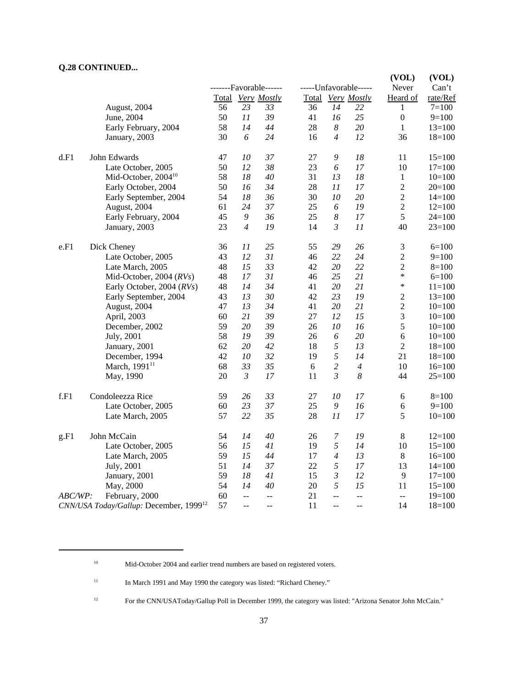# **Q.28 CONTINUED...**

|         |                                                    |       |                          |                        |    |                  |                       | (VOL)            | (VOL)      |
|---------|----------------------------------------------------|-------|--------------------------|------------------------|----|------------------|-----------------------|------------------|------------|
|         |                                                    |       |                          | -------Favorable------ |    |                  | -----Unfavorable----- | Never            | Can't      |
|         |                                                    | Total |                          | <b>Very Mostly</b>     |    |                  | Total Very Mostly     | Heard of         | rate/Ref   |
|         | August, 2004                                       | 56    | 23                       | 33                     | 36 | 14               | 22                    | 1                | $7 = 100$  |
|         | June, 2004                                         | 50    | 11                       | 39                     | 41 | 16               | 25                    | $\boldsymbol{0}$ | $9=100$    |
|         | Early February, 2004                               | 58    | 14                       | 44                     | 28 | 8                | 20                    | 1                | $13=100$   |
|         | January, 2003                                      | 30    | 6                        | 24                     | 16 | $\overline{4}$   | 12                    | 36               | $18=100$   |
| d.F1    | John Edwards                                       | 47    | 10                       | 37                     | 27 | $\boldsymbol{9}$ | 18                    | 11               | $15=100$   |
|         | Late October, 2005                                 | 50    | 12                       | 38                     | 23 | 6                | 17                    | 10               | $17=100$   |
|         | Mid-October, 2004 <sup>10</sup>                    | 58    | 18                       | 40                     | 31 | 13               | 18                    | $\mathbf{1}$     | $10=100$   |
|         | Early October, 2004                                | 50    | 16                       | 34                     | 28 | 11               | 17                    | $\sqrt{2}$       | $20=100$   |
|         | Early September, 2004                              | 54    | 18                       | 36                     | 30 | 10               | 20                    | $\sqrt{2}$       | $14=100$   |
|         | August, 2004                                       | 61    | 24                       | 37                     | 25 | 6                | 19                    | $\overline{c}$   | $12=100$   |
|         | Early February, 2004                               | 45    | 9                        | 36                     | 25 | $\boldsymbol{8}$ | 17                    | 5                | $24 = 100$ |
|         | January, 2003                                      | 23    | $\overline{4}$           | 19                     | 14 | $\mathfrak{Z}$   | 11                    | 40               | $23=100$   |
| e.F1    | Dick Cheney                                        | 36    | 11                       | 25                     | 55 | 29               | 26                    | 3                | $6=100$    |
|         | Late October, 2005                                 | 43    | 12                       | 31                     | 46 | 22               | 24                    | $\sqrt{2}$       | $9=100$    |
|         | Late March, 2005                                   | 48    | 15                       | 33                     | 42 | 20               | 22                    | $\overline{2}$   | $8=100$    |
|         | Mid-October, 2004 (RVs)                            | 48    | 17                       | 31                     | 46 | 25               | 21                    | *                | $6=100$    |
|         | Early October, 2004 (RVs)                          | 48    | 14                       | 34                     | 41 | 20               | 21                    | *                | $11 = 100$ |
|         | Early September, 2004                              | 43    | 13                       | 30                     | 42 | 23               | 19                    | $\overline{c}$   | $13 = 100$ |
|         | August, 2004                                       | 47    | 13                       | 34                     | 41 | 20               | 21                    | $\sqrt{2}$       | $10=100$   |
|         | April, 2003                                        | 60    | 21                       | 39                     | 27 | 12               | 15                    | 3                | $10=100$   |
|         | December, 2002                                     | 59    | 20                       | 39                     | 26 | 10               | 16                    | 5                | $10=100$   |
|         | July, 2001                                         | 58    | 19                       | 39                     | 26 | 6                | 20                    | 6                | $10=100$   |
|         | January, 2001                                      | 62    | 20                       | 42                     | 18 | 5                | 13                    | $\overline{c}$   | $18 = 100$ |
|         | December, 1994                                     | 42    | 10                       | 32                     | 19 | 5                | 14                    | 21               | $18=100$   |
|         | March, 1991 <sup>11</sup>                          | 68    | 33                       | 35                     | 6  | $\sqrt{2}$       | $\overline{4}$        | 10               | $16=100$   |
|         | May, 1990                                          | 20    | $\mathfrak{Z}$           | 17                     | 11 | $\mathfrak{Z}$   | $\boldsymbol{8}$      | 44               | $25=100$   |
| f.F1    | Condoleezza Rice                                   | 59    | 26                       | 33                     | 27 | 10               | 17                    | 6                | $8=100$    |
|         | Late October, 2005                                 | 60    | 23                       | 37                     | 25 | $\boldsymbol{9}$ | 16                    | $\epsilon$       | $9=100$    |
|         | Late March, 2005                                   | 57    | 22                       | 35                     | 28 | 11               | 17                    | 5                | $10=100$   |
| g.F1    | John McCain                                        | 54    | 14                       | 40                     | 26 | $\overline{7}$   | 19                    | $8\,$            | $12=100$   |
|         | Late October, 2005                                 | 56    | 15                       | 41                     | 19 | $\sqrt{2}$       | 14                    | 10               | $15=100$   |
|         | Late March, 2005                                   | 59    | 15                       | 44                     | 17 | $\overline{4}$   | 13                    | $\,8\,$          | $16=100$   |
|         | July, 2001                                         | 51    | 14                       | 37                     | 22 | 5                | 17                    | 13               | $14=100$   |
|         | January, 2001                                      | 59    | 18                       | 41                     | 15 | $\mathfrak{Z}$   | 12                    | 9                | $17=100$   |
|         | May, 2000                                          | 54    | 14                       | 40                     | 20 | 5                | 15                    | 11               | $15=100$   |
| ABC/WP: | February, 2000                                     | 60    | $\ddotsc$                | $\overline{a}$         | 21 | $\overline{a}$   | $-$                   | $\overline{a}$   | $19=100$   |
|         | CNN/USA Today/Gallup: December, 1999 <sup>12</sup> | 57    | $\overline{\phantom{a}}$ | $-$                    | 11 | $-$              | $-$                   | 14               | $18=100$   |

<sup>10</sup> Mid-October 2004 and earlier trend numbers are based on registered voters.

<sup>11</sup> In March 1991 and May 1990 the category was listed: "Richard Cheney."

<sup>12</sup> For the CNN/USAToday/Gallup Poll in December 1999, the category was listed: "Arizona Senator John McCain."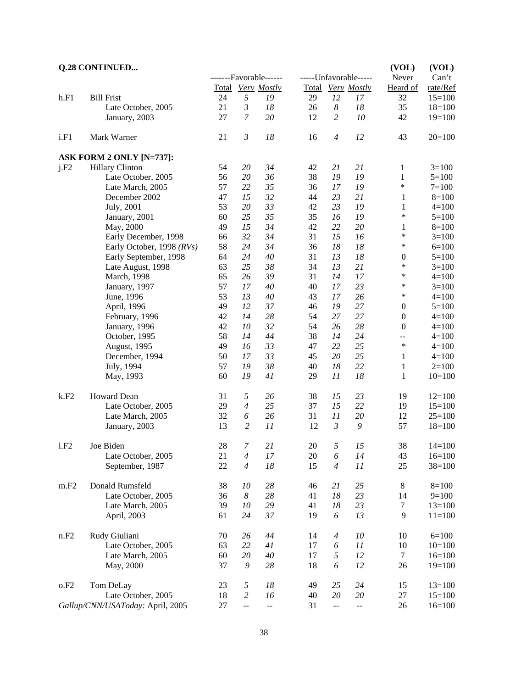|      | <b>Q.28 CONTINUED</b>            |    |                          |                        |    |                          |                       | (VOL)            | (VOL)      |
|------|----------------------------------|----|--------------------------|------------------------|----|--------------------------|-----------------------|------------------|------------|
|      |                                  |    |                          | -------Favorable------ |    |                          | -----Unfavorable----- | Never            | Can't      |
|      |                                  |    |                          | Total Very Mostly      |    |                          | Total Very Mostly     | Heard of         | rate/Ref   |
| h.F1 | <b>Bill Frist</b>                | 24 | 5                        | 19                     | 29 | 12                       | 17                    | 32               | $15=100$   |
|      | Late October, 2005               | 21 | $\mathfrak{Z}$           | 18                     | 26 | $\boldsymbol{8}$         | 18                    | 35               | $18=100$   |
|      | January, 2003                    | 27 | $\overline{7}$           | 20                     | 12 | $\overline{c}$           | 10                    | 42               | $19=100$   |
| i.F1 | Mark Warner                      | 21 | $\mathfrak{Z}$           | 18                     | 16 | $\overline{4}$           | 12                    | 43               | $20=100$   |
|      | ASK FORM 2 ONLY [N=737]:         |    |                          |                        |    |                          |                       |                  |            |
| j.F2 | Hillary Clinton                  | 54 | 20                       | 34                     | 42 | 21                       | 21                    | 1                | $3=100$    |
|      | Late October, 2005               | 56 | 20                       | 36                     | 38 | 19                       | 19                    | $\mathbf{1}$     | $5=100$    |
|      | Late March, 2005                 | 57 | 22                       | 35                     | 36 | 17                       | 19                    | $\ast$           | $7 = 100$  |
|      | December 2002                    | 47 | 15                       | 32                     | 44 | 23                       | 21                    | $\mathbf{1}$     | $8=100$    |
|      | July, 2001                       | 53 | 20                       | 33                     | 42 | 23                       | 19                    | 1                | $4 = 100$  |
|      | January, 2001                    | 60 | 25                       | 35                     | 35 | 16                       | 19                    | $\ast$           | $5=100$    |
|      | May, 2000                        | 49 | 15                       | 34                     | 42 | 22                       | 20                    | $\mathbf{1}$     | $8=100$    |
|      | Early December, 1998             | 66 | 32                       | 34                     | 31 | 15                       | 16                    | $\ast$           | $3=100$    |
|      | Early October, 1998 (RVs)        | 58 | 24                       | 34                     | 36 | 18                       | 18                    | $\ast$           | $6=100$    |
|      | Early September, 1998            | 64 | 24                       | 40                     | 31 | 13                       | 18                    | $\mathbf{0}$     | $5 = 100$  |
|      | Late August, 1998                | 63 | 25                       | 38                     | 34 | 13                       | 21                    | $\ast$           | $3=100$    |
|      | March, 1998                      | 65 | 26                       | 39                     | 31 | 14                       | 17                    | $\ast$           | $4 = 100$  |
|      | January, 1997                    | 57 | 17                       | 40                     | 40 | 17                       | 23                    | ∗                | $3=100$    |
|      | June, 1996                       | 53 | 13                       | 40                     | 43 | 17                       | 26                    | $\ast$           | $4 = 100$  |
|      | April, 1996                      | 49 | 12                       | 37                     | 46 | 19                       | 27                    | $\boldsymbol{0}$ | $5=100$    |
|      | February, 1996                   | 42 | 14                       | 28                     | 54 | 27                       | 27                    | $\boldsymbol{0}$ | $4 = 100$  |
|      | January, 1996                    | 42 | 10                       | 32                     | 54 | 26                       | 28                    | $\boldsymbol{0}$ | $4 = 100$  |
|      | October, 1995                    | 58 | 14                       | 44                     | 38 | 14                       | 24                    | $\overline{a}$   | $4=100$    |
|      | August, 1995                     | 49 | 16                       | 33                     | 47 | 22                       | 25                    | $\ast$           | $4 = 100$  |
|      | December, 1994                   | 50 | 17                       | 33                     | 45 | 20                       | 25                    | $\mathbf{1}$     | $4 = 100$  |
|      | July, 1994                       | 57 | 19                       | 38                     | 40 | 18                       | 22                    | $\mathbf{1}$     | $2=100$    |
|      | May, 1993                        | 60 | 19                       | 41                     | 29 | 11                       | 18                    | $\mathbf{1}$     | $10=100$   |
| k.F2 | Howard Dean                      | 31 | 5                        | 26                     | 38 | 15                       | 23                    | 19               | $12=100$   |
|      | Late October, 2005               | 29 | $\overline{4}$           | 25                     | 37 | 15                       | 22                    | 19               | $15=100$   |
|      | Late March, 2005                 | 32 | 6                        | 26                     | 31 | 11                       | 20                    | 12               | $25=100$   |
|      | January, 2003                    | 13 | $\overline{c}$           | 11                     | 12 | $\mathfrak{Z}$           | 9                     | 57               | $18=100$   |
| 1.F2 | Joe Biden                        | 28 | $\boldsymbol{7}$         | 21                     | 20 | 5                        | 15                    | 38               | $14=100$   |
|      | Late October, 2005               | 21 | $\overline{4}$           | 17                     | 20 | 6                        | 14                    | 43               | $16=100$   |
|      | September, 1987                  | 22 | $\overline{4}$           | 18                     | 15 | $\overline{4}$           | 11                    | 25               | $38=100$   |
| m.F2 | Donald Rumsfeld                  | 38 | 10                       | 28                     | 46 | 21                       | 25                    | 8                | $8=100$    |
|      | Late October, 2005               | 36 | $\boldsymbol{8}$         | 28                     | 41 | 18                       | 23                    | 14               | $9=100$    |
|      | Late March, 2005                 | 39 | 10                       | 29                     | 41 | 18                       | 23                    | 7                | $13=100$   |
|      | April, 2003                      | 61 | 24                       | 37                     | 19 | 6                        | 13                    | 9                | $11 = 100$ |
| n.F2 | Rudy Giuliani                    | 70 | 26                       | 44                     | 14 | $\boldsymbol{4}$         | 10                    | 10               | $6=100$    |
|      | Late October, 2005               | 63 | 22                       | 41                     | 17 | 6                        | 11                    | 10               | $10=100$   |
|      | Late March, 2005                 | 60 | 20                       | $40\,$                 | 17 | 5                        | 12                    | $\tau$           | $16=100$   |
|      | May, 2000                        | 37 | 9                        | 28                     | 18 | 6                        | 12                    | 26               | $19=100$   |
| o.F2 | Tom DeLay                        | 23 | 5                        | 18                     | 49 | 25                       | 24                    | 15               | $13=100$   |
|      | Late October, 2005               | 18 | $\overline{c}$           | 16                     | 40 | $20\,$                   | 20                    | 27               | $15=100$   |
|      | Gallup/CNN/USAToday: April, 2005 | 27 | $\overline{\phantom{a}}$ | $- -$                  | 31 | $\overline{\phantom{a}}$ | --                    | 26               | $16=100$   |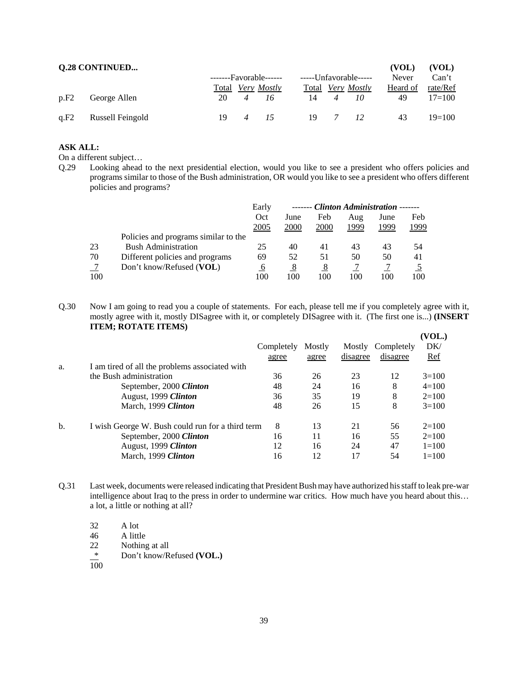|      | <b>Q.28 CONTINUED</b> |       |                    |                       |                |                          | (VOL)    | (VOL)    |
|------|-----------------------|-------|--------------------|-----------------------|----------------|--------------------------|----------|----------|
|      |                       |       | $----Favorable---$ | -----Unfavorable----- |                |                          | Never    | Can't    |
|      |                       | Total | <i>Very Mostly</i> |                       |                | Total <i>Very Mostly</i> | Heard of | rate/Ref |
| p.F2 | George Allen          | 20    | 16                 | 14                    |                | 10                       | 49       | $17=100$ |
| q.F2 | Russell Feingold      | 19    |                    | 19                    | $\overline{7}$ | 12                       | 43       | $19=100$ |

#### **ASK ALL:**

On a different subject…

Q.29 Looking ahead to the next presidential election, would you like to see a president who offers policies and programs similar to those of the Bush administration, OR would you like to see a president who offers different policies and programs?

|     |                                      | Early |      | ------- Clinton Administration |      |      |      |
|-----|--------------------------------------|-------|------|--------------------------------|------|------|------|
|     |                                      | Oct   | June | Feb                            | Aug  | June | Feb  |
|     |                                      | 2005  | 2000 | 2000                           | 1999 | 1999 | 1999 |
|     | Policies and programs similar to the |       |      |                                |      |      |      |
| 23  | <b>Bush Administration</b>           | 25    | 40   | 41                             | 43   | 43   | 54   |
| 70  | Different policies and programs      | 69    | 52   | 51                             | 50   | 50   | 41   |
|     | Don't know/Refused (VOL)             | O     | 8    | 8                              |      |      |      |
| 100 |                                      | 100   | 100  | 100                            | 100  | 100  | 100  |

Q.30 Now I am going to read you a couple of statements. For each, please tell me if you completely agree with it, mostly agree with it, mostly DISagree with it, or completely DISagree with it. (The first one is...) **(INSERT ITEM; ROTATE ITEMS)**  $\overline{\mathbf{W}}$  $\mathbf{W}$ 

|     |                                                  |            |        |          |            | VUL.      |
|-----|--------------------------------------------------|------------|--------|----------|------------|-----------|
|     |                                                  | Completely | Mostly | Mostly   | Completely | DK/       |
|     |                                                  | agree      | agree  | disagree | disagree   | Ref       |
| a.  | I am tired of all the problems associated with   |            |        |          |            |           |
|     | the Bush administration                          | 36         | 26     | 23       | 12         | $3=100$   |
|     | September, 2000 Clinton                          | 48         | 24     | 16       | 8          | $4=100$   |
|     | August, 1999 Clinton                             | 36         | 35     | 19       | 8          | $2=100$   |
|     | March, 1999 Clinton                              | 48         | 26     | 15       | 8          | $3=100$   |
| $b$ | I wish George W. Bush could run for a third term | 8          | 13     | 21       | 56         | $2=100$   |
|     | September, 2000 Clinton                          | 16         | 11     | 16       | 55         | $2=100$   |
|     | August, 1999 Clinton                             | 12         | 16     | 24       | 47         | $1 = 100$ |
|     | March, 1999 Clinton                              | 16         | 12     | 17       | 54         | $1 = 100$ |
|     |                                                  |            |        |          |            |           |

Q.31 Last week, documents were released indicating that President Bush may have authorized his staff to leak pre-war intelligence about Iraq to the press in order to undermine war critics. How much have you heard about this… a lot, a little or nothing at all?

32 A lot

46 A little<br>22 Nothing Nothing at all

\* Don't know/Refused **(VOL.)**

 $\overline{100}$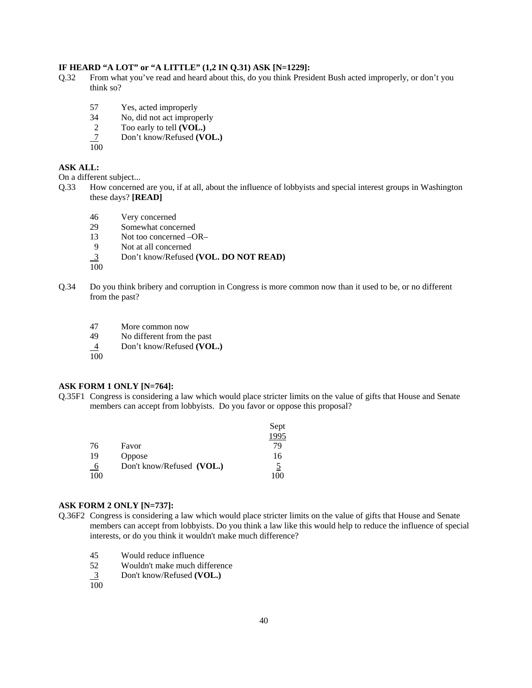#### **IF HEARD "A LOT" or "A LITTLE" (1,2 IN Q.31) ASK [N=1229]:**

- Q.32 From what you've read and heard about this, do you think President Bush acted improperly, or don't you think so?
	- 57 Yes, acted improperly
	- 34 No, did not act improperly
	- 2 Too early to tell **(VOL.)**<br><u>7</u> Don't know/Refused **(VC**
	- 7 Don't know/Refused **(VOL.)**
	- 100

#### **ASK ALL:**

On a different subject...

- Q.33 How concerned are you, if at all, about the influence of lobbyists and special interest groups in Washington these days? **[READ]**
	- 46 Very concerned
	- 29 Somewhat concerned
	- 13 Not too concerned –OR–
	- 9 Not at all concerned
	- 3 Don't know/Refused **(VOL. DO NOT READ)**
	- 100
- Q.34 Do you think bribery and corruption in Congress is more common now than it used to be, or no different from the past?
	- 47 More common now
	- 49 No different from the past
	- 4 Don't know/Refused **(VOL.)**
	- 100

#### **ASK FORM 1 ONLY [N=764]:**

Q.35F1 Congress is considering a law which would place stricter limits on the value of gifts that House and Senate members can accept from lobbyists. Do you favor or oppose this proposal?

|          |                           | Sept |
|----------|---------------------------|------|
|          |                           | 1995 |
| 76       | Favor                     | 79   |
| 19       | Oppose                    | 16   |
| $\theta$ | Don't know/Refused (VOL.) | 5    |
| 100      |                           | 100  |

#### **ASK FORM 2 ONLY [N=737]:**

- Q.36F2 Congress is considering a law which would place stricter limits on the value of gifts that House and Senate members can accept from lobbyists. Do you think a law like this would help to reduce the influence of special interests, or do you think it wouldn't make much difference?
	- 45 Would reduce influence
	- 52 Wouldn't make much difference
	- 3 Don't know/Refused **(VOL.)**
	- 100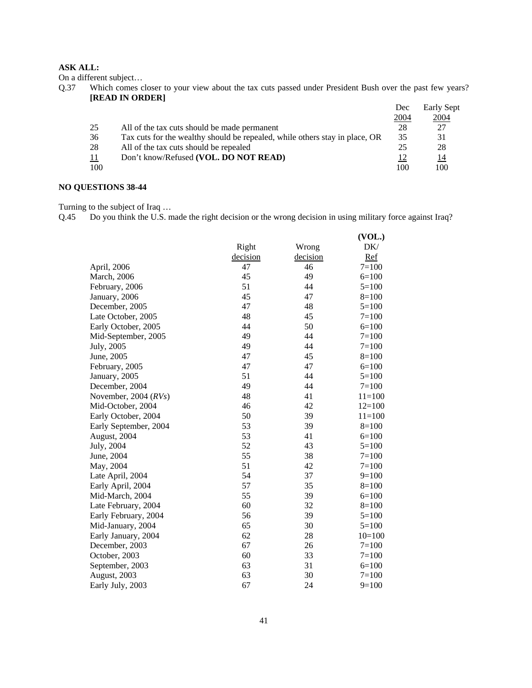#### **ASK ALL:**

On a different subject…

Q.37 Which comes closer to your view about the tax cuts passed under President Bush over the past few years? **[READ IN ORDER]**

|     |                                                                             | Dec  | Early Sept  |
|-----|-----------------------------------------------------------------------------|------|-------------|
|     |                                                                             | 2004 | <u>2004</u> |
| 25  | All of the tax cuts should be made permanent                                | 28   | 27          |
| 36  | Tax cuts for the wealthy should be repealed, while others stay in place, OR | 35   | 31          |
| 28  | All of the tax cuts should be repealed                                      | 25   | 28          |
| 11  | Don't know/Refused (VOL. DO NOT READ)                                       | 12   | 14          |
| 100 |                                                                             | 100  | 100         |

# **NO QUESTIONS 38-44**

Turning to the subject of Iraq …

Q.45 Do you think the U.S. made the right decision or the wrong decision in using military force against Iraq?

|                        |          |          | (VOL.)     |
|------------------------|----------|----------|------------|
|                        | Right    | Wrong    | DK/        |
|                        | decision | decision | Ref        |
| April, 2006            | 47       | 46       | $7 = 100$  |
| March, 2006            | 45       | 49       | $6=100$    |
| February, 2006         | 51       | 44       | $5=100$    |
| January, 2006          | 45       | 47       | $8=100$    |
| December, 2005         | 47       | 48       | $5=100$    |
| Late October, 2005     | 48       | 45       | $7=100$    |
| Early October, 2005    | 44       | 50       | $6=100$    |
| Mid-September, 2005    | 49       | 44       | $7 = 100$  |
| July, 2005             | 49       | 44       | $7 = 100$  |
| June, 2005             | 47       | 45       | $8=100$    |
| February, 2005         | 47       | 47       | $6=100$    |
| January, 2005          | 51       | 44       | $5=100$    |
| December, 2004         | 49       | 44       | $7 = 100$  |
| November, 2004 $(RVs)$ | 48       | 41       | $11 = 100$ |
| Mid-October, 2004      | 46       | 42       | $12=100$   |
| Early October, 2004    | 50       | 39       | $11 = 100$ |
| Early September, 2004  | 53       | 39       | $8=100$    |
| August, 2004           | 53       | 41       | $6=100$    |
| July, 2004             | 52       | 43       | $5=100$    |
| June, 2004             | 55       | 38       | $7 = 100$  |
| May, 2004              | 51       | 42       | $7=100$    |
| Late April, 2004       | 54       | 37       | $9=100$    |
| Early April, 2004      | 57       | 35       | $8=100$    |
| Mid-March, 2004        | 55       | 39       | $6=100$    |
| Late February, 2004    | 60       | 32       | $8=100$    |
| Early February, 2004   | 56       | 39       | $5=100$    |
| Mid-January, 2004      | 65       | 30       | $5=100$    |
| Early January, 2004    | 62       | 28       | $10=100$   |
| December, 2003         | 67       | 26       | $7=100$    |
| October, 2003          | 60       | 33       | $7=100$    |
| September, 2003        | 63       | 31       | $6=100$    |
| August, 2003           | 63       | 30       | $7 = 100$  |
| Early July, 2003       | 67       | 24       | $9=100$    |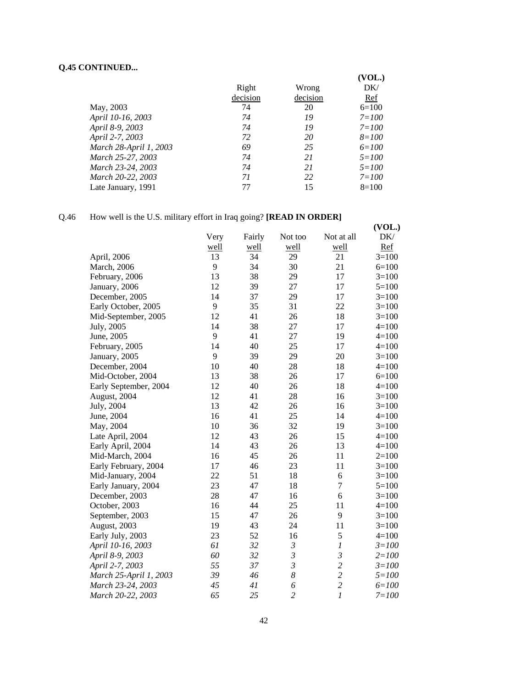## **Q.45 CONTINUED...**

|                        |          |          | (VOL.)    |
|------------------------|----------|----------|-----------|
|                        | Right    | Wrong    | DK/       |
|                        | decision | decision | Ref       |
| May, 2003              | 74       | 20       | $6=100$   |
| April 10-16, 2003      | 74       | 19       | $7 = 100$ |
| April 8-9, 2003        | 74       | 19       | $7 = 100$ |
| April 2-7, 2003        | 72       | 20       | $8 = 100$ |
| March 28-April 1, 2003 | 69       | 25       | $6 = 100$ |
| March 25-27, 2003      | 74       | 21       | $5 = 100$ |
| March 23-24, 2003      | 74       | 21       | $5 = 100$ |
| March 20-22, 2003      | 71       | 22       | $7 = 100$ |
| Late January, 1991     | 77       | 15       | $8=100$   |

# Q.46 How well is the U.S. military effort in Iraq going? **[READ IN ORDER]**

|                        | ↵    |        |                |                  | (VOL.)    |
|------------------------|------|--------|----------------|------------------|-----------|
|                        | Very | Fairly | Not too        | Not at all       | DK/       |
|                        | well | well   | well           | well             | Ref       |
| April, 2006            | 13   | 34     | 29             | 21               | $3=100$   |
| <b>March</b> , 2006    | 9    | 34     | 30             | 21               | $6=100$   |
| February, 2006         | 13   | 38     | 29             | 17               | $3=100$   |
| January, 2006          | 12   | 39     | 27             | 17               | $5=100$   |
| December, 2005         | 14   | 37     | 29             | 17               | $3=100$   |
| Early October, 2005    | 9    | 35     | 31             | 22               | $3=100$   |
| Mid-September, 2005    | 12   | 41     | 26             | 18               | $3=100$   |
| July, 2005             | 14   | 38     | 27             | 17               | $4 = 100$ |
| June, 2005             | 9    | 41     | 27             | 19               | $4 = 100$ |
| February, 2005         | 14   | 40     | 25             | 17               | $4 = 100$ |
| January, 2005          | 9    | 39     | 29             | 20               | $3=100$   |
| December, 2004         | 10   | 40     | 28             | 18               | $4=100$   |
| Mid-October, 2004      | 13   | 38     | 26             | 17               | $6=100$   |
| Early September, 2004  | 12   | 40     | 26             | 18               | $4=100$   |
| August, 2004           | 12   | 41     | 28             | 16               | $3=100$   |
| July, 2004             | 13   | 42     | 26             | 16               | $3=100$   |
| June, 2004             | 16   | 41     | 25             | 14               | $4 = 100$ |
| May, 2004              | 10   | 36     | 32             | 19               | $3=100$   |
| Late April, 2004       | 12   | 43     | 26             | 15               | $4=100$   |
| Early April, 2004      | 14   | 43     | 26             | 13               | $4=100$   |
| Mid-March, 2004        | 16   | 45     | 26             | 11               | $2=100$   |
| Early February, 2004   | 17   | 46     | 23             | 11               | $3=100$   |
| Mid-January, 2004      | 22   | 51     | 18             | 6                | $3=100$   |
| Early January, 2004    | 23   | 47     | 18             | $\overline{7}$   | $5=100$   |
| December, 2003         | 28   | 47     | 16             | 6                | $3=100$   |
| October, 2003          | 16   | 44     | 25             | 11               | $4 = 100$ |
| September, 2003        | 15   | 47     | 26             | 9                | $3=100$   |
| August, 2003           | 19   | 43     | 24             | 11               | $3=100$   |
| Early July, 2003       | 23   | 52     | 16             | 5                | $4=100$   |
| April 10-16, 2003      | 61   | 32     | $\mathfrak{Z}$ | $\boldsymbol{l}$ | $3 = 100$ |
| April 8-9, 2003        | 60   | 32     | $\mathfrak{Z}$ | $\mathfrak{Z}$   | $2 = 100$ |
| April 2-7, 2003        | 55   | 37     | $\mathfrak{Z}$ | $\overline{c}$   | $3 = 100$ |
| March 25-April 1, 2003 | 39   | 46     | 8              | $\overline{c}$   | $5 = 100$ |
| March 23-24, 2003      | 45   | 41     | 6              | $\overline{c}$   | $6 = 100$ |
| March 20-22, 2003      | 65   | 25     | $\overline{c}$ | $\overline{l}$   | $7 = 100$ |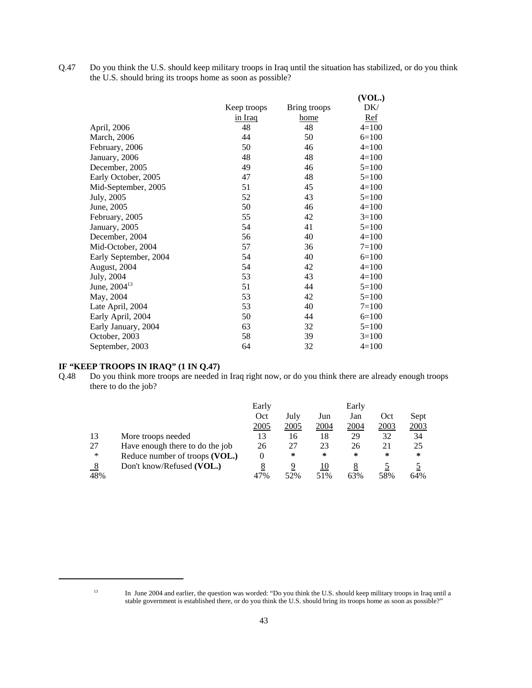Q.47 Do you think the U.S. should keep military troops in Iraq until the situation has stabilized, or do you think the U.S. should bring its troops home as soon as possible?

|                          |             |              | (VOL.)    |
|--------------------------|-------------|--------------|-----------|
|                          | Keep troops | Bring troops | DK/       |
|                          | in Iraq     | home         | Ref       |
| April, 2006              | 48          | 48           | $4=100$   |
| March, 2006              | 44          | 50           | $6=100$   |
| February, 2006           | 50          | 46           | $4=100$   |
| January, 2006            | 48          | 48           | $4=100$   |
| December, 2005           | 49          | 46           | $5=100$   |
| Early October, 2005      | 47          | 48           | $5=100$   |
| Mid-September, 2005      | 51          | 45           | $4=100$   |
| July, 2005               | 52          | 43           | $5=100$   |
| June, 2005               | 50          | 46           | $4=100$   |
| February, 2005           | 55          | 42           | $3=100$   |
| January, 2005            | 54          | 41           | $5=100$   |
| December, 2004           | 56          | 40           | $4=100$   |
| Mid-October, 2004        | 57          | 36           | $7 = 100$ |
| Early September, 2004    | 54          | 40           | $6=100$   |
| August, 2004             | 54          | 42           | $4=100$   |
| July, 2004               | 53          | 43           | $4=100$   |
| June, 2004 <sup>13</sup> | 51          | 44           | $5=100$   |
| May, 2004                | 53          | 42           | $5=100$   |
| Late April, 2004         | 53          | 40           | $7 = 100$ |
| Early April, 2004        | 50          | 44           | $6=100$   |
| Early January, 2004      | 63          | 32           | $5=100$   |
| October, 2003            | 58          | 39           | $3=100$   |
| September, 2003          | 64          | 32           | $4=100$   |

#### **IF "KEEP TROOPS IN IRAQ" (1 IN Q.47)**

Q.48 Do you think more troops are needed in Iraq right now, or do you think there are already enough troops there to do the job?

|               |                                 | Early |      |      | Early |      |      |
|---------------|---------------------------------|-------|------|------|-------|------|------|
|               |                                 | Oct   | July | Jun  | Jan   | Oct  | Sept |
|               |                                 | 2005  | 2005 | 2004 | 2004  | 2003 | 2003 |
| 13            | More troops needed              | 13    | 16   | 18   | 29    | 32   | 34   |
| 27            | Have enough there to do the job | 26    | 27   | 23   | 26    | 21   | 25   |
| *             | Reduce number of troops (VOL.)  | 0     | ∗    | ∗    | ∗     | *    | *    |
| $\frac{8}{2}$ | Don't know/Refused (VOL.)       | 8     | 9    | 10   |       |      |      |
| 48%           |                                 | 47%   | 52%  | 51%  | 63%   | 58%  | 64%  |

<sup>&</sup>lt;sup>13</sup> In June 2004 and earlier, the question was worded: "Do you think the U.S. should keep military troops in Iraq until a stable government is established there, or do you think the U.S. should bring its troops home as soon as possible?"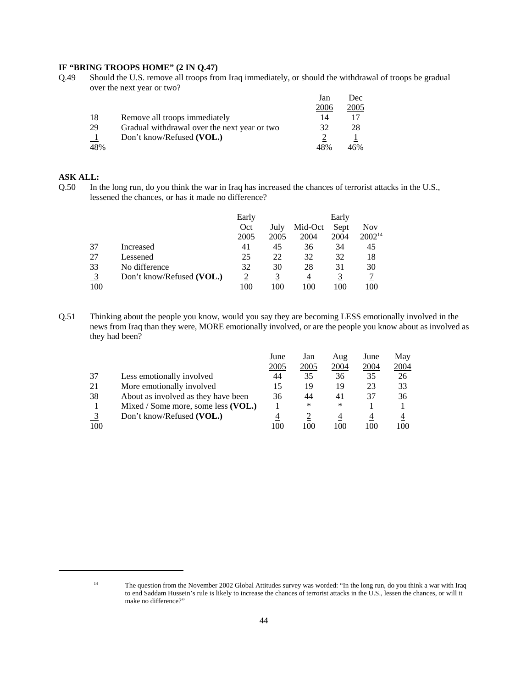#### **IF "BRING TROOPS HOME" (2 IN Q.47)**

Q.49 Should the U.S. remove all troops from Iraq immediately, or should the withdrawal of troops be gradual over the next year or two?

|     |                                              | Jan  | Dec. |
|-----|----------------------------------------------|------|------|
|     |                                              | 2006 | 2005 |
| -18 | Remove all troops immediately                | 14   |      |
| 29  | Gradual withdrawal over the next year or two | 32   | 28   |
|     | Don't know/Refused (VOL.)                    |      |      |
| 48% |                                              | 48%  | 46%  |

#### **ASK ALL:**

Q.50 In the long run, do you think the war in Iraq has increased the chances of terrorist attacks in the U.S., lessened the chances, or has it made no difference?

|                |                           | Early |      |         | Early |             |
|----------------|---------------------------|-------|------|---------|-------|-------------|
|                |                           | Oct   | July | Mid-Oct | Sept  | Nov         |
|                |                           | 2005  | 2005 | 2004    | 2004  | $2002^{14}$ |
| 37             | Increased                 | 41    | 45   | 36      | 34    | 45          |
| 27             | Lessened                  | 25    | 22   | 32      | 32    | 18          |
| 33             | No difference             | 32    | 30   | 28      | 31    | 30          |
| $\overline{3}$ | Don't know/Refused (VOL.) |       |      |         |       |             |
| 100            |                           | 100   | 100  | 100     | 100   | 100         |

Q.51 Thinking about the people you know, would you say they are becoming LESS emotionally involved in the news from Iraq than they were, MORE emotionally involved, or are the people you know about as involved as they had been?

|     |                                     | June        | Jan  | Aug  | June | May  |
|-----|-------------------------------------|-------------|------|------|------|------|
|     |                                     | <u>2005</u> | 2005 | 2004 | 2004 | 2004 |
| 37  | Less emotionally involved           | 44          | 35   | 36   | 35   | 26   |
| 21  | More emotionally involved           |             | 19   | 19   | 23   | 33   |
| 38  | About as involved as they have been | 36          | 44   | 41   | 37   | 36   |
|     | Mixed / Some more, some less (VOL.) |             | ∗    | ∗    |      |      |
|     | Don't know/Refused (VOL.)           |             |      | 4    | 4    |      |
| 100 |                                     | 100         | 100  | 100  | 100  | 100  |

<sup>&</sup>lt;sup>14</sup> The question from the November 2002 Global Attitudes survey was worded: "In the long run, do you think a war with Iraq to end Saddam Hussein's rule is likely to increase the chances of terrorist attacks in the U.S., lessen the chances, or will it make no difference?"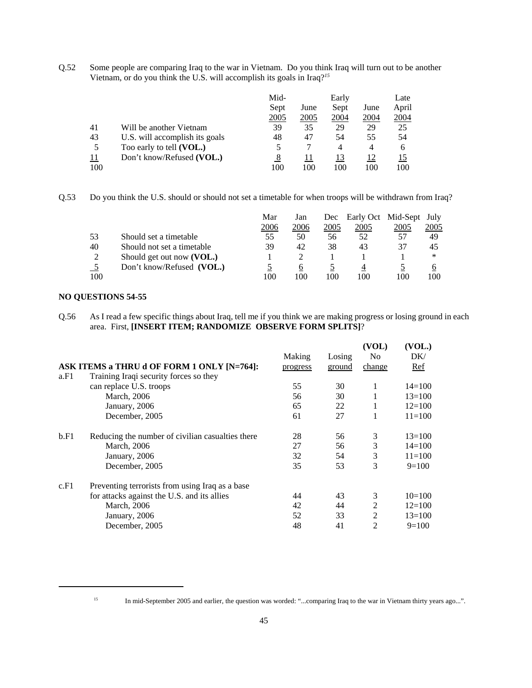Q.52 Some people are comparing Iraq to the war in Vietnam. Do you think Iraq will turn out to be another Vietnam, or do you think the U.S. will accomplish its goals in Iraq?*<sup>15</sup>*

|     |                                | Mid- |      | Early       |             | Late  |
|-----|--------------------------------|------|------|-------------|-------------|-------|
|     |                                | Sept | June | Sept        | June        | April |
|     |                                | 2005 | 2005 | <u>2004</u> | <b>2004</b> | 2004  |
| 41  | Will be another Vietnam        | 39   | 35   | 29          | 29          | 25    |
| 43  | U.S. will accomplish its goals | 48   | 47   | 54          | 55          | 54    |
| 5   | Too early to tell (VOL.)       |      |      | 4           | 4           | 6     |
| 11  | Don't know/Refused (VOL.)      |      |      | 13          | 12          |       |
| 100 |                                | 100  | 100  | 100         | 100         | 100   |

Q.53 Do you think the U.S. should or should not set a timetable for when troops will be withdrawn from Iraq?

|               |                            | Mar  | Jan  | Dec  | Early Oct Mid-Sept July |      |      |
|---------------|----------------------------|------|------|------|-------------------------|------|------|
|               |                            | 2006 | 2006 | 2005 | 2005                    | 2005 | 2005 |
| 53            | Should set a timetable     | 55   | 50   | 56   | 52                      | 57   | 49   |
| 40            | Should not set a timetable | 39   | 42   | 38   | 43                      | 37   | 45   |
| $\mathcal{D}$ | Should get out now (VOL.)  |      |      |      |                         |      | ∗    |
|               | Don't know/Refused (VOL.)  |      | O    |      |                         |      |      |
| 100           |                            | 100  | 100  | 100  | 100                     | 100  | 100  |

#### **NO QUESTIONS 54-55**

Q.56 As I read a few specific things about Iraq, tell me if you think we are making progress or losing ground in each area. First, **[INSERT ITEM; RANDOMIZE OBSERVE FORM SPLITS]**?

|                                                  |        |          | (VOL)          | (VOL.)     |
|--------------------------------------------------|--------|----------|----------------|------------|
|                                                  | Making | Losing   | N <sub>0</sub> | DK/        |
| ASK ITEMS a THRU d OF FORM 1 ONLY [N=764]:       |        | ground   | change         | Ref        |
| Training Iraqi security forces so they           |        |          |                |            |
| can replace U.S. troops                          | 55     | 30       | 1              | $14 = 100$ |
| March, 2006                                      | 56     | 30       | 1              | $13 = 100$ |
| January, 2006                                    | 65     | 22       | $\mathbf{1}$   | $12=100$   |
| December, 2005                                   | 61     | 27       | 1              | $11 = 100$ |
| Reducing the number of civilian casualties there | 28     | 56       | 3              | $13 = 100$ |
| March, 2006                                      | 27     | 56       | 3              | $14 = 100$ |
| January, 2006                                    | 32     | 54       | 3              | $11 = 100$ |
| December, 2005                                   | 35     | 53       | 3              | $9=100$    |
| Preventing terrorists from using Iraq as a base  |        |          |                |            |
| for attacks against the U.S. and its allies      | 44     | 43       | 3              | $10=100$   |
| March, 2006                                      | 42     | 44       | $\overline{2}$ | $12=100$   |
| January, 2006                                    | 52     | 33       | $\overline{2}$ | $13=100$   |
| December, 2005                                   | 48     | 41       | $\overline{c}$ | $9=100$    |
|                                                  |        | progress |                |            |

<sup>&</sup>lt;sup>15</sup> In mid-September 2005 and earlier, the question was worded: "...comparing Iraq to the war in Vietnam thirty years ago...".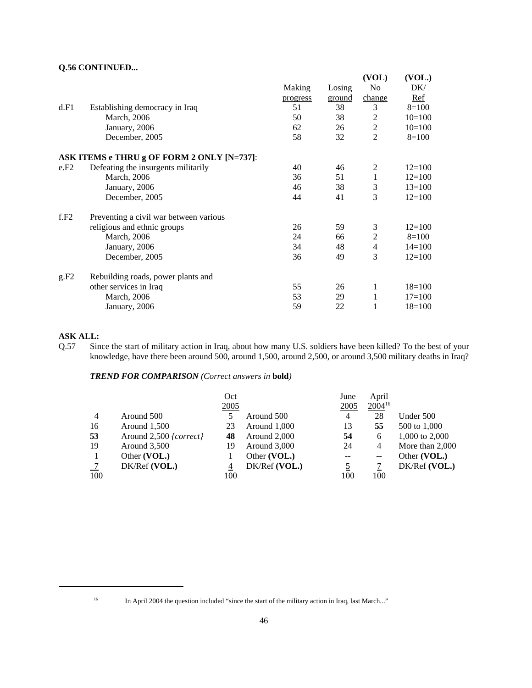#### **Q.56 CONTINUED...**

|      |                                            |          |        | (VOL)          | (VOL.)     |
|------|--------------------------------------------|----------|--------|----------------|------------|
|      |                                            | Making   | Losing | N <sub>0</sub> | DK/        |
|      |                                            | progress | ground | change         | Ref        |
| d.F1 | Establishing democracy in Iraq             | 51       | 38     | 3              | $8=100$    |
|      | March, 2006                                | 50       | 38     | 2              | $10=100$   |
|      | January, 2006                              | 62       | 26     | $\overline{2}$ | $10=100$   |
|      | December, 2005                             | 58       | 32     | $\overline{2}$ | $8=100$    |
|      | ASK ITEMS e THRU g OF FORM 2 ONLY [N=737]: |          |        |                |            |
| e.F2 | Defeating the insurgents militarily        | 40       | 46     | 2              | $12=100$   |
|      | March, 2006                                | 36       | 51     | $\mathbf{1}$   | $12=100$   |
|      | January, 2006                              | 46       | 38     | 3              | $13=100$   |
|      | December, 2005                             | 44       | 41     | 3              | $12=100$   |
| f.F2 | Preventing a civil war between various     |          |        |                |            |
|      | religious and ethnic groups                | 26       | 59     | 3              | $12 = 100$ |
|      | March, 2006                                | 24       | 66     | $\mathbf{2}$   | $8=100$    |
|      | January, 2006                              | 34       | 48     | $\overline{4}$ | $14 = 100$ |
|      | December, 2005                             | 36       | 49     | 3              | $12 = 100$ |
| g.F2 | Rebuilding roads, power plants and         |          |        |                |            |
|      | other services in Iraq                     | 55       | 26     | 1              | $18=100$   |
|      | <b>March</b> , 2006                        | 53       | 29     | 1              | $17=100$   |
|      | January, 2006                              | 59       | 22     | 1              | $18=100$   |

## **ASK ALL:**

Q.57 Since the start of military action in Iraq, about how many U.S. soldiers have been killed? To the best of your knowledge, have there been around 500, around 1,500, around 2,500, or around 3,500 military deaths in Iraq?

*TREND FOR COMPARISON (Correct answers in* **bold***)*

|                |                        | Oct  |               | June | April             |                   |
|----------------|------------------------|------|---------------|------|-------------------|-------------------|
|                |                        | 2005 |               | 2005 | $2004^{16}$       |                   |
| $\overline{4}$ | Around 500             | 5    | Around 500    | 4    | 28                | Under 500         |
| 16             | Around 1,500           | 23   | Around 1,000  | 13   | 55                | 500 to 1,000      |
| 53             | Around 2,500 {correct} | 48   | Around 2,000  | 54   | 6                 | 1,000 to 2,000    |
| 19             | Around $3,500$         | 19   | Around 3,000  | 24   | 4                 | More than $2,000$ |
|                | Other (VOL.)           |      | Other (VOL.)  | --   | $\qquad \qquad -$ | Other (VOL.)      |
|                | DK/Ref (VOL.)          | 4    | DK/Ref (VOL.) | 5    |                   | $DK/Ref$ (VOL.)   |
| 100            |                        | 100  |               | 100  | 100               |                   |

<sup>&</sup>lt;sup>16</sup> In April 2004 the question included "since the start of the military action in Iraq, last March..."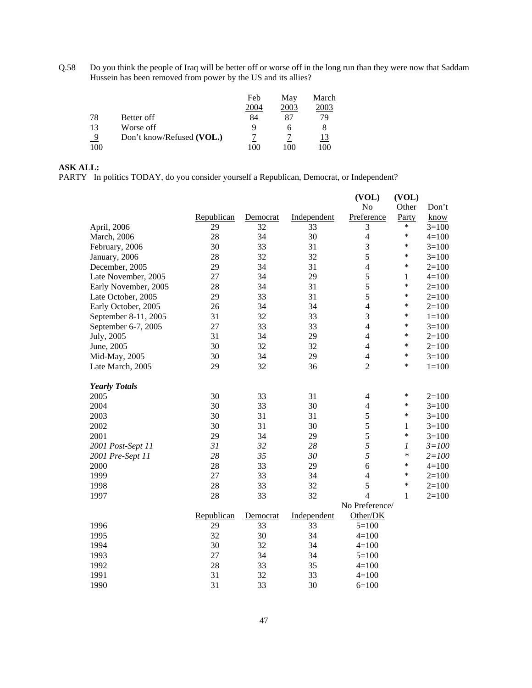Q.58 Do you think the people of Iraq will be better off or worse off in the long run than they were now that Saddam Hussein has been removed from power by the US and its allies?

|     |                           | Feb  | May  | March |
|-----|---------------------------|------|------|-------|
|     |                           | 2004 | 2003 | 2003  |
| 78  | Better off                | 84   | 87   | 79    |
| 13  | Worse off                 | Ч    |      |       |
|     | Don't know/Refused (VOL.) |      |      | 13    |
| 100 |                           | ۱M   | 100  | 100   |

## **ASK ALL:**

PARTY In politics TODAY, do you consider yourself a Republican, Democrat, or Independent?

|                      |            |          |             | (VOL)          | (VOL)            |           |
|----------------------|------------|----------|-------------|----------------|------------------|-----------|
|                      |            |          |             | No             | Other            | Don't     |
|                      | Republican | Democrat | Independent | Preference     | Party            | know      |
| April, 2006          | 29         | 32       | 33          | 3              | $\ast$           | $3=100$   |
| March, 2006          | 28         | 34       | 30          | $\overline{4}$ | $\ast$           | $4 = 100$ |
| February, 2006       | 30         | 33       | 31          | $\mathfrak{Z}$ | $\ast$           | $3=100$   |
| January, 2006        | 28         | 32       | 32          | 5              | *                | $3=100$   |
| December, 2005       | 29         | 34       | 31          | $\overline{4}$ | $\ast$           | $2=100$   |
| Late November, 2005  | 27         | 34       | 29          | 5              | $\mathbf{1}$     | $4 = 100$ |
| Early November, 2005 | 28         | 34       | 31          | 5              | $\ast$           | $2=100$   |
| Late October, 2005   | 29         | 33       | 31          | 5              | *                | $2=100$   |
| Early October, 2005  | 26         | 34       | 34          | $\overline{4}$ | $\ast$           | $2=100$   |
| September 8-11, 2005 | 31         | 32       | 33          | 3              | $\ast$           | $1 = 100$ |
| September 6-7, 2005  | 27         | 33       | 33          | $\overline{4}$ | $\ast$           | $3=100$   |
| July, 2005           | 31         | 34       | 29          | $\overline{4}$ | $\ast$           | $2=100$   |
| June, 2005           | 30         | 32       | 32          | $\overline{4}$ | $\ast$           | $2=100$   |
| Mid-May, 2005        | 30         | 34       | 29          | $\overline{4}$ | *                | $3=100$   |
| Late March, 2005     | 29         | 32       | 36          | $\overline{2}$ | *                | $1 = 100$ |
| <b>Yearly Totals</b> |            |          |             |                |                  |           |
| 2005                 | 30         | 33       | 31          | 4              | ∗                | $2=100$   |
| 2004                 | 30         | 33       | 30          | $\overline{4}$ | $\ast$           | $3=100$   |
| 2003                 | 30         | 31       | 31          | 5              | $\ast$           | $3=100$   |
| 2002                 | 30         | 31       | 30          | 5              | $\mathbf{1}$     | $3=100$   |
| 2001                 | 29         | 34       | 29          | 5              | $\ast$           | $3=100$   |
| 2001 Post-Sept 11    | 31         | 32       | 28          | 5              | $\boldsymbol{l}$ | $3 = 100$ |
| 2001 Pre-Sept 11     | 28         | 35       | 30          | 5              | $\ast$           | $2 = 100$ |
| 2000                 | 28         | 33       | 29          | 6              | $\ast$           | $4 = 100$ |
| 1999                 | 27         | 33       | 34          | $\overline{4}$ | $\ast$           | $2 = 100$ |
| 1998                 | 28         | 33       | 32          | 5              | $\ast$           | $2 = 100$ |
| 1997                 | 28         | 33       | 32          | $\overline{4}$ | $\mathbf{1}$     | $2 = 100$ |
|                      |            |          |             | No Preference/ |                  |           |
|                      | Republican | Democrat | Independent | Other/DK       |                  |           |
| 1996                 | 29         | 33       | 33          | $5=100$        |                  |           |
| 1995                 | 32         | 30       | 34          | $4 = 100$      |                  |           |
| 1994                 | 30         | 32       | 34          | $4=100$        |                  |           |
| 1993                 | 27         | 34       | 34          | $5=100$        |                  |           |
| 1992                 | 28         | 33       | 35          | $4 = 100$      |                  |           |
| 1991                 | 31         | 32       | 33          | $4 = 100$      |                  |           |
| 1990                 | 31         | 33       | 30          | $6=100$        |                  |           |
|                      |            |          |             |                |                  |           |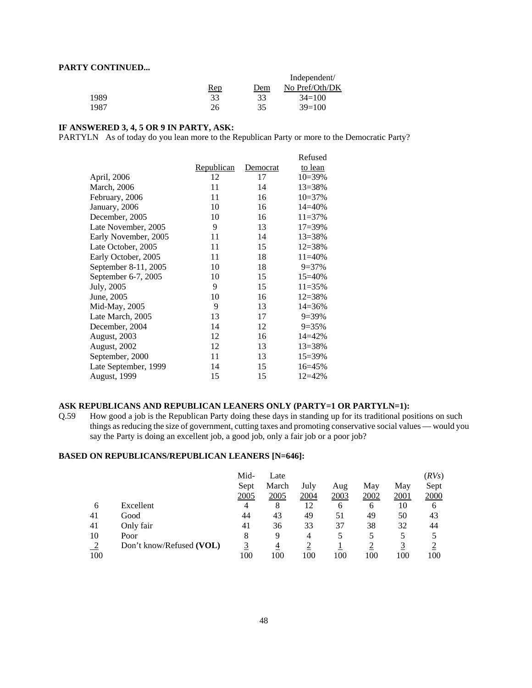#### **PARTY CONTINUED...**

| ------------- |            |     |                |
|---------------|------------|-----|----------------|
|               |            |     | Independent/   |
|               | <u>Rep</u> | Dem | No Pref/Oth/DK |
| 1989          | 33         | 33  | $34=100$       |
| 1987          | 26         | 35  | $39=100$       |

#### **IF ANSWERED 3, 4, 5 OR 9 IN PARTY, ASK:**

PARTYLN As of today do you lean more to the Republican Party or more to the Democratic Party?

|                      |                   |          | Refused     |
|----------------------|-------------------|----------|-------------|
|                      | <u>Republican</u> | Democrat | to lean     |
| April, 2006          | 12                | 17       | $10=39\%$   |
| March, 2006          | 11                | 14       | $13 = 38%$  |
| February, 2006       | 11                | 16       | $10=37%$    |
| January, 2006        | 10                | 16       | $14 = 40%$  |
| December, 2005       | 10                | 16       | $11 = 37%$  |
| Late November, 2005  | 9                 | 13       | $17 = 39\%$ |
| Early November, 2005 | 11                | 14       | $13 = 38%$  |
| Late October, 2005   | 11                | 15       | $12 = 38%$  |
| Early October, 2005  | 11                | 18       | $11 = 40%$  |
| September 8-11, 2005 | 10                | 18       | $9=37%$     |
| September 6-7, 2005  | 10                | 15       | $15 = 40%$  |
| July, 2005           | 9                 | 15       | $11 = 35%$  |
| June, 2005           | 10                | 16       | $12 = 38%$  |
| Mid-May, 2005        | 9                 | 13       | $14 = 36%$  |
| Late March, 2005     | 13                | 17       | $9=39%$     |
| December, 2004       | 14                | 12       | $9 = 35%$   |
| August, 2003         | 12                | 16       | $14 = 42%$  |
| August, 2002         | 12                | 13       | 13=38%      |
| September, 2000      | 11                | 13       | 15=39%      |
| Late September, 1999 | 14                | 15       | $16 = 45%$  |
| <b>August, 1999</b>  | 15                | 15       | $12 = 42%$  |

# ASK REPUBLICANS AND REPUBLICAN LEANERS ONLY (PARTY=1 OR PARTYLN=1):<br>Q.59 How good a job is the Republican Party doing these days in standing up for its traditional por

How good a job is the Republican Party doing these days in standing up for its traditional positions on such things as reducing the size of government, cutting taxes and promoting conservative social values — would you say the Party is doing an excellent job, a good job, only a fair job or a poor job?

#### **BASED ON REPUBLICANS/REPUBLICAN LEANERS [N=646]:**

|     |                          | Mid-<br>Sept<br>2005 | Late<br>March<br>2005 | July<br>2004 | Aug<br>2003 | May<br>2002 | May<br>2001 | (RVs)<br>Sept<br>2000 |
|-----|--------------------------|----------------------|-----------------------|--------------|-------------|-------------|-------------|-----------------------|
| 6   | Excellent                | 4                    | 8                     | 12           | 6           | 6           | 10          | 6                     |
| 41  | Good                     | 44                   | 43                    | 49           | 51          | 49          | 50          | 43                    |
| 41  | Only fair                | 41                   | 36                    | 33           | 37          | 38          | 32          | 44                    |
| 10  | Poor                     | 8                    | 9                     | 4            |             | 5           |             |                       |
| ◠   | Don't know/Refused (VOL) | 3                    | 4                     |              |             |             |             |                       |
| 100 |                          | 100                  | 100                   | 100          | 100         | 100         | 100         | 100                   |